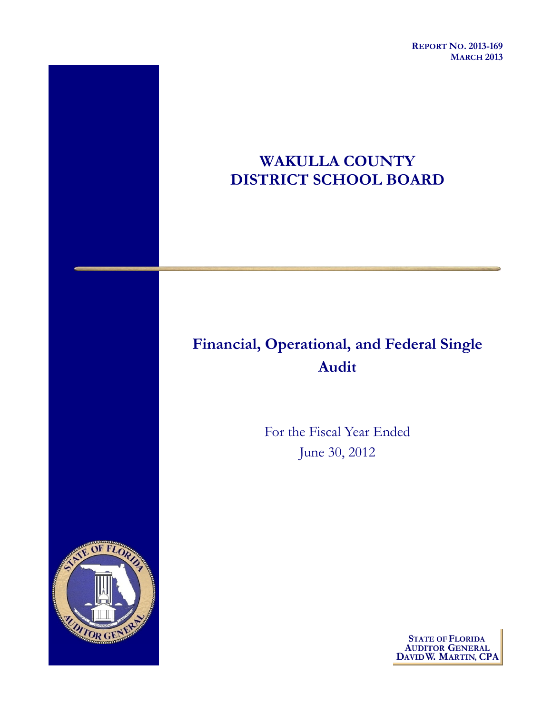**REPORT NO. 2013-169 MARCH 2013** 



# **Financial, Operational, and Federal Single Audit**

For the Fiscal Year Ended June 30, 2012



**STATE OF FLORIDA<br>AUDITOR GENERAL<br>DAVID W. MARTIN, CPA**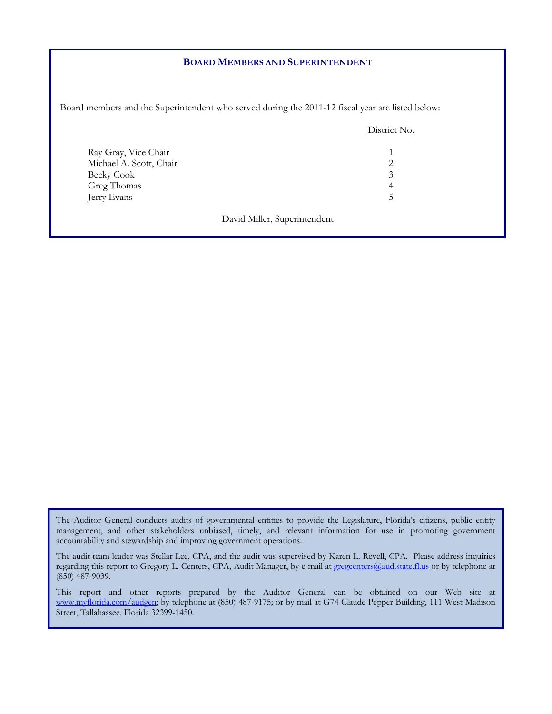#### **BOARD MEMBERS AND SUPERINTENDENT**

Board members and the Superintendent who served during the 2011-12 fiscal year are listed below:

|                         | District No.                 |
|-------------------------|------------------------------|
| Ray Gray, Vice Chair    |                              |
| Michael A. Scott, Chair | 2                            |
| <b>Becky Cook</b>       | 3                            |
| Greg Thomas             | 4                            |
| Jerry Evans             | 5                            |
|                         | David Miller, Superintendent |

The Auditor General conducts audits of governmental entities to provide the Legislature, Florida's citizens, public entity management, and other stakeholders unbiased, timely, and relevant information for use in promoting government accountability and stewardship and improving government operations.

The audit team leader was Stellar Lee, CPA, and the audit was supervised by Karen L. Revell, CPA. Please address inquiries regarding this report to Gregory L. Centers, CPA, Audit Manager, by e-mail at gregcenters@aud.state.fl.us or by telephone at (850) 487-9039.

This report and other reports prepared by the Auditor General can be obtained on our Web site at www.myflorida.com/audgen; by telephone at (850) 487-9175; or by mail at G74 Claude Pepper Building, 111 West Madison Street, Tallahassee, Florida 32399-1450.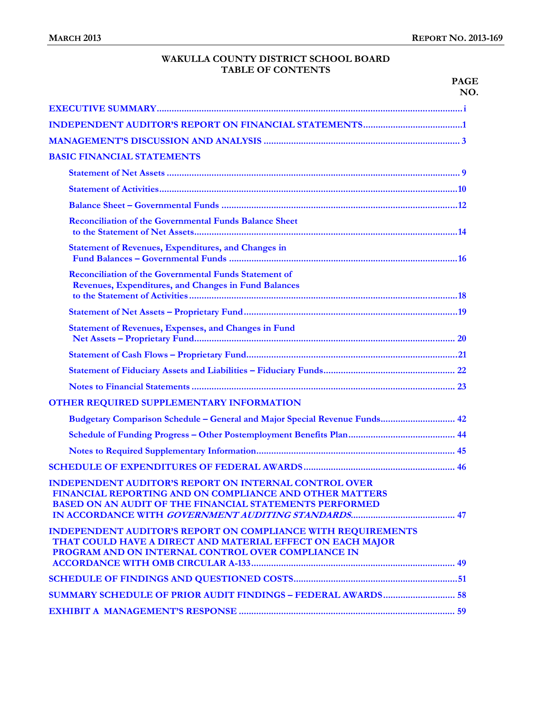## **WAKULLA COUNTY DISTRICT SCHOOL BOARD TABLE OF CONTENTS**

|                                                                                                                                                                                                  | <b>PAGE</b><br>NO. |
|--------------------------------------------------------------------------------------------------------------------------------------------------------------------------------------------------|--------------------|
|                                                                                                                                                                                                  |                    |
|                                                                                                                                                                                                  |                    |
|                                                                                                                                                                                                  |                    |
| <b>BASIC FINANCIAL STATEMENTS</b>                                                                                                                                                                |                    |
|                                                                                                                                                                                                  |                    |
|                                                                                                                                                                                                  |                    |
|                                                                                                                                                                                                  |                    |
| <b>Reconciliation of the Governmental Funds Balance Sheet</b>                                                                                                                                    |                    |
| <b>Statement of Revenues, Expenditures, and Changes in</b>                                                                                                                                       |                    |
| <b>Reconciliation of the Governmental Funds Statement of</b><br><b>Revenues, Expenditures, and Changes in Fund Balances</b>                                                                      |                    |
|                                                                                                                                                                                                  |                    |
| <b>Statement of Revenues, Expenses, and Changes in Fund</b>                                                                                                                                      |                    |
|                                                                                                                                                                                                  |                    |
|                                                                                                                                                                                                  |                    |
|                                                                                                                                                                                                  |                    |
| OTHER REQUIRED SUPPLEMENTARY INFORMATION                                                                                                                                                         |                    |
| Budgetary Comparison Schedule - General and Major Special Revenue Funds 42                                                                                                                       |                    |
|                                                                                                                                                                                                  |                    |
|                                                                                                                                                                                                  |                    |
|                                                                                                                                                                                                  |                    |
| <b>INDEPENDENT AUDITOR'S REPORT ON INTERNAL CONTROL OVER</b><br><b>FINANCIAL REPORTING AND ON COMPLIANCE AND OTHER MATTERS</b><br><b>BASED ON AN AUDIT OF THE FINANCIAL STATEMENTS PERFORMED</b> |                    |
| <b>INDEPENDENT AUDITOR'S REPORT ON COMPLIANCE WITH REQUIREMENTS</b><br>THAT COULD HAVE A DIRECT AND MATERIAL EFFECT ON EACH MAJOR<br>PROGRAM AND ON INTERNAL CONTROL OVER COMPLIANCE IN          |                    |
|                                                                                                                                                                                                  |                    |
| SUMMARY SCHEDULE OF PRIOR AUDIT FINDINGS – FEDERAL AWARDS 58                                                                                                                                     |                    |
|                                                                                                                                                                                                  |                    |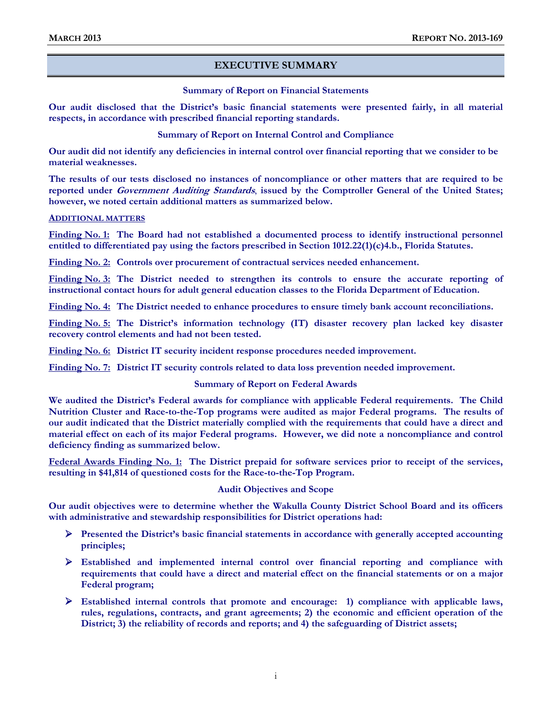## **EXECUTIVE SUMMARY**

#### **Summary of Report on Financial Statements**

<span id="page-3-0"></span>**Our audit disclosed that the District's basic financial statements were presented fairly, in all material respects, in accordance with prescribed financial reporting standards.** 

#### **Summary of Report on Internal Control and Compliance**

**Our audit did not identify any deficiencies in internal control over financial reporting that we consider to be material weaknesses.** 

**The results of our tests disclosed no instances of noncompliance or other matters that are required to be reported under Government Auditing Standards**, **issued by the Comptroller General of the United States; however, we noted certain additional matters as summarized below.**

#### **ADDITIONAL MATTERS**

**Finding No. 1: The Board had not established a documented process to identify instructional personnel entitled to differentiated pay using the factors prescribed in Section 1012.22(1)(c)4.b., Florida Statutes.** 

**Finding No. 2: Controls over procurement of contractual services needed enhancement.** 

**Finding No. 3: The District needed to strengthen its controls to ensure the accurate reporting of instructional contact hours for adult general education classes to the Florida Department of Education.** 

**Finding No. 4: The District needed to enhance procedures to ensure timely bank account reconciliations.** 

**Finding No. 5: The District's information technology (IT) disaster recovery plan lacked key disaster recovery control elements and had not been tested.** 

**Finding No. 6: District IT security incident response procedures needed improvement.** 

**Finding No. 7: District IT security controls related to data loss prevention needed improvement.** 

#### **Summary of Report on Federal Awards**

**We audited the District's Federal awards for compliance with applicable Federal requirements. The Child Nutrition Cluster and Race-to-the-Top programs were audited as major Federal programs. The results of our audit indicated that the District materially complied with the requirements that could have a direct and material effect on each of its major Federal programs. However, we did note a noncompliance and control deficiency finding as summarized below.** 

**Federal Awards Finding No. 1: The District prepaid for software services prior to receipt of the services, resulting in \$41,814 of questioned costs for the Race-to-the-Top Program.** 

#### **Audit Objectives and Scope**

**Our audit objectives were to determine whether the Wakulla County District School Board and its officers with administrative and stewardship responsibilities for District operations had:** 

- **Presented the District's basic financial statements in accordance with generally accepted accounting principles;**
- **Established and implemented internal control over financial reporting and compliance with requirements that could have a direct and material effect on the financial statements or on a major Federal program;**
- **Established internal controls that promote and encourage: 1) compliance with applicable laws, rules, regulations, contracts, and grant agreements; 2) the economic and efficient operation of the District; 3) the reliability of records and reports; and 4) the safeguarding of District assets;**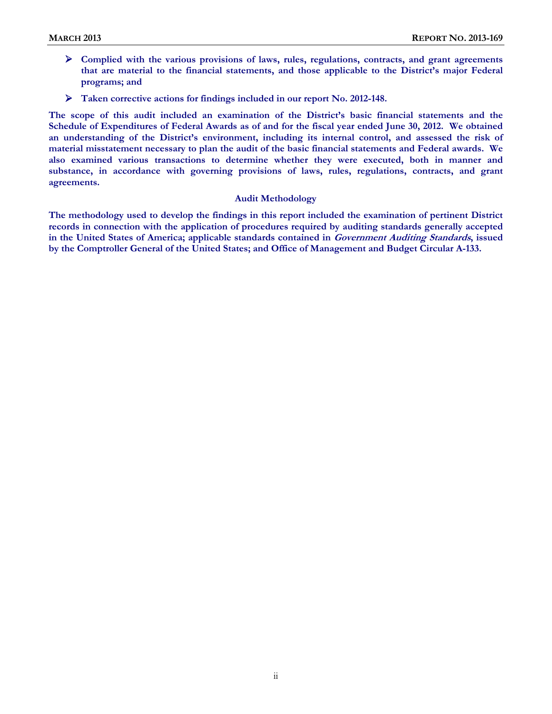- **Complied with the various provisions of laws, rules, regulations, contracts, and grant agreements that are material to the financial statements, and those applicable to the District's major Federal programs; and**
- **Taken corrective actions for findings included in our report No. 2012-148.**

**The scope of this audit included an examination of the District's basic financial statements and the Schedule of Expenditures of Federal Awards as of and for the fiscal year ended June 30, 2012. We obtained an understanding of the District's environment, including its internal control, and assessed the risk of material misstatement necessary to plan the audit of the basic financial statements and Federal awards. We also examined various transactions to determine whether they were executed, both in manner and substance, in accordance with governing provisions of laws, rules, regulations, contracts, and grant agreements.** 

#### **Audit Methodology**

**The methodology used to develop the findings in this report included the examination of pertinent District records in connection with the application of procedures required by auditing standards generally accepted in the United States of America; applicable standards contained in Government Auditing Standards, issued by the Comptroller General of the United States; and Office of Management and Budget Circular A-133.**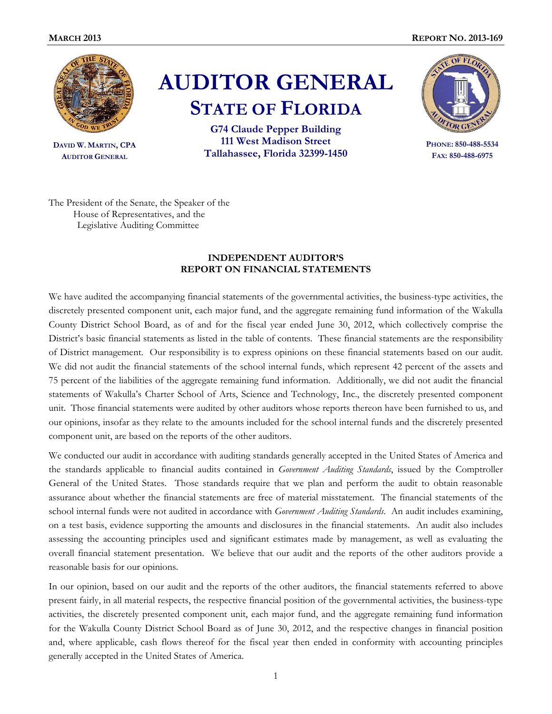<span id="page-5-0"></span>

**DAVID W. MARTIN, CPA AUDITOR GENERAL**

# **AUDITOR GENERAL STATE OF FLORIDA**

**G74 Claude Pepper Building 111 West Madison Street Tallahassee, Florida 32399-1450** 



**PHONE: 850-488-5534 FAX: 850-488-6975**

The President of the Senate, the Speaker of the House of Representatives, and the Legislative Auditing Committee

#### **INDEPENDENT AUDITOR'S REPORT ON FINANCIAL STATEMENTS**

We have audited the accompanying financial statements of the governmental activities, the business-type activities, the discretely presented component unit, each major fund, and the aggregate remaining fund information of the Wakulla County District School Board, as of and for the fiscal year ended June 30, 2012, which collectively comprise the District's basic financial statements as listed in the table of contents. These financial statements are the responsibility of District management. Our responsibility is to express opinions on these financial statements based on our audit. We did not audit the financial statements of the school internal funds, which represent 42 percent of the assets and 75 percent of the liabilities of the aggregate remaining fund information. Additionally, we did not audit the financial statements of Wakulla's Charter School of Arts, Science and Technology, Inc., the discretely presented component unit. Those financial statements were audited by other auditors whose reports thereon have been furnished to us, and our opinions, insofar as they relate to the amounts included for the school internal funds and the discretely presented component unit, are based on the reports of the other auditors.

We conducted our audit in accordance with auditing standards generally accepted in the United States of America and the standards applicable to financial audits contained in *Government Auditing Standards*, issued by the Comptroller General of the United States. Those standards require that we plan and perform the audit to obtain reasonable assurance about whether the financial statements are free of material misstatement. The financial statements of the school internal funds were not audited in accordance with *Government Auditing Standards*. An audit includes examining, on a test basis, evidence supporting the amounts and disclosures in the financial statements. An audit also includes assessing the accounting principles used and significant estimates made by management, as well as evaluating the overall financial statement presentation. We believe that our audit and the reports of the other auditors provide a reasonable basis for our opinions.

In our opinion, based on our audit and the reports of the other auditors, the financial statements referred to above present fairly, in all material respects, the respective financial position of the governmental activities, the business-type activities, the discretely presented component unit, each major fund, and the aggregate remaining fund information for the Wakulla County District School Board as of June 30, 2012, and the respective changes in financial position and, where applicable, cash flows thereof for the fiscal year then ended in conformity with accounting principles generally accepted in the United States of America.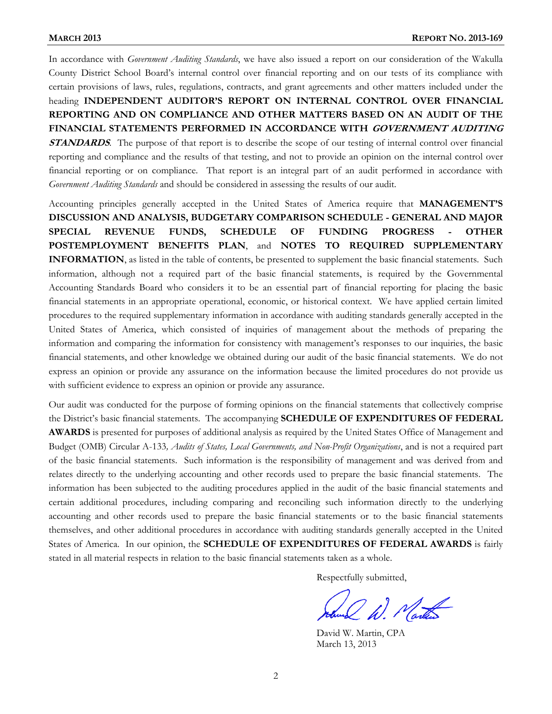In accordance with *Government Auditing Standards*, we have also issued a report on our consideration of the Wakulla County District School Board's internal control over financial reporting and on our tests of its compliance with certain provisions of laws, rules, regulations, contracts, and grant agreements and other matters included under the heading **INDEPENDENT AUDITOR'S REPORT ON INTERNAL CONTROL OVER FINANCIAL REPORTING AND ON COMPLIANCE AND OTHER MATTERS BASED ON AN AUDIT OF THE FINANCIAL STATEMENTS PERFORMED IN ACCORDANCE WITH GOVERNMENT AUDITING STANDARDS**. The purpose of that report is to describe the scope of our testing of internal control over financial reporting and compliance and the results of that testing, and not to provide an opinion on the internal control over financial reporting or on compliance. That report is an integral part of an audit performed in accordance with *Government Auditing Standards* and should be considered in assessing the results of our audit.

Accounting principles generally accepted in the United States of America require that **MANAGEMENT'S DISCUSSION AND ANALYSIS, BUDGETARY COMPARISON SCHEDULE - GENERAL AND MAJOR SPECIAL REVENUE FUNDS, SCHEDULE OF FUNDING PROGRESS - OTHER POSTEMPLOYMENT BENEFITS PLAN**, and **NOTES TO REQUIRED SUPPLEMENTARY INFORMATION**, as listed in the table of contents, be presented to supplement the basic financial statements. Such information, although not a required part of the basic financial statements, is required by the Governmental Accounting Standards Board who considers it to be an essential part of financial reporting for placing the basic financial statements in an appropriate operational, economic, or historical context. We have applied certain limited procedures to the required supplementary information in accordance with auditing standards generally accepted in the United States of America, which consisted of inquiries of management about the methods of preparing the information and comparing the information for consistency with management's responses to our inquiries, the basic financial statements, and other knowledge we obtained during our audit of the basic financial statements. We do not express an opinion or provide any assurance on the information because the limited procedures do not provide us with sufficient evidence to express an opinion or provide any assurance.

Our audit was conducted for the purpose of forming opinions on the financial statements that collectively comprise the District's basic financial statements. The accompanying **SCHEDULE OF EXPENDITURES OF FEDERAL AWARDS** is presented for purposes of additional analysis as required by the United States Office of Management and Budget (OMB) Circular A-133*, Audits of States, Local Governments, and Non-Profit Organizations*, and is not a required part of the basic financial statements. Such information is the responsibility of management and was derived from and relates directly to the underlying accounting and other records used to prepare the basic financial statements. The information has been subjected to the auditing procedures applied in the audit of the basic financial statements and certain additional procedures, including comparing and reconciling such information directly to the underlying accounting and other records used to prepare the basic financial statements or to the basic financial statements themselves, and other additional procedures in accordance with auditing standards generally accepted in the United States of America. In our opinion, the **SCHEDULE OF EXPENDITURES OF FEDERAL AWARDS** is fairly stated in all material respects in relation to the basic financial statements taken as a whole.

Respectfully submitted,

W. Martin

David W. Martin, CPA March 13, 2013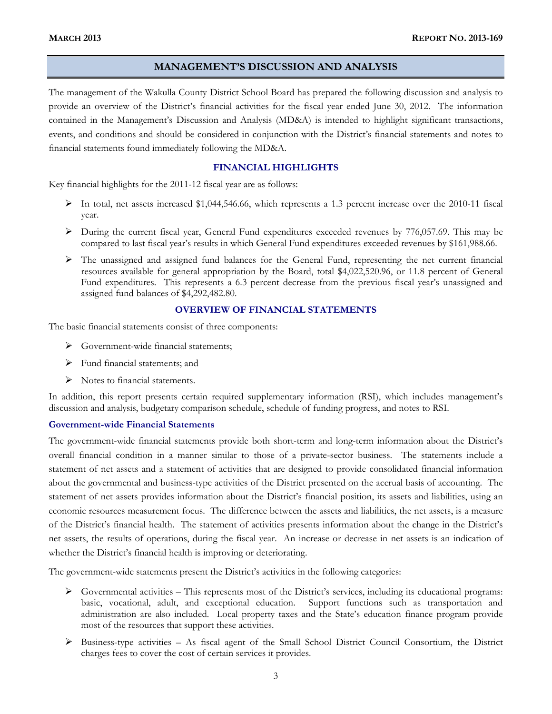#### **MANAGEMENT'S DISCUSSION AND ANALYSIS**

<span id="page-7-0"></span>The management of the Wakulla County District School Board has prepared the following discussion and analysis to provide an overview of the District's financial activities for the fiscal year ended June 30, 2012. The information contained in the Management's Discussion and Analysis (MD&A) is intended to highlight significant transactions, events, and conditions and should be considered in conjunction with the District's financial statements and notes to financial statements found immediately following the MD&A.

#### **FINANCIAL HIGHLIGHTS**

Key financial highlights for the 2011-12 fiscal year are as follows:

- $\triangleright$  In total, net assets increased \$1,044,546.66, which represents a 1.3 percent increase over the 2010-11 fiscal year.
- During the current fiscal year, General Fund expenditures exceeded revenues by 776,057.69. This may be compared to last fiscal year's results in which General Fund expenditures exceeded revenues by \$161,988.66.
- The unassigned and assigned fund balances for the General Fund, representing the net current financial resources available for general appropriation by the Board, total \$4,022,520.96, or 11.8 percent of General Fund expenditures. This represents a 6.3 percent decrease from the previous fiscal year's unassigned and assigned fund balances of \$4,292,482.80.

#### **OVERVIEW OF FINANCIAL STATEMENTS**

The basic financial statements consist of three components:

- Government-wide financial statements;
- Fund financial statements; and
- $\triangleright$  Notes to financial statements.

In addition, this report presents certain required supplementary information (RSI), which includes management's discussion and analysis, budgetary comparison schedule, schedule of funding progress, and notes to RSI.

#### **Government-wide Financial Statements**

The government-wide financial statements provide both short-term and long-term information about the District's overall financial condition in a manner similar to those of a private-sector business. The statements include a statement of net assets and a statement of activities that are designed to provide consolidated financial information about the governmental and business-type activities of the District presented on the accrual basis of accounting. The statement of net assets provides information about the District's financial position, its assets and liabilities, using an economic resources measurement focus. The difference between the assets and liabilities, the net assets, is a measure of the District's financial health. The statement of activities presents information about the change in the District's net assets, the results of operations, during the fiscal year. An increase or decrease in net assets is an indication of whether the District's financial health is improving or deteriorating.

The government-wide statements present the District's activities in the following categories:

- $\triangleright$  Governmental activities This represents most of the District's services, including its educational programs: basic, vocational, adult, and exceptional education. Support functions such as transportation and administration are also included. Local property taxes and the State's education finance program provide most of the resources that support these activities.
- $\triangleright$  Business-type activities As fiscal agent of the Small School District Council Consortium, the District charges fees to cover the cost of certain services it provides.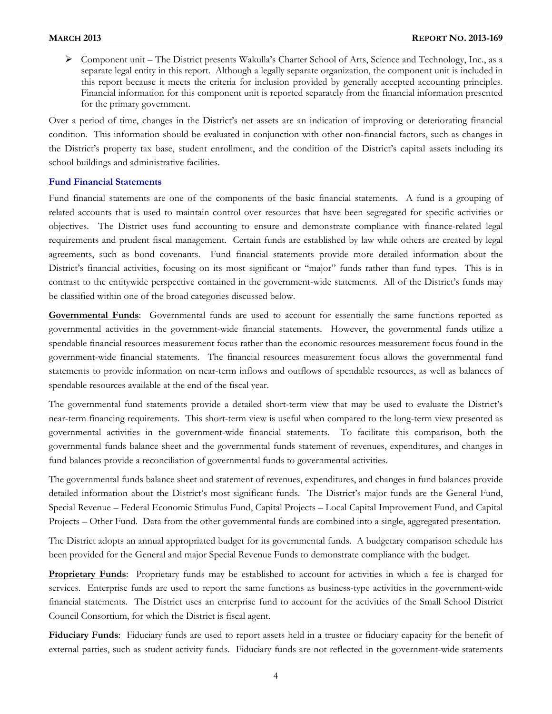Component unit – The District presents Wakulla's Charter School of Arts, Science and Technology, Inc., as a separate legal entity in this report. Although a legally separate organization, the component unit is included in this report because it meets the criteria for inclusion provided by generally accepted accounting principles. Financial information for this component unit is reported separately from the financial information presented for the primary government.

Over a period of time, changes in the District's net assets are an indication of improving or deteriorating financial condition. This information should be evaluated in conjunction with other non-financial factors, such as changes in the District's property tax base, student enrollment, and the condition of the District's capital assets including its school buildings and administrative facilities.

#### **Fund Financial Statements**

Fund financial statements are one of the components of the basic financial statements. A fund is a grouping of related accounts that is used to maintain control over resources that have been segregated for specific activities or objectives. The District uses fund accounting to ensure and demonstrate compliance with finance-related legal requirements and prudent fiscal management. Certain funds are established by law while others are created by legal agreements, such as bond covenants. Fund financial statements provide more detailed information about the District's financial activities, focusing on its most significant or "major" funds rather than fund types. This is in contrast to the entitywide perspective contained in the government-wide statements. All of the District's funds may be classified within one of the broad categories discussed below.

**Governmental Funds**: Governmental funds are used to account for essentially the same functions reported as governmental activities in the government-wide financial statements. However, the governmental funds utilize a spendable financial resources measurement focus rather than the economic resources measurement focus found in the government-wide financial statements. The financial resources measurement focus allows the governmental fund statements to provide information on near-term inflows and outflows of spendable resources, as well as balances of spendable resources available at the end of the fiscal year.

The governmental fund statements provide a detailed short-term view that may be used to evaluate the District's near-term financing requirements. This short-term view is useful when compared to the long-term view presented as governmental activities in the government-wide financial statements. To facilitate this comparison, both the governmental funds balance sheet and the governmental funds statement of revenues, expenditures, and changes in fund balances provide a reconciliation of governmental funds to governmental activities.

The governmental funds balance sheet and statement of revenues, expenditures, and changes in fund balances provide detailed information about the District's most significant funds. The District's major funds are the General Fund, Special Revenue – Federal Economic Stimulus Fund, Capital Projects – Local Capital Improvement Fund, and Capital Projects – Other Fund. Data from the other governmental funds are combined into a single, aggregated presentation.

The District adopts an annual appropriated budget for its governmental funds. A budgetary comparison schedule has been provided for the General and major Special Revenue Funds to demonstrate compliance with the budget.

**Proprietary Funds**: Proprietary funds may be established to account for activities in which a fee is charged for services. Enterprise funds are used to report the same functions as business-type activities in the government-wide financial statements. The District uses an enterprise fund to account for the activities of the Small School District Council Consortium, for which the District is fiscal agent.

**Fiduciary Funds**: Fiduciary funds are used to report assets held in a trustee or fiduciary capacity for the benefit of external parties, such as student activity funds. Fiduciary funds are not reflected in the government-wide statements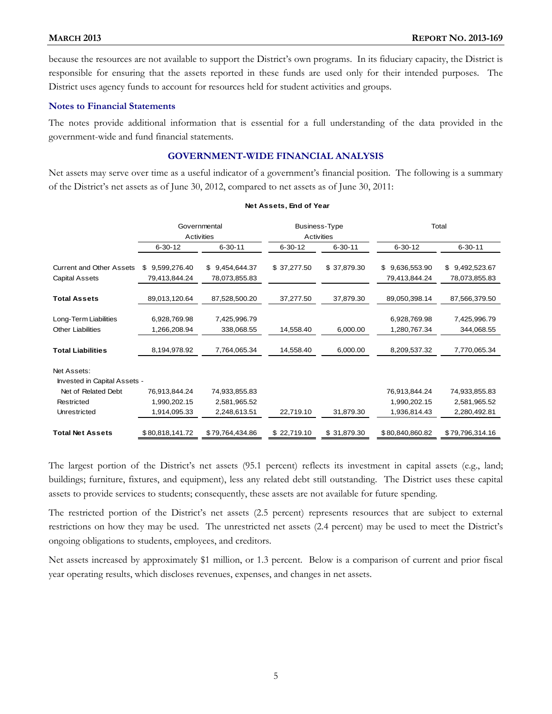because the resources are not available to support the District's own programs. In its fiduciary capacity, the District is responsible for ensuring that the assets reported in these funds are used only for their intended purposes. The District uses agency funds to account for resources held for student activities and groups.

#### **Notes to Financial Statements**

The notes provide additional information that is essential for a full understanding of the data provided in the government-wide and fund financial statements.

### **GOVERNMENT-WIDE FINANCIAL ANALYSIS**

Net assets may serve over time as a useful indicator of a government's financial position. The following is a summary of the District's net assets as of June 30, 2012, compared to net assets as of June 30, 2011:

|                                                          |                                     | Governmental<br>Activities      |               | Business-Type<br>Activities | Total                               |                                 |  |
|----------------------------------------------------------|-------------------------------------|---------------------------------|---------------|-----------------------------|-------------------------------------|---------------------------------|--|
|                                                          | $6 - 30 - 12$                       | $6 - 30 - 11$                   | $6 - 30 - 12$ | $6 - 30 - 11$               | $6 - 30 - 12$                       | $6 - 30 - 11$                   |  |
| <b>Current and Other Assets</b><br><b>Capital Assets</b> | \$<br>9,599,276.40<br>79,413,844.24 | \$9,454,644.37<br>78,073,855.83 | \$37,277.50   | \$37,879.30                 | \$<br>9,636,553.90<br>79,413,844.24 | \$9,492,523.67<br>78,073,855.83 |  |
| <b>Total Assets</b>                                      | 89,013,120.64                       | 87,528,500.20                   | 37,277.50     | 37,879.30                   | 89,050,398.14                       | 87,566,379.50                   |  |
| Long-Term Liabilities<br><b>Other Liabilities</b>        | 6,928,769.98<br>1,266,208.94        | 7,425,996.79<br>338,068.55      | 14,558.40     | 6,000.00                    | 6,928,769.98<br>1,280,767.34        | 7,425,996.79<br>344,068.55      |  |
| <b>Total Liabilities</b>                                 | 8,194,978.92                        | 7,764,065.34                    | 14,558.40     | 6,000.00                    | 8,209,537.32                        | 7,770,065.34                    |  |
| Net Assets:<br>Invested in Capital Assets -              |                                     |                                 |               |                             |                                     |                                 |  |
| Net of Related Debt                                      | 76,913,844.24                       | 74,933,855.83                   |               |                             | 76,913,844.24                       | 74,933,855.83                   |  |
| Restricted                                               | 1,990,202.15                        | 2,581,965.52                    |               |                             | 1,990,202.15                        | 2,581,965.52                    |  |
| Unrestricted                                             | 1,914,095.33                        | 2,248,613.51                    | 22,719.10     | 31,879.30                   | 1,936,814.43                        | 2,280,492.81                    |  |
| <b>Total Net Assets</b>                                  | \$80,818,141.72                     | \$79,764,434.86                 | \$22,719.10   | \$31,879.30                 | \$80,840,860.82                     | \$79,796,314.16                 |  |

#### **Net Assets, End of Year**

The largest portion of the District's net assets (95.1 percent) reflects its investment in capital assets (e.g., land; buildings; furniture, fixtures, and equipment), less any related debt still outstanding. The District uses these capital assets to provide services to students; consequently, these assets are not available for future spending.

The restricted portion of the District's net assets (2.5 percent) represents resources that are subject to external restrictions on how they may be used. The unrestricted net assets (2.4 percent) may be used to meet the District's ongoing obligations to students, employees, and creditors.

Net assets increased by approximately \$1 million, or 1.3 percent. Below is a comparison of current and prior fiscal year operating results, which discloses revenues, expenses, and changes in net assets.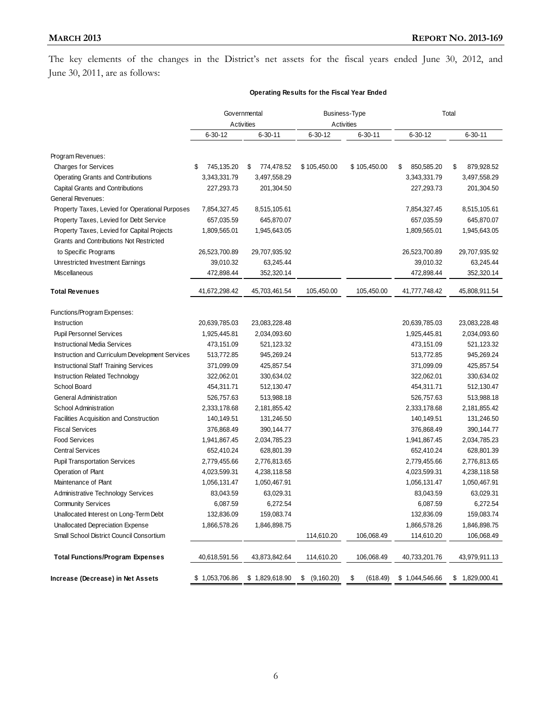The key elements of the changes in the District's net assets for the fiscal years ended June 30, 2012, and June 30, 2011, are as follows:

|                                                 |                  | Governmental     |                  | Business-Type  | Total            |                  |  |
|-------------------------------------------------|------------------|------------------|------------------|----------------|------------------|------------------|--|
|                                                 |                  | Activities       | Activities       |                |                  |                  |  |
|                                                 | $6 - 30 - 12$    | $6 - 30 - 11$    | $6 - 30 - 12$    | $6 - 30 - 11$  | $6 - 30 - 12$    | $6 - 30 - 11$    |  |
| Program Revenues:                               |                  |                  |                  |                |                  |                  |  |
| <b>Charges for Services</b>                     | \$<br>745,135.20 | 774,478.52<br>\$ | \$105,450.00     | \$105,450.00   | \$<br>850,585.20 | \$<br>879,928.52 |  |
| Operating Grants and Contributions              | 3,343,331.79     | 3,497,558.29     |                  |                | 3,343,331.79     | 3,497,558.29     |  |
| Capital Grants and Contributions                | 227,293.73       | 201,304.50       |                  |                | 227,293.73       | 201,304.50       |  |
| General Revenues:                               |                  |                  |                  |                |                  |                  |  |
| Property Taxes, Levied for Operational Purposes | 7,854,327.45     | 8,515,105.61     |                  |                | 7,854,327.45     | 8,515,105.61     |  |
| Property Taxes, Levied for Debt Service         | 657,035.59       | 645,870.07       |                  |                | 657,035.59       | 645,870.07       |  |
| Property Taxes, Levied for Capital Projects     | 1,809,565.01     | 1,945,643.05     |                  |                | 1,809,565.01     | 1,945,643.05     |  |
| Grants and Contributions Not Restricted         |                  |                  |                  |                |                  |                  |  |
| to Specific Programs                            | 26,523,700.89    | 29,707,935.92    |                  |                | 26,523,700.89    | 29,707,935.92    |  |
| Unrestricted Investment Earnings                | 39,010.32        | 63,245.44        |                  |                | 39,010.32        | 63,245.44        |  |
| Miscellaneous                                   | 472,898.44       | 352,320.14       |                  |                | 472,898.44       | 352,320.14       |  |
| <b>Total Revenues</b>                           | 41,672,298.42    | 45,703,461.54    | 105,450.00       | 105,450.00     | 41,777,748.42    | 45,808,911.54    |  |
| Functions/Program Expenses:                     |                  |                  |                  |                |                  |                  |  |
| <b>Instruction</b>                              | 20,639,785.03    | 23,083,228.48    |                  |                | 20,639,785.03    | 23,083,228.48    |  |
| <b>Pupil Personnel Services</b>                 | 1,925,445.81     | 2,034,093.60     |                  |                | 1,925,445.81     | 2,034,093.60     |  |
| <b>Instructional Media Services</b>             | 473,151.09       | 521,123.32       |                  |                | 473,151.09       | 521,123.32       |  |
| Instruction and Curriculum Development Services | 513,772.85       | 945,269.24       |                  |                | 513,772.85       | 945,269.24       |  |
| <b>Instructional Staff Training Services</b>    | 371,099.09       | 425,857.54       |                  |                | 371,099.09       | 425,857.54       |  |
| <b>Instruction Related Technology</b>           | 322,062.01       | 330,634.02       |                  |                | 322,062.01       | 330,634.02       |  |
| School Board                                    | 454,311.71       | 512,130.47       |                  |                | 454,311.71       | 512,130.47       |  |
| <b>General Administration</b>                   | 526,757.63       | 513,988.18       |                  |                | 526,757.63       | 513,988.18       |  |
| School Administration                           | 2,333,178.68     | 2,181,855.42     |                  |                | 2,333,178.68     | 2,181,855.42     |  |
| Facilities Acquisition and Construction         | 140,149.51       | 131,246.50       |                  |                | 140,149.51       | 131,246.50       |  |
| <b>Fiscal Services</b>                          | 376,868.49       | 390,144.77       |                  |                | 376,868.49       | 390,144.77       |  |
| <b>Food Services</b>                            | 1,941,867.45     | 2,034,785.23     |                  |                | 1,941,867.45     | 2,034,785.23     |  |
| <b>Central Services</b>                         | 652,410.24       | 628,801.39       |                  |                | 652,410.24       | 628,801.39       |  |
| <b>Pupil Transportation Services</b>            | 2,779,455.66     | 2,776,813.65     |                  |                | 2,779,455.66     | 2,776,813.65     |  |
| Operation of Plant                              | 4,023,599.31     | 4,238,118.58     |                  |                | 4,023,599.31     | 4,238,118.58     |  |
| Maintenance of Plant                            | 1,056,131.47     | 1,050,467.91     |                  |                | 1,056,131.47     | 1,050,467.91     |  |
| Administrative Technology Services              | 83,043.59        | 63,029.31        |                  |                | 83,043.59        | 63,029.31        |  |
| <b>Community Services</b>                       | 6,087.59         | 6,272.54         |                  |                | 6,087.59         | 6,272.54         |  |
| Unallocated Interest on Long-Term Debt          | 132,836.09       | 159,083.74       |                  |                | 132,836.09       | 159,083.74       |  |
| Unallocated Depreciation Expense                | 1,866,578.26     | 1,846,898.75     |                  |                | 1,866,578.26     | 1,846,898.75     |  |
| Small School District Council Consortium        |                  |                  | 114,610.20       | 106,068.49     | 114,610.20       | 106,068.49       |  |
| <b>Total Functions/Program Expenses</b>         | 40,618,591.56    | 43,873,842.64    | 114,610.20       | 106,068.49     | 40,733,201.76    | 43,979,911.13    |  |
| Increase (Decrease) in Net Assets               | \$1,053,706.86   | \$1,829,618.90   | (9,160.20)<br>\$ | \$<br>(618.49) | \$1,044,546.66   | \$1,829,000.41   |  |

#### **Operating Results for the Fiscal Year Ended**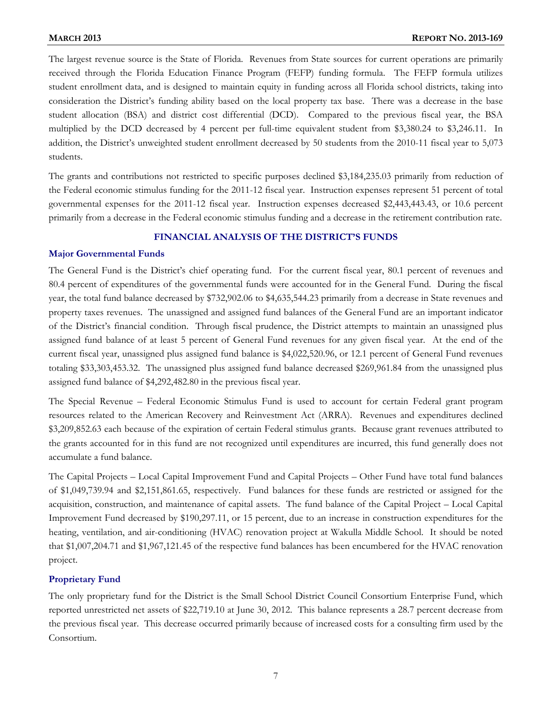The largest revenue source is the State of Florida. Revenues from State sources for current operations are primarily received through the Florida Education Finance Program (FEFP) funding formula. The FEFP formula utilizes student enrollment data, and is designed to maintain equity in funding across all Florida school districts, taking into consideration the District's funding ability based on the local property tax base. There was a decrease in the base student allocation (BSA) and district cost differential (DCD). Compared to the previous fiscal year, the BSA multiplied by the DCD decreased by 4 percent per full-time equivalent student from \$3,380.24 to \$3,246.11. In addition, the District's unweighted student enrollment decreased by 50 students from the 2010-11 fiscal year to 5,073 students.

The grants and contributions not restricted to specific purposes declined \$3,184,235.03 primarily from reduction of the Federal economic stimulus funding for the 2011-12 fiscal year. Instruction expenses represent 51 percent of total governmental expenses for the 2011-12 fiscal year. Instruction expenses decreased \$2,443,443.43, or 10.6 percent primarily from a decrease in the Federal economic stimulus funding and a decrease in the retirement contribution rate.

#### **FINANCIAL ANALYSIS OF THE DISTRICT'S FUNDS**

#### **Major Governmental Funds**

The General Fund is the District's chief operating fund. For the current fiscal year, 80.1 percent of revenues and 80.4 percent of expenditures of the governmental funds were accounted for in the General Fund. During the fiscal year, the total fund balance decreased by \$732,902.06 to \$4,635,544.23 primarily from a decrease in State revenues and property taxes revenues. The unassigned and assigned fund balances of the General Fund are an important indicator of the District's financial condition. Through fiscal prudence, the District attempts to maintain an unassigned plus assigned fund balance of at least 5 percent of General Fund revenues for any given fiscal year. At the end of the current fiscal year, unassigned plus assigned fund balance is \$4,022,520.96, or 12.1 percent of General Fund revenues totaling \$33,303,453.32. The unassigned plus assigned fund balance decreased \$269,961.84 from the unassigned plus assigned fund balance of \$4,292,482.80 in the previous fiscal year.

The Special Revenue – Federal Economic Stimulus Fund is used to account for certain Federal grant program resources related to the American Recovery and Reinvestment Act (ARRA). Revenues and expenditures declined \$3,209,852.63 each because of the expiration of certain Federal stimulus grants. Because grant revenues attributed to the grants accounted for in this fund are not recognized until expenditures are incurred, this fund generally does not accumulate a fund balance.

The Capital Projects – Local Capital Improvement Fund and Capital Projects – Other Fund have total fund balances of \$1,049,739.94 and \$2,151,861.65, respectively. Fund balances for these funds are restricted or assigned for the acquisition, construction, and maintenance of capital assets. The fund balance of the Capital Project – Local Capital Improvement Fund decreased by \$190,297.11, or 15 percent, due to an increase in construction expenditures for the heating, ventilation, and air-conditioning (HVAC) renovation project at Wakulla Middle School. It should be noted that \$1,007,204.71 and \$1,967,121.45 of the respective fund balances has been encumbered for the HVAC renovation project.

#### **Proprietary Fund**

The only proprietary fund for the District is the Small School District Council Consortium Enterprise Fund, which reported unrestricted net assets of \$22,719.10 at June 30, 2012. This balance represents a 28.7 percent decrease from the previous fiscal year. This decrease occurred primarily because of increased costs for a consulting firm used by the Consortium.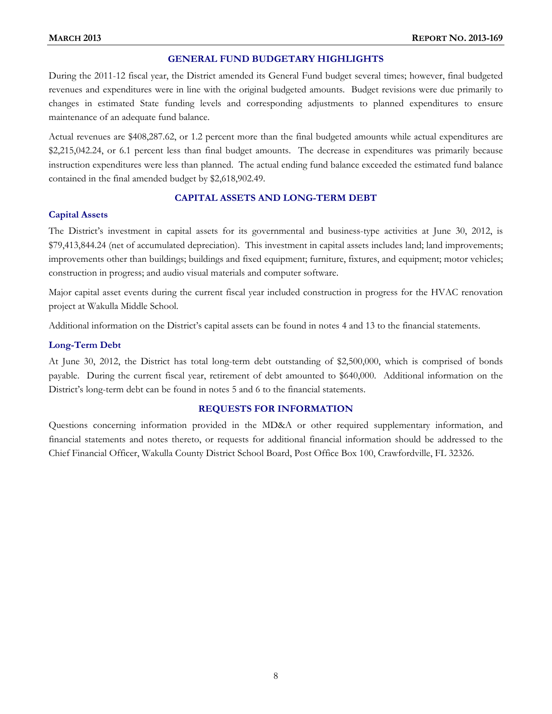#### **GENERAL FUND BUDGETARY HIGHLIGHTS**

During the 2011-12 fiscal year, the District amended its General Fund budget several times; however, final budgeted revenues and expenditures were in line with the original budgeted amounts. Budget revisions were due primarily to changes in estimated State funding levels and corresponding adjustments to planned expenditures to ensure maintenance of an adequate fund balance.

Actual revenues are \$408,287.62, or 1.2 percent more than the final budgeted amounts while actual expenditures are \$2,215,042.24, or 6.1 percent less than final budget amounts. The decrease in expenditures was primarily because instruction expenditures were less than planned. The actual ending fund balance exceeded the estimated fund balance contained in the final amended budget by \$2,618,902.49.

#### **CAPITAL ASSETS AND LONG-TERM DEBT**

#### **Capital Assets**

The District's investment in capital assets for its governmental and business-type activities at June 30, 2012, is \$79,413,844.24 (net of accumulated depreciation). This investment in capital assets includes land; land improvements; improvements other than buildings; buildings and fixed equipment; furniture, fixtures, and equipment; motor vehicles; construction in progress; and audio visual materials and computer software.

Major capital asset events during the current fiscal year included construction in progress for the HVAC renovation project at Wakulla Middle School.

Additional information on the District's capital assets can be found in notes 4 and 13 to the financial statements.

#### **Long-Term Debt**

At June 30, 2012, the District has total long-term debt outstanding of \$2,500,000, which is comprised of bonds payable. During the current fiscal year, retirement of debt amounted to \$640,000. Additional information on the District's long-term debt can be found in notes 5 and 6 to the financial statements.

#### **REQUESTS FOR INFORMATION**

Questions concerning information provided in the MD&A or other required supplementary information, and financial statements and notes thereto, or requests for additional financial information should be addressed to the Chief Financial Officer, Wakulla County District School Board, Post Office Box 100, Crawfordville, FL 32326.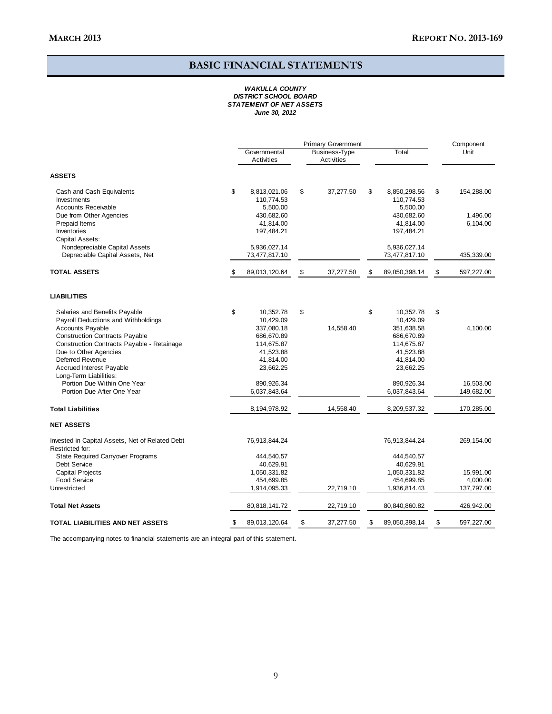## **BASIC FINANCIAL STATEMENTS**

#### *STATEMENT OF NET ASSETS June 30, 2012 WAKULLA COUNTY DISTRICT SCHOOL BOARD*

<span id="page-13-0"></span>

|                                                                                                              | <b>Primary Government</b>              |    |                                    | Component                                    |                         |
|--------------------------------------------------------------------------------------------------------------|----------------------------------------|----|------------------------------------|----------------------------------------------|-------------------------|
|                                                                                                              | Governmental<br>Activities             |    | <b>Business-Type</b><br>Activities | Total                                        | Unit                    |
| <b>ASSETS</b>                                                                                                |                                        |    |                                    |                                              |                         |
| \$<br>Cash and Cash Equivalents<br>Investments<br><b>Accounts Receivable</b>                                 | 8,813,021.06<br>110,774.53<br>5,500.00 | \$ | 37,277.50                          | \$<br>8,850,298.56<br>110,774.53<br>5,500.00 | \$<br>154,288.00        |
| Due from Other Agencies<br>Prepaid Items                                                                     | 430,682.60<br>41,814.00                |    |                                    | 430,682.60<br>41,814.00                      | 1,496.00<br>6,104.00    |
| Inventories                                                                                                  | 197,484.21                             |    |                                    | 197,484.21                                   |                         |
| Capital Assets:<br>Nondepreciable Capital Assets                                                             | 5,936,027.14                           |    |                                    | 5,936,027.14                                 |                         |
| Depreciable Capital Assets, Net                                                                              | 73,477,817.10                          |    |                                    | 73,477,817.10                                | 435,339.00              |
| <b>TOTAL ASSETS</b>                                                                                          | 89,013,120.64                          | \$ | 37,277.50                          | \$<br>89,050,398.14                          | \$<br>597,227.00        |
| <b>LIABILITIES</b>                                                                                           |                                        |    |                                    |                                              |                         |
| \$<br>Salaries and Benefits Payable<br>Payroll Deductions and Withholdings<br><b>Accounts Payable</b>        | 10,352.78<br>10,429.09<br>337,080.18   | \$ | 14,558.40                          | \$<br>10,352.78<br>10,429.09<br>351,638.58   | \$<br>4,100.00          |
| <b>Construction Contracts Payable</b><br>Construction Contracts Payable - Retainage<br>Due to Other Agencies | 686,670.89<br>114,675.87<br>41,523.88  |    |                                    | 686,670.89<br>114,675.87<br>41,523.88        |                         |
| Deferred Revenue<br><b>Accrued Interest Payable</b><br>Long-Term Liabilities:                                | 41,814.00<br>23,662.25                 |    |                                    | 41,814.00<br>23,662.25                       |                         |
| Portion Due Within One Year<br>Portion Due After One Year                                                    | 890,926.34<br>6,037,843.64             |    |                                    | 890,926.34<br>6,037,843.64                   | 16,503.00<br>149,682.00 |
| <b>Total Liabilities</b>                                                                                     | 8,194,978.92                           |    | 14,558.40                          | 8,209,537.32                                 | 170,285.00              |
| <b>NET ASSETS</b>                                                                                            |                                        |    |                                    |                                              |                         |
| Invested in Capital Assets, Net of Related Debt<br>Restricted for:                                           | 76,913,844.24                          |    |                                    | 76,913,844.24                                | 269,154.00              |
| <b>State Required Carryover Programs</b><br><b>Debt Service</b>                                              | 444,540.57<br>40,629.91                |    |                                    | 444,540.57<br>40,629.91                      |                         |
| Capital Projects                                                                                             | 1,050,331.82                           |    |                                    | 1,050,331.82                                 | 15,991.00               |
| <b>Food Service</b><br>Unrestricted                                                                          | 454,699.85<br>1,914,095.33             |    | 22,719.10                          | 454,699.85<br>1,936,814.43                   | 4,000.00<br>137,797.00  |
| <b>Total Net Assets</b>                                                                                      | 80,818,141.72                          |    | 22,719.10                          | 80,840,860.82                                | 426,942.00              |
| \$<br>TOTAL LIABILITIES AND NET ASSETS                                                                       | 89,013,120.64                          | \$ | 37,277.50                          | 89,050,398.14                                | \$<br>597,227.00        |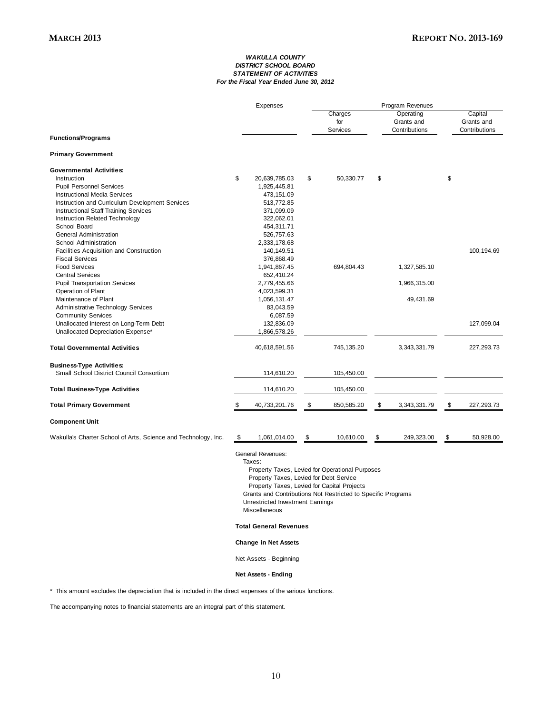#### *WAKULLA COUNTY DISTRICT SCHOOL BOARD STATEMENT OF ACTIVITIES For the Fiscal Year Ended June 30, 2012*

<span id="page-14-0"></span>

|                                                                                                           | Expenses |                                                                                                                                                        | Program Revenues |             |    |               |    |               |
|-----------------------------------------------------------------------------------------------------------|----------|--------------------------------------------------------------------------------------------------------------------------------------------------------|------------------|-------------|----|---------------|----|---------------|
|                                                                                                           |          |                                                                                                                                                        |                  | Charges     |    | Operating     |    | Capital       |
|                                                                                                           |          |                                                                                                                                                        |                  | for         |    | Grants and    |    | Grants and    |
|                                                                                                           |          |                                                                                                                                                        |                  | Services    |    | Contributions |    | Contributions |
| <b>Functions/Programs</b>                                                                                 |          |                                                                                                                                                        |                  |             |    |               |    |               |
| <b>Primary Government</b>                                                                                 |          |                                                                                                                                                        |                  |             |    |               |    |               |
| <b>Governmental Activities:</b>                                                                           |          |                                                                                                                                                        |                  |             |    |               |    |               |
| Instruction                                                                                               | \$       | 20,639,785.03                                                                                                                                          | \$               | 50,330.77   | \$ |               | \$ |               |
| <b>Pupil Personnel Services</b>                                                                           |          | 1,925,445.81                                                                                                                                           |                  |             |    |               |    |               |
| <b>Instructional Media Services</b>                                                                       |          | 473,151.09                                                                                                                                             |                  |             |    |               |    |               |
| Instruction and Curriculum Development Services                                                           |          | 513,772.85                                                                                                                                             |                  |             |    |               |    |               |
| <b>Instructional Staff Training Services</b>                                                              |          | 371,099.09                                                                                                                                             |                  |             |    |               |    |               |
| <b>Instruction Related Technology</b>                                                                     |          | 322,062.01                                                                                                                                             |                  |             |    |               |    |               |
| School Board                                                                                              |          | 454,311.71                                                                                                                                             |                  |             |    |               |    |               |
| General Administration                                                                                    |          | 526,757.63                                                                                                                                             |                  |             |    |               |    |               |
| School Administration                                                                                     |          | 2,333,178.68                                                                                                                                           |                  |             |    |               |    |               |
| <b>Facilities Acquisition and Construction</b>                                                            |          | 140, 149.51                                                                                                                                            |                  |             |    |               |    | 100,194.69    |
| <b>Fiscal Services</b>                                                                                    |          | 376,868.49                                                                                                                                             |                  |             |    |               |    |               |
| <b>Food Services</b>                                                                                      |          | 1,941,867.45                                                                                                                                           |                  | 694,804.43  |    | 1,327,585.10  |    |               |
| <b>Central Services</b>                                                                                   |          | 652,410.24                                                                                                                                             |                  |             |    |               |    |               |
| <b>Pupil Transportation Services</b>                                                                      |          | 2,779,455.66                                                                                                                                           |                  |             |    | 1,966,315.00  |    |               |
| <b>Operation of Plant</b>                                                                                 |          | 4,023,599.31                                                                                                                                           |                  |             |    |               |    |               |
| Maintenance of Plant                                                                                      |          | 1,056,131.47                                                                                                                                           |                  |             |    | 49,431.69     |    |               |
| <b>Administrative Technology Services</b>                                                                 |          | 83,043.59                                                                                                                                              |                  |             |    |               |    |               |
| <b>Community Services</b>                                                                                 |          | 6,087.59                                                                                                                                               |                  |             |    |               |    |               |
| Unallocated Interest on Long-Term Debt                                                                    |          | 132,836.09                                                                                                                                             |                  |             |    |               |    | 127,099.04    |
| Unallocated Depreciation Expense*                                                                         |          | 1,866,578.26                                                                                                                                           |                  |             |    |               |    |               |
| <b>Total Governmental Activities</b>                                                                      |          | 40,618,591.56                                                                                                                                          |                  | 745, 135.20 |    | 3,343,331.79  |    | 227, 293. 73  |
|                                                                                                           |          |                                                                                                                                                        |                  |             |    |               |    |               |
| <b>Business-Type Activities:</b><br>Small School District Council Consortium                              |          | 114,610.20                                                                                                                                             |                  |             |    |               |    |               |
|                                                                                                           |          |                                                                                                                                                        |                  | 105,450.00  |    |               |    |               |
| <b>Total Business-Type Activities</b>                                                                     |          | 114,610.20                                                                                                                                             |                  | 105,450.00  |    |               |    |               |
| <b>Total Primary Government</b>                                                                           | \$       | 40,733,201.76                                                                                                                                          | \$               | 850,585.20  | \$ | 3,343,331.79  | \$ | 227, 293. 73  |
| <b>Component Unit</b>                                                                                     |          |                                                                                                                                                        |                  |             |    |               |    |               |
| Wakulla's Charter School of Arts, Science and Technology, Inc.                                            | \$       | 1,061,014.00                                                                                                                                           | \$               | 10,610.00   | \$ | 249,323.00    | \$ | 50,928.00     |
|                                                                                                           |          | <b>General Revenues:</b><br>Taxes:<br>Property Taxes, Levied for Operational Purposes<br>Property Taxes, Levied for Debt Service                       |                  |             |    |               |    |               |
|                                                                                                           |          | Property Taxes, Levied for Capital Projects<br>Grants and Contributions Not Restricted to Specific Programs<br><b>Unrestricted Investment Earnings</b> |                  |             |    |               |    |               |
|                                                                                                           |          | Miscellaneous                                                                                                                                          |                  |             |    |               |    |               |
|                                                                                                           |          | <b>Total General Revenues</b>                                                                                                                          |                  |             |    |               |    |               |
|                                                                                                           |          | <b>Change in Net Assets</b>                                                                                                                            |                  |             |    |               |    |               |
|                                                                                                           |          | Net Assets - Beginning                                                                                                                                 |                  |             |    |               |    |               |
|                                                                                                           |          | <b>Net Assets - Ending</b>                                                                                                                             |                  |             |    |               |    |               |
| * This amount excludes the depreciation that is included in the direct expenses of the various functions. |          |                                                                                                                                                        |                  |             |    |               |    |               |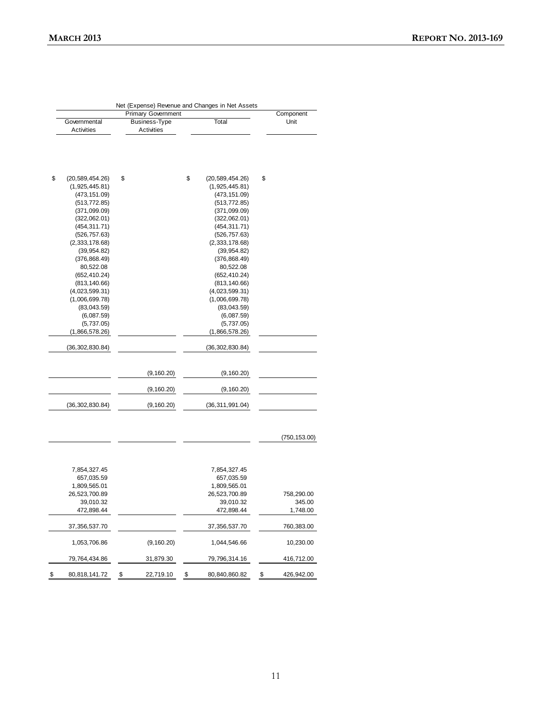|                                | <b>Primary Government</b> | Net (Expense) Revenue and Changes in Net Assets | Component            |
|--------------------------------|---------------------------|-------------------------------------------------|----------------------|
| Governmental                   | Business-Type             | Total                                           | Unit                 |
| Activities                     | <b>Activities</b>         |                                                 |                      |
|                                |                           |                                                 |                      |
| \$<br>(20, 589, 454.26)        | \$                        | \$<br>(20, 589, 454.26)                         | \$                   |
| (1,925,445.81)                 |                           | (1,925,445.81)                                  |                      |
| (473, 151.09)                  |                           | (473, 151.09)                                   |                      |
| (513, 772.85)                  |                           | (513, 772.85)                                   |                      |
| (371,099.09)                   |                           | (371,099.09)                                    |                      |
| (322,062.01)                   |                           | (322,062.01)                                    |                      |
| (454, 311.71)<br>(526, 757.63) |                           | (454, 311.71)<br>(526, 757.63)                  |                      |
| (2,333,178.68)                 |                           | (2,333,178.68)                                  |                      |
| (39, 954.82)                   |                           | (39, 954.82)                                    |                      |
| (376, 868.49)                  |                           | (376, 868.49)                                   |                      |
| 80,522.08                      |                           | 80,522.08                                       |                      |
| (652, 410.24)                  |                           | (652, 410.24)                                   |                      |
| (813, 140.66)                  |                           | (813, 140.66)                                   |                      |
| (4,023,599.31)                 |                           | (4,023,599.31)                                  |                      |
| (1,006,699.78)                 |                           | (1,006,699.78)                                  |                      |
| (83,043.59)                    |                           | (83,043.59)                                     |                      |
| (6,087.59)                     |                           | (6,087.59)                                      |                      |
| (5,737.05)                     |                           | (5,737.05)                                      |                      |
| (1,866,578.26)                 |                           | (1,866,578.26)                                  |                      |
| (36,302,830.84)                |                           | (36, 302, 830.84)                               |                      |
|                                | (9,160.20)                | (9,160.20)                                      |                      |
|                                | (9,160.20)                | (9,160.20)                                      |                      |
| (36, 302, 830.84)              | (9, 160.20)               | (36, 311, 991.04)                               |                      |
|                                |                           |                                                 |                      |
|                                |                           |                                                 | (750, 153.00)        |
|                                |                           |                                                 |                      |
| 7,854,327.45                   |                           | 7,854,327.45                                    |                      |
| 657,035.59                     |                           | 657,035.59                                      |                      |
| 1,809,565.01                   |                           | 1,809,565.01                                    |                      |
| 26,523,700.89                  |                           | 26,523,700.89                                   | 758,290.00<br>345.00 |
| 39,010.32<br>472,898.44        |                           | 39,010.32<br>472,898.44                         | 1,748.00             |
| 37, 356, 537. 70               |                           | 37,356,537.70                                   | 760,383.00           |
| 1,053,706.86                   | (9, 160.20)               | 1,044,546.66                                    | 10,230.00            |
| 79,764,434.86                  | 31,879.30                 | 79,796,314.16                                   | 416,712.00           |
| \$<br>80,818,141.72            | \$<br>22,719.10           | \$<br>80,840,860.82                             | \$<br>426,942.00     |

11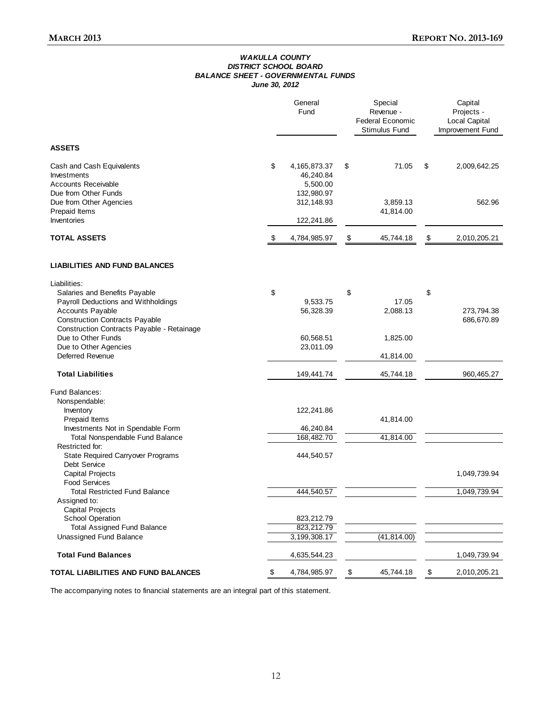#### *June 30, 2012 WAKULLA COUNTY DISTRICT SCHOOL BOARD BALANCE SHEET - GOVERNMENTAL FUNDS*

<span id="page-16-0"></span>

|                                                                                          | General<br>Fund                                | Special<br>Revenue -<br><b>Federal Economic</b><br>Stimulus Fund | Capital<br>Projects -<br>Local Capital<br>Improvement Fund |
|------------------------------------------------------------------------------------------|------------------------------------------------|------------------------------------------------------------------|------------------------------------------------------------|
| <b>ASSETS</b>                                                                            |                                                |                                                                  |                                                            |
| Cash and Cash Equivalents<br>Investments<br><b>Accounts Receivable</b>                   | \$<br>4, 165, 873. 37<br>46,240.84<br>5,500.00 | \$<br>71.05                                                      | \$<br>2,009,642.25                                         |
| Due from Other Funds<br>Due from Other Agencies<br>Prepaid Items<br>Inventories          | 132,980.97<br>312,148.93<br>122,241.86         | 3,859.13<br>41,814.00                                            | 562.96                                                     |
| <b>TOTAL ASSETS</b>                                                                      | \$<br>4,784,985.97                             | \$<br>45,744.18                                                  | \$<br>2,010,205.21                                         |
| <b>LIABILITIES AND FUND BALANCES</b>                                                     |                                                |                                                                  |                                                            |
| Liabilities:                                                                             |                                                |                                                                  |                                                            |
| Salaries and Benefits Payable<br>Payroll Deductions and Withholdings<br>Accounts Payable | \$<br>9,533.75<br>56,328.39                    | \$<br>17.05<br>2,088.13                                          | \$<br>273,794.38                                           |
| <b>Construction Contracts Payable</b><br>Construction Contracts Payable - Retainage      |                                                |                                                                  | 686,670.89                                                 |
| Due to Other Funds<br>Due to Other Agencies                                              | 60,568.51<br>23,011.09                         | 1,825.00                                                         |                                                            |
| Deferred Revenue                                                                         |                                                | 41,814.00                                                        |                                                            |
| <b>Total Liabilities</b>                                                                 | 149,441.74                                     | 45,744.18                                                        | 960,465.27                                                 |
| Fund Balances:<br>Nonspendable:                                                          |                                                |                                                                  |                                                            |
| Inventory<br>Prepaid Items                                                               | 122,241.86<br>46,240.84                        | 41,814.00                                                        |                                                            |
| Investments Not in Spendable Form<br>Total Nonspendable Fund Balance<br>Restricted for:  | 168,482.70                                     | 41,814.00                                                        |                                                            |
| State Required Carryover Programs<br>Debt Service                                        | 444,540.57                                     |                                                                  |                                                            |
| <b>Capital Projects</b><br><b>Food Services</b>                                          |                                                |                                                                  | 1,049,739.94                                               |
| <b>Total Restricted Fund Balance</b><br>Assigned to:                                     | 444,540.57                                     |                                                                  | 1,049,739.94                                               |
| <b>Capital Projects</b><br><b>School Operation</b>                                       | 823,212.79                                     |                                                                  |                                                            |
| <b>Total Assigned Fund Balance</b><br>Unassigned Fund Balance                            | 823,212.79<br>3,199,308.17                     | (41, 814.00)                                                     |                                                            |
| <b>Total Fund Balances</b>                                                               | 4,635,544.23                                   |                                                                  | 1,049,739.94                                               |
| TOTAL LIABILITIES AND FUND BALANCES                                                      | \$<br>4,784,985.97                             | \$<br>45,744.18                                                  | \$<br>2,010,205.21                                         |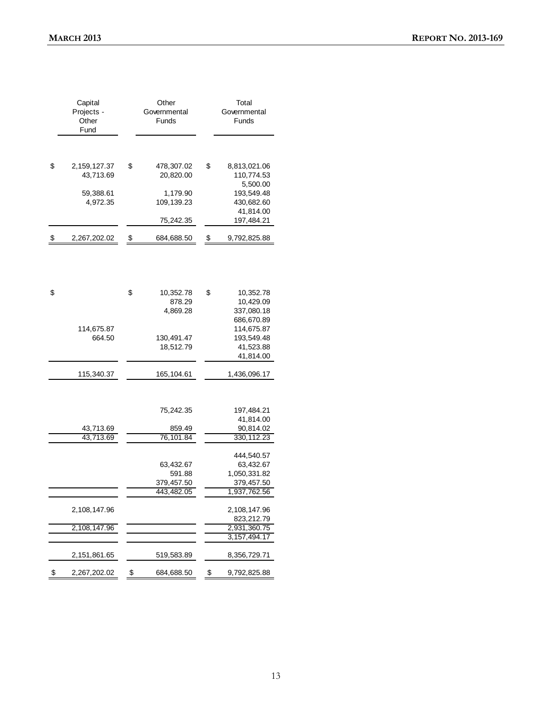| Capital<br>Projects -<br>Other<br>Fund | Other<br>Governmental<br>Funds | Total<br>Governmental<br>Funds               |
|----------------------------------------|--------------------------------|----------------------------------------------|
|                                        |                                |                                              |
| \$<br>2, 159, 127.37<br>43,713.69      | \$<br>478,307.02<br>20,820.00  | \$<br>8,813,021.06<br>110,774.53<br>5,500.00 |
| 59,388.61                              | 1,179.90                       | 193,549.48                                   |
| 4,972.35                               | 109,139.23                     | 430,682.60                                   |
|                                        | 75,242.35                      | 41,814.00<br>197,484.21                      |
| \$<br>2,267,202.02                     | \$<br>684,688.50               | \$<br>9,792,825.88                           |
|                                        |                                |                                              |
| \$                                     | \$<br>10,352.78                | \$<br>10,352.78                              |
|                                        | 878.29                         | 10,429.09                                    |
|                                        | 4,869.28                       | 337,080.18<br>686,670.89                     |
| 114,675.87                             |                                | 114,675.87                                   |
| 664.50                                 | 130,491.47                     | 193,549.48                                   |
|                                        | 18,512.79                      | 41,523.88                                    |
|                                        |                                | 41,814.00                                    |
| 115,340.37                             | 165,104.61                     | 1,436,096.17                                 |
|                                        |                                |                                              |
|                                        | 75,242.35                      | 197,484.21                                   |
|                                        |                                | 41,814.00                                    |
| 43,713.69                              | 859.49                         | 90,814.02                                    |
| 43,713.69                              | 76,101.84                      | 330, 112.23                                  |
|                                        |                                | 444,540.57                                   |
|                                        | 63,432.67                      | 63,432.67                                    |
|                                        | 591.88                         | 1,050,331.82                                 |
|                                        | 379,457.50<br>443,482.05       | 379,457.50<br>1,937,762.56                   |
|                                        |                                |                                              |
| 2,108,147.96                           |                                | 2,108,147.96                                 |
|                                        |                                | 823,212.79                                   |
| 2,108,147.96                           |                                | 2,931,360.75<br>3, 157, 494. 17              |
|                                        |                                |                                              |
| 2,151,861.65                           | 519,583.89                     | 8,356,729.71                                 |
| \$<br>2,267,202.02                     | \$<br>684,688.50               | \$<br>9,792,825.88                           |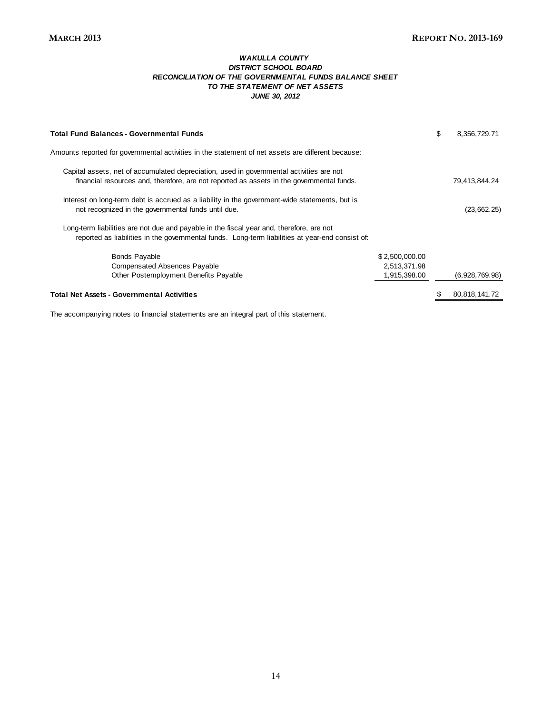#### *JUNE 30, 2012 DISTRICT SCHOOL BOARD WAKULLA COUNTY RECONCILIATION OF THE GOVERNMENTAL FUNDS BALANCE SHEET TO THE STATEMENT OF NET ASSETS*

<span id="page-18-0"></span>

| <b>Total Fund Balances - Governmental Funds</b>                                                                                                                                              |                              | \$<br>8,356,729.71 |
|----------------------------------------------------------------------------------------------------------------------------------------------------------------------------------------------|------------------------------|--------------------|
| Amounts reported for governmental activities in the statement of net assets are different because:                                                                                           |                              |                    |
| Capital assets, net of accumulated depreciation, used in governmental activities are not<br>financial resources and, therefore, are not reported as assets in the governmental funds.        |                              | 79,413,844.24      |
| Interest on long-term debt is accrued as a liability in the government-wide statements, but is<br>not recognized in the governmental funds until due.                                        |                              | (23,662.25)        |
| Long-term liabilities are not due and payable in the fiscal year and, therefore, are not<br>reported as liabilities in the governmental funds. Long-term liabilities at year-end consist of: |                              |                    |
| <b>Bonds Payable</b>                                                                                                                                                                         | \$2,500,000.00               |                    |
| <b>Compensated Absences Payable</b><br>Other Postemployment Benefits Payable                                                                                                                 | 2,513,371.98<br>1,915,398.00 | (6,928,769.98)     |
| <b>Total Net Assets - Governmental Activities</b>                                                                                                                                            |                              | 80,818,141.72      |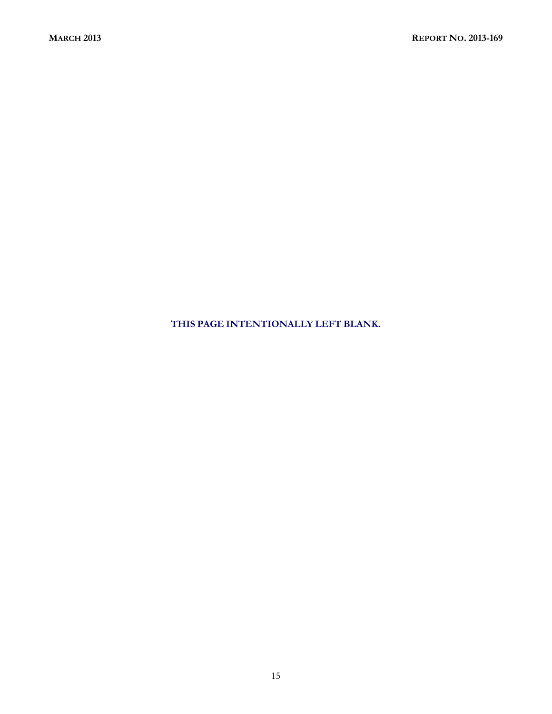# **THIS PAGE INTENTIONALLY LEFT BLANK.**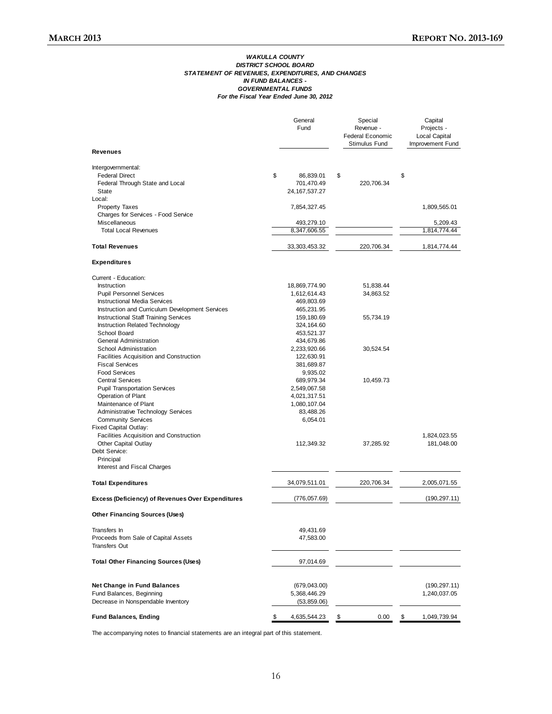#### *For the Fiscal Year Ended June 30, 2012 WAKULLA COUNTY DISTRICT SCHOOL BOARD STATEMENT OF REVENUES, EXPENDITURES, AND CHANGES IN FUND BALANCES - GOVERNMENTAL FUNDS*

<span id="page-20-0"></span>

|                                                              | General<br>Fund    | Special<br>Revenue -<br><b>Federal Economic</b><br>Stimulus Fund | Capital<br>Projects -<br>Local Capital<br>Improvement Fund |
|--------------------------------------------------------------|--------------------|------------------------------------------------------------------|------------------------------------------------------------|
| <b>Revenues</b>                                              |                    |                                                                  |                                                            |
| Intergovernmental:                                           |                    |                                                                  |                                                            |
| <b>Federal Direct</b>                                        | \$<br>86,839.01    | \$                                                               | \$                                                         |
| Federal Through State and Local                              | 701,470.49         | 220,706.34                                                       |                                                            |
| State                                                        | 24, 167, 537. 27   |                                                                  |                                                            |
| Local:                                                       |                    |                                                                  |                                                            |
| <b>Property Taxes</b>                                        | 7,854,327.45       |                                                                  | 1,809,565.01                                               |
| Charges for Services - Food Service                          |                    |                                                                  |                                                            |
| <b>Miscellaneous</b>                                         | 493,279.10         |                                                                  | 5,209.43                                                   |
| <b>Total Local Revenues</b>                                  | 8,347,606.55       |                                                                  | 1,814,774.44                                               |
| <b>Total Revenues</b>                                        | 33,303,453.32      | 220,706.34                                                       | 1,814,774.44                                               |
| <b>Expenditures</b>                                          |                    |                                                                  |                                                            |
| Current - Education:                                         |                    |                                                                  |                                                            |
| Instruction                                                  | 18,869,774.90      | 51,838.44                                                        |                                                            |
| <b>Pupil Personnel Services</b>                              | 1,612,614.43       | 34,863.52                                                        |                                                            |
| <b>Instructional Media Services</b>                          | 469,803.69         |                                                                  |                                                            |
| <b>Instruction and Curriculum Development Services</b>       | 465,231.95         |                                                                  |                                                            |
| <b>Instructional Staff Training Services</b>                 | 159,180.69         | 55,734.19                                                        |                                                            |
| <b>Instruction Related Technology</b>                        | 324, 164.60        |                                                                  |                                                            |
| School Board                                                 | 453,521.37         |                                                                  |                                                            |
| <b>General Administration</b>                                | 434,679.86         |                                                                  |                                                            |
| School Administration                                        | 2,233,920.66       | 30,524.54                                                        |                                                            |
| <b>Facilities Acquisition and Construction</b>               | 122,630.91         |                                                                  |                                                            |
| <b>Fiscal Services</b>                                       | 381,689.87         |                                                                  |                                                            |
| <b>Food Services</b>                                         | 9,935.02           |                                                                  |                                                            |
| <b>Central Services</b>                                      | 689,979.34         | 10,459.73                                                        |                                                            |
| <b>Pupil Transportation Services</b>                         | 2,549,067.58       |                                                                  |                                                            |
| Operation of Plant                                           | 4,021,317.51       |                                                                  |                                                            |
| Maintenance of Plant                                         | 1,080,107.04       |                                                                  |                                                            |
| <b>Administrative Technology Services</b>                    | 83,488.26          |                                                                  |                                                            |
| <b>Community Services</b>                                    | 6,054.01           |                                                                  |                                                            |
| <b>Fixed Capital Outlay:</b>                                 |                    |                                                                  |                                                            |
| <b>Facilities Acquisition and Construction</b>               |                    |                                                                  | 1,824,023.55                                               |
| <b>Other Capital Outlay</b><br>Debt Service:                 | 112,349.32         | 37,285.92                                                        | 181,048.00                                                 |
| Principal                                                    |                    |                                                                  |                                                            |
| Interest and Fiscal Charges                                  |                    |                                                                  |                                                            |
| <b>Total Expenditures</b>                                    | 34,079,511.01      | 220,706.34                                                       | 2,005,071.55                                               |
| <b>Excess (Deficiency) of Revenues Over Expenditures</b>     | (776, 057.69)      |                                                                  | (190, 297.11)                                              |
| <b>Other Financing Sources (Uses)</b>                        |                    |                                                                  |                                                            |
|                                                              |                    |                                                                  |                                                            |
| Transfers In                                                 | 49,431.69          |                                                                  |                                                            |
| Proceeds from Sale of Capital Assets<br><b>Transfers Out</b> | 47,583.00          |                                                                  |                                                            |
| <b>Total Other Financing Sources (Uses)</b>                  | 97,014.69          |                                                                  |                                                            |
| <b>Net Change in Fund Balances</b>                           | (679, 043.00)      |                                                                  | (190, 297.11)                                              |
| Fund Balances, Beginning                                     | 5,368,446.29       |                                                                  | 1,240,037.05                                               |
| Decrease in Nonspendable Inventory                           | (53, 859.06)       |                                                                  |                                                            |
| <b>Fund Balances, Ending</b>                                 | \$<br>4,635,544.23 | \$<br>0.00                                                       | \$<br>1,049,739.94                                         |
|                                                              |                    |                                                                  |                                                            |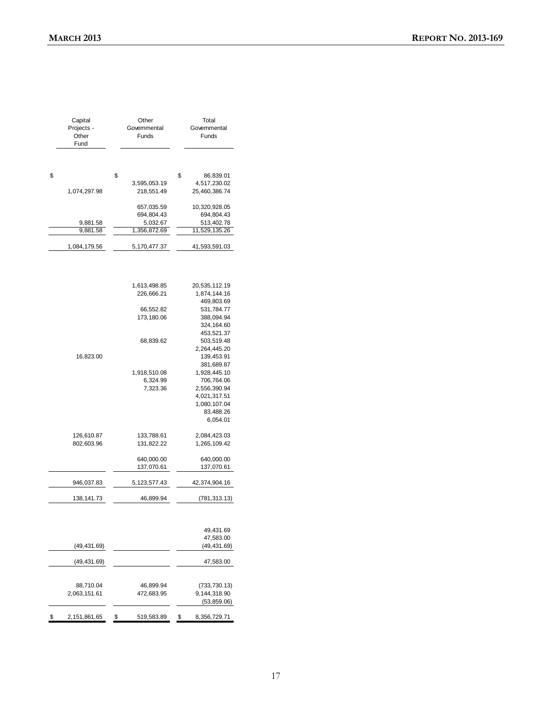| Capital               | Other                      | Total                           |
|-----------------------|----------------------------|---------------------------------|
| Projects -            | Governmental               | Governmental                    |
| Other                 | Funds                      | Funds                           |
| Fund                  |                            |                                 |
|                       |                            |                                 |
|                       |                            |                                 |
| \$                    | \$                         | \$<br>86,839.01<br>4,517,230.02 |
| 1,074,297.98          | 3,595,053.19<br>218,551.49 | 25,460,386.74                   |
|                       |                            |                                 |
|                       | 657,035.59                 | 10,320,928.05                   |
|                       | 694,804.43                 | 694,804.43                      |
| 9,881.58              | 5,032.67                   | 513,402.78                      |
| 9,881.58              | 1,356,872.69               | 11,529, 135.26                  |
| 1,084,179.56          | 5,170,477.37               | 41,593,591.03                   |
|                       |                            |                                 |
|                       | 1,613,498.85               | 20,535,112.19                   |
|                       | 226,666.21                 | 1,874,144.16                    |
|                       |                            | 469,803.69                      |
|                       | 66,552.82                  | 531,784.77                      |
|                       | 173,180.06                 | 388,094.94                      |
|                       |                            | 324,164.60                      |
|                       |                            | 453.521.37                      |
|                       | 68,839.62                  | 503,519.48                      |
|                       |                            | 2,264,445.20                    |
| 16,823.00             |                            | 139,453.91                      |
|                       |                            | 381,689.87                      |
|                       | 1,918,510.08               | 1,928,445.10                    |
|                       | 6,324.99                   | 706,764.06                      |
|                       | 7,323.36                   | 2,556,390.94                    |
|                       |                            | 4,021,317.51                    |
|                       |                            | 1,080,107.04                    |
|                       |                            | 83,488.26                       |
|                       |                            | 6,054.01                        |
| 126,610.87            | 133,788.61                 | 2,084,423.03                    |
| 802,603.96            | 131,822.22                 | 1,265,109.42                    |
|                       | 640,000.00                 | 640,000.00                      |
|                       | 137,070.61                 | 137,070.61                      |
| 946,037.83            | 5,123,577.43               | 42,374,904.16                   |
| 138, 141. 73          | 46,899.94                  | (781, 313.13)                   |
|                       |                            | 49,431.69<br>47,583.00          |
| (49,431.69)           |                            | (49,431.69)                     |
| (49,431.69)           |                            | 47,583.00                       |
|                       |                            |                                 |
| 88,710.04             | 46,899.94                  | (733, 730.13)                   |
| 2,063,151.61          | 472,683.95                 | 9,144,318.90                    |
|                       |                            | (53, 859.06)                    |
| \$<br>2, 151, 861. 65 | \$<br>519,583.89           | \$<br>8,356,729.71              |
|                       |                            |                                 |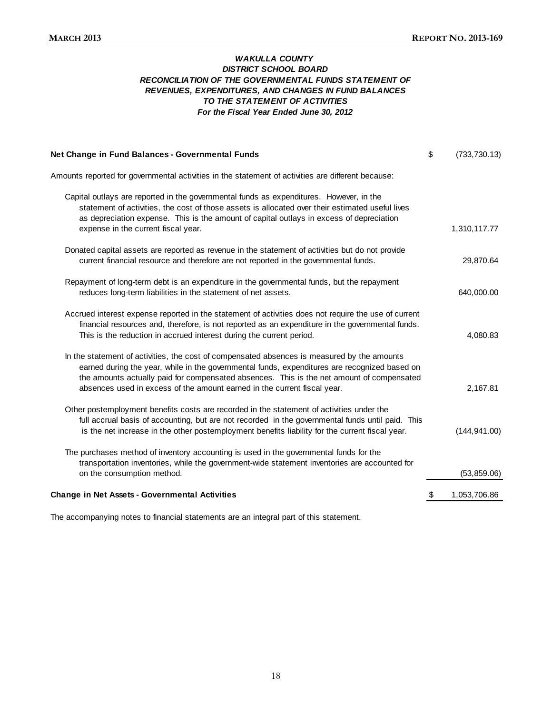#### <span id="page-22-0"></span>*For the Fiscal Year Ended June 30, 2012 REVENUES, EXPENDITURES, AND CHANGES IN FUND BALANCES DISTRICT SCHOOL BOARD WAKULLA COUNTY RECONCILIATION OF THE GOVERNMENTAL FUNDS STATEMENT OF TO THE STATEMENT OF ACTIVITIES*

| Net Change in Fund Balances - Governmental Funds                                                                                                                                                                                                                                                                                                                      | \$<br>(733, 730.13) |
|-----------------------------------------------------------------------------------------------------------------------------------------------------------------------------------------------------------------------------------------------------------------------------------------------------------------------------------------------------------------------|---------------------|
| Amounts reported for governmental activities in the statement of activities are different because:                                                                                                                                                                                                                                                                    |                     |
| Capital outlays are reported in the governmental funds as expenditures. However, in the<br>statement of activities, the cost of those assets is allocated over their estimated useful lives<br>as depreciation expense. This is the amount of capital outlays in excess of depreciation                                                                               |                     |
| expense in the current fiscal year.                                                                                                                                                                                                                                                                                                                                   | 1,310,117.77        |
| Donated capital assets are reported as revenue in the statement of activities but do not provide<br>current financial resource and therefore are not reported in the governmental funds.                                                                                                                                                                              | 29,870.64           |
| Repayment of long-term debt is an expenditure in the governmental funds, but the repayment<br>reduces long-term liabilities in the statement of net assets.                                                                                                                                                                                                           | 640,000.00          |
| Accrued interest expense reported in the statement of activities does not require the use of current<br>financial resources and, therefore, is not reported as an expenditure in the governmental funds.<br>This is the reduction in accrued interest during the current period.                                                                                      | 4,080.83            |
| In the statement of activities, the cost of compensated absences is measured by the amounts<br>earned during the year, while in the governmental funds, expenditures are recognized based on<br>the amounts actually paid for compensated absences. This is the net amount of compensated<br>absences used in excess of the amount earned in the current fiscal year. | 2,167.81            |
| Other postemployment benefits costs are recorded in the statement of activities under the<br>full accrual basis of accounting, but are not recorded in the governmental funds until paid. This<br>is the net increase in the other postemployment benefits liability for the current fiscal year.                                                                     | (144, 941.00)       |
| The purchases method of inventory accounting is used in the governmental funds for the<br>transportation inventories, while the government-wide statement inventories are accounted for<br>on the consumption method.                                                                                                                                                 | (53, 859.06)        |
| <b>Change in Net Assets - Governmental Activities</b>                                                                                                                                                                                                                                                                                                                 | 1,053,706.86        |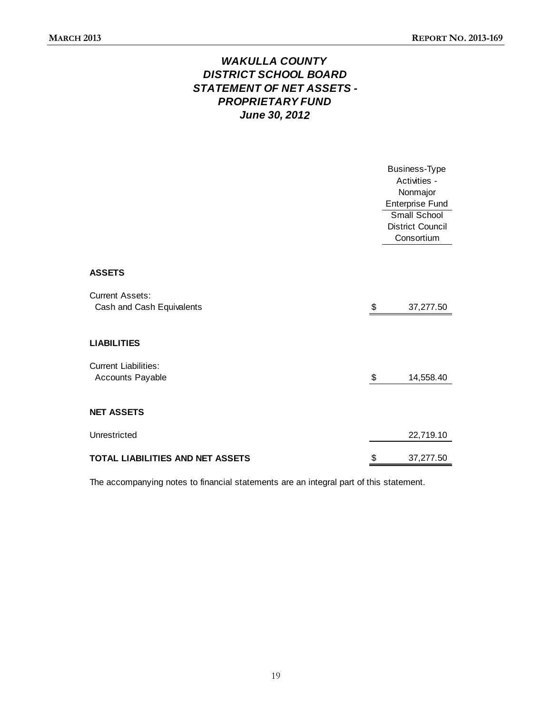# *WAKULLA COUNTY STATEMENT OF NET ASSETS - PROPRIETARY FUND June 30, 2012 DISTRICT SCHOOL BOARD*

<span id="page-23-0"></span>

|                                                     |    | <b>Business-Type</b><br>Activities -<br>Nonmajor<br><b>Enterprise Fund</b><br><b>Small School</b><br><b>District Council</b><br>Consortium |  |
|-----------------------------------------------------|----|--------------------------------------------------------------------------------------------------------------------------------------------|--|
| <b>ASSETS</b>                                       |    |                                                                                                                                            |  |
| <b>Current Assets:</b><br>Cash and Cash Equivalents | \$ | 37,277.50                                                                                                                                  |  |
| <b>LIABILITIES</b>                                  |    |                                                                                                                                            |  |
| <b>Current Liabilities:</b><br>Accounts Payable     | \$ | 14,558.40                                                                                                                                  |  |
| <b>NET ASSETS</b>                                   |    |                                                                                                                                            |  |
| Unrestricted                                        |    | 22,719.10                                                                                                                                  |  |
| TOTAL LIABILITIES AND NET ASSETS                    | S  | 37,277.50                                                                                                                                  |  |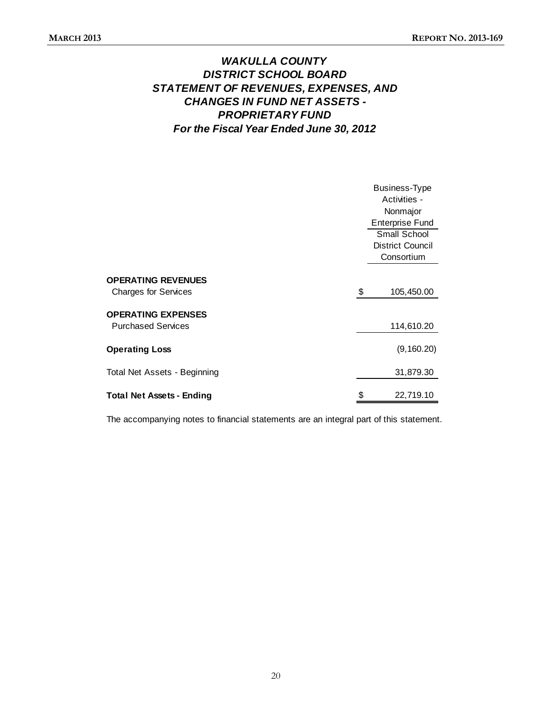# <span id="page-24-0"></span>*DISTRICT SCHOOL BOARD WAKULLA COUNTY STATEMENT OF REVENUES, EXPENSES, AND CHANGES IN FUND NET ASSETS - PROPRIETARY FUND For the Fiscal Year Ended June 30, 2012*

|                                  | <b>Business-Type</b>    |  |  |
|----------------------------------|-------------------------|--|--|
|                                  | Activities -            |  |  |
|                                  | Nonmajor                |  |  |
|                                  | <b>Enterprise Fund</b>  |  |  |
|                                  | Small School            |  |  |
|                                  | <b>District Council</b> |  |  |
|                                  | Consortium              |  |  |
|                                  |                         |  |  |
| <b>OPERATING REVENUES</b>        |                         |  |  |
| <b>Charges for Services</b>      | \$<br>105,450.00        |  |  |
|                                  |                         |  |  |
| <b>OPERATING EXPENSES</b>        |                         |  |  |
| <b>Purchased Services</b>        | 114,610.20              |  |  |
|                                  |                         |  |  |
| <b>Operating Loss</b>            | (9, 160.20)             |  |  |
|                                  |                         |  |  |
| Total Net Assets - Beginning     | 31,879.30               |  |  |
|                                  | 22,719.10               |  |  |
| <b>Total Net Assets - Ending</b> |                         |  |  |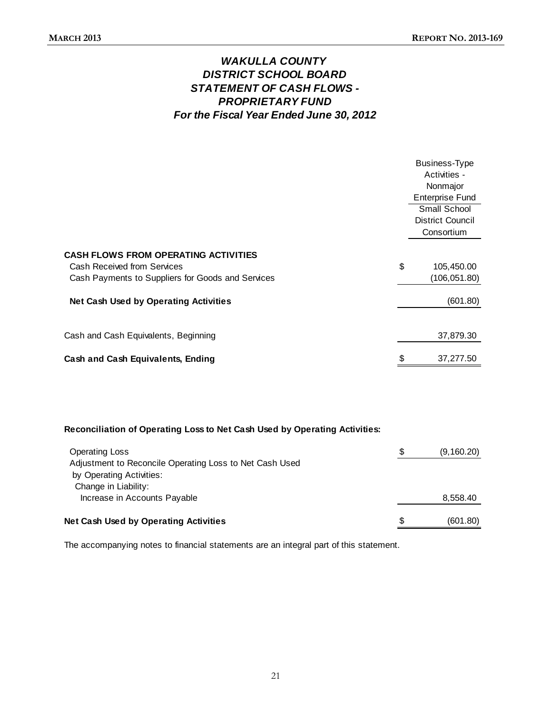# *WAKULLA COUNTY STATEMENT OF CASH FLOWS - PROPRIETARY FUND For the Fiscal Year Ended June 30, 2012 DISTRICT SCHOOL BOARD*

<span id="page-25-0"></span>

|                                                                                                                                 | <b>Business-Type</b><br>Activities -<br>Nonmajor<br><b>Enterprise Fund</b><br>Small School<br><b>District Council</b><br>Consortium |
|---------------------------------------------------------------------------------------------------------------------------------|-------------------------------------------------------------------------------------------------------------------------------------|
| <b>CASH FLOWS FROM OPERATING ACTIVITIES</b><br>Cash Received from Services<br>Cash Payments to Suppliers for Goods and Services | \$<br>105,450.00<br>(106, 051.80)                                                                                                   |
| <b>Net Cash Used by Operating Activities</b>                                                                                    | (601.80)                                                                                                                            |
| Cash and Cash Equivalents, Beginning                                                                                            | 37,879.30                                                                                                                           |
| Cash and Cash Equivalents, Ending                                                                                               | \$<br>37,277.50                                                                                                                     |

### **Reconciliation of Operating Loss to Net Cash Used by Operating Activities:**

| <b>Operating Loss</b>                                   | S | (9, 160.20) |
|---------------------------------------------------------|---|-------------|
| Adjustment to Reconcile Operating Loss to Net Cash Used |   |             |
| by Operating Activities:                                |   |             |
| Change in Liability:                                    |   |             |
| Increase in Accounts Payable                            |   | 8,558.40    |
| <b>Net Cash Used by Operating Activities</b>            | S | (601.80)    |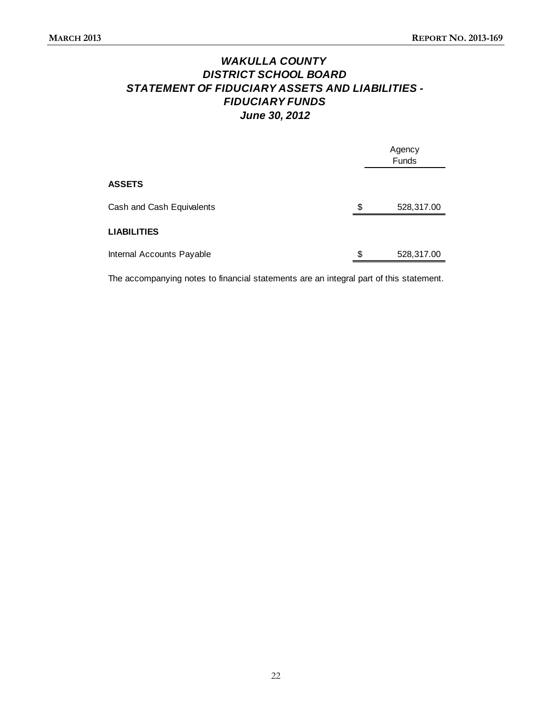# <span id="page-26-0"></span>*June 30, 2012 DISTRICT SCHOOL BOARD WAKULLA COUNTY STATEMENT OF FIDUCIARY ASSETS AND LIABILITIES - FIDUCIARY FUNDS*

|                           | Agency<br>Funds  |
|---------------------------|------------------|
| <b>ASSETS</b>             |                  |
| Cash and Cash Equivalents | \$<br>528,317.00 |
| <b>LIABILITIES</b>        |                  |
| Internal Accounts Payable | \$<br>528,317.00 |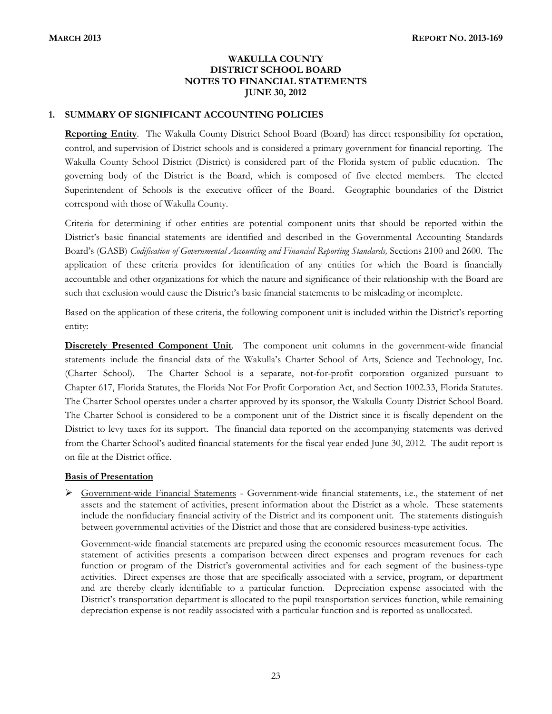### <span id="page-27-0"></span>**1. SUMMARY OF SIGNIFICANT ACCOUNTING POLICIES**

**Reporting Entity**. The Wakulla County District School Board (Board) has direct responsibility for operation, control, and supervision of District schools and is considered a primary government for financial reporting. The Wakulla County School District (District) is considered part of the Florida system of public education. The governing body of the District is the Board, which is composed of five elected members. The elected Superintendent of Schools is the executive officer of the Board. Geographic boundaries of the District correspond with those of Wakulla County.

Criteria for determining if other entities are potential component units that should be reported within the District's basic financial statements are identified and described in the Governmental Accounting Standards Board's (GASB) *Codification of Governmental Accounting and Financial Reporting Standards,* Sections 2100 and 2600. The application of these criteria provides for identification of any entities for which the Board is financially accountable and other organizations for which the nature and significance of their relationship with the Board are such that exclusion would cause the District's basic financial statements to be misleading or incomplete.

Based on the application of these criteria, the following component unit is included within the District's reporting entity:

**Discretely Presented Component Unit**. The component unit columns in the government-wide financial statements include the financial data of the Wakulla's Charter School of Arts, Science and Technology, Inc. (Charter School). The Charter School is a separate, not-for-profit corporation organized pursuant to Chapter 617, Florida Statutes, the Florida Not For Profit Corporation Act, and Section 1002.33, Florida Statutes. The Charter School operates under a charter approved by its sponsor, the Wakulla County District School Board. The Charter School is considered to be a component unit of the District since it is fiscally dependent on the District to levy taxes for its support. The financial data reported on the accompanying statements was derived from the Charter School's audited financial statements for the fiscal year ended June 30, 2012. The audit report is on file at the District office.

#### **Basis of Presentation**

 Government-wide Financial Statements - Government-wide financial statements, i.e., the statement of net assets and the statement of activities, present information about the District as a whole. These statements include the nonfiduciary financial activity of the District and its component unit. The statements distinguish between governmental activities of the District and those that are considered business-type activities.

Government-wide financial statements are prepared using the economic resources measurement focus. The statement of activities presents a comparison between direct expenses and program revenues for each function or program of the District's governmental activities and for each segment of the business-type activities. Direct expenses are those that are specifically associated with a service, program, or department and are thereby clearly identifiable to a particular function. Depreciation expense associated with the District's transportation department is allocated to the pupil transportation services function, while remaining depreciation expense is not readily associated with a particular function and is reported as unallocated.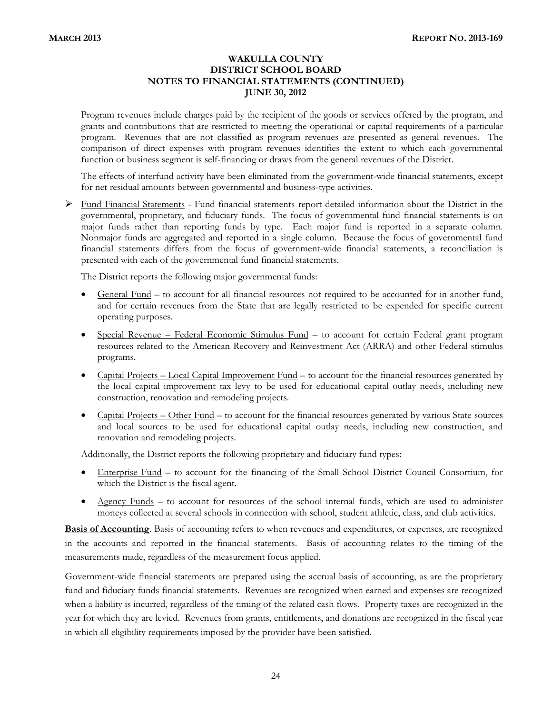Program revenues include charges paid by the recipient of the goods or services offered by the program, and grants and contributions that are restricted to meeting the operational or capital requirements of a particular program. Revenues that are not classified as program revenues are presented as general revenues. The comparison of direct expenses with program revenues identifies the extent to which each governmental function or business segment is self-financing or draws from the general revenues of the District.

The effects of interfund activity have been eliminated from the government-wide financial statements, except for net residual amounts between governmental and business-type activities.

 Fund Financial Statements - Fund financial statements report detailed information about the District in the governmental, proprietary, and fiduciary funds. The focus of governmental fund financial statements is on major funds rather than reporting funds by type. Each major fund is reported in a separate column. Nonmajor funds are aggregated and reported in a single column. Because the focus of governmental fund financial statements differs from the focus of government-wide financial statements, a reconciliation is presented with each of the governmental fund financial statements.

The District reports the following major governmental funds:

- General Fund to account for all financial resources not required to be accounted for in another fund, and for certain revenues from the State that are legally restricted to be expended for specific current operating purposes.
- Special Revenue Federal Economic Stimulus Fund to account for certain Federal grant program resources related to the American Recovery and Reinvestment Act (ARRA) and other Federal stimulus programs.
- Capital Projects Local Capital Improvement Fund to account for the financial resources generated by the local capital improvement tax levy to be used for educational capital outlay needs, including new construction, renovation and remodeling projects.
- Capital Projects Other Fund to account for the financial resources generated by various State sources and local sources to be used for educational capital outlay needs, including new construction, and renovation and remodeling projects.

Additionally, the District reports the following proprietary and fiduciary fund types:

- Enterprise Fund to account for the financing of the Small School District Council Consortium, for which the District is the fiscal agent.
- Agency Funds to account for resources of the school internal funds, which are used to administer moneys collected at several schools in connection with school, student athletic, class, and club activities.

**Basis of Accounting**. Basis of accounting refers to when revenues and expenditures, or expenses, are recognized in the accounts and reported in the financial statements. Basis of accounting relates to the timing of the measurements made, regardless of the measurement focus applied.

Government-wide financial statements are prepared using the accrual basis of accounting, as are the proprietary fund and fiduciary funds financial statements. Revenues are recognized when earned and expenses are recognized when a liability is incurred, regardless of the timing of the related cash flows. Property taxes are recognized in the year for which they are levied. Revenues from grants, entitlements, and donations are recognized in the fiscal year in which all eligibility requirements imposed by the provider have been satisfied.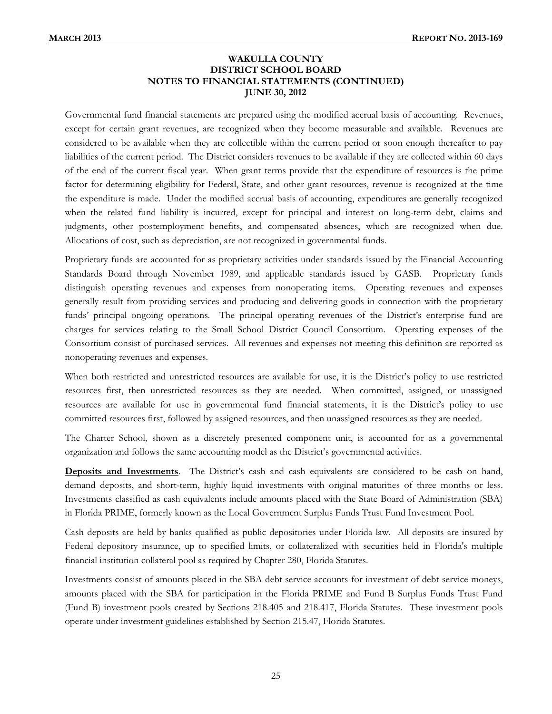Governmental fund financial statements are prepared using the modified accrual basis of accounting. Revenues, except for certain grant revenues, are recognized when they become measurable and available. Revenues are considered to be available when they are collectible within the current period or soon enough thereafter to pay liabilities of the current period. The District considers revenues to be available if they are collected within 60 days of the end of the current fiscal year. When grant terms provide that the expenditure of resources is the prime factor for determining eligibility for Federal, State, and other grant resources, revenue is recognized at the time the expenditure is made. Under the modified accrual basis of accounting, expenditures are generally recognized when the related fund liability is incurred, except for principal and interest on long-term debt, claims and judgments, other postemployment benefits, and compensated absences, which are recognized when due. Allocations of cost, such as depreciation, are not recognized in governmental funds.

Proprietary funds are accounted for as proprietary activities under standards issued by the Financial Accounting Standards Board through November 1989, and applicable standards issued by GASB. Proprietary funds distinguish operating revenues and expenses from nonoperating items. Operating revenues and expenses generally result from providing services and producing and delivering goods in connection with the proprietary funds' principal ongoing operations. The principal operating revenues of the District's enterprise fund are charges for services relating to the Small School District Council Consortium. Operating expenses of the Consortium consist of purchased services. All revenues and expenses not meeting this definition are reported as nonoperating revenues and expenses.

When both restricted and unrestricted resources are available for use, it is the District's policy to use restricted resources first, then unrestricted resources as they are needed. When committed, assigned, or unassigned resources are available for use in governmental fund financial statements, it is the District's policy to use committed resources first, followed by assigned resources, and then unassigned resources as they are needed.

The Charter School, shown as a discretely presented component unit, is accounted for as a governmental organization and follows the same accounting model as the District's governmental activities.

**Deposits and Investments**. The District's cash and cash equivalents are considered to be cash on hand, demand deposits, and short-term, highly liquid investments with original maturities of three months or less. Investments classified as cash equivalents include amounts placed with the State Board of Administration (SBA) in Florida PRIME, formerly known as the Local Government Surplus Funds Trust Fund Investment Pool.

Cash deposits are held by banks qualified as public depositories under Florida law. All deposits are insured by Federal depository insurance, up to specified limits, or collateralized with securities held in Florida's multiple financial institution collateral pool as required by Chapter 280, Florida Statutes.

Investments consist of amounts placed in the SBA debt service accounts for investment of debt service moneys, amounts placed with the SBA for participation in the Florida PRIME and Fund B Surplus Funds Trust Fund (Fund B) investment pools created by Sections 218.405 and 218.417, Florida Statutes. These investment pools operate under investment guidelines established by Section 215.47, Florida Statutes.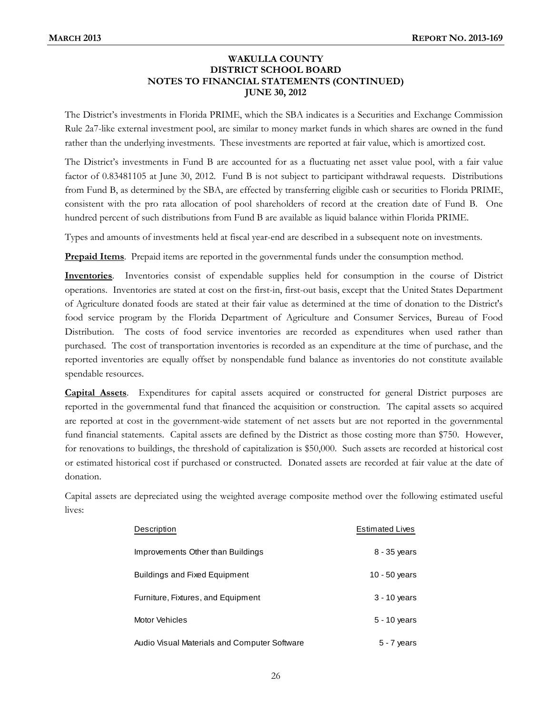The District's investments in Florida PRIME, which the SBA indicates is a Securities and Exchange Commission Rule 2a7-like external investment pool, are similar to money market funds in which shares are owned in the fund rather than the underlying investments. These investments are reported at fair value, which is amortized cost.

The District's investments in Fund B are accounted for as a fluctuating net asset value pool, with a fair value factor of 0.83481105 at June 30, 2012. Fund B is not subject to participant withdrawal requests. Distributions from Fund B, as determined by the SBA, are effected by transferring eligible cash or securities to Florida PRIME, consistent with the pro rata allocation of pool shareholders of record at the creation date of Fund B. One hundred percent of such distributions from Fund B are available as liquid balance within Florida PRIME.

Types and amounts of investments held at fiscal year-end are described in a subsequent note on investments.

**Prepaid Items**. Prepaid items are reported in the governmental funds under the consumption method.

**Inventories**. Inventories consist of expendable supplies held for consumption in the course of District operations. Inventories are stated at cost on the first-in, first-out basis, except that the United States Department of Agriculture donated foods are stated at their fair value as determined at the time of donation to the District's food service program by the Florida Department of Agriculture and Consumer Services, Bureau of Food Distribution. The costs of food service inventories are recorded as expenditures when used rather than purchased. The cost of transportation inventories is recorded as an expenditure at the time of purchase, and the reported inventories are equally offset by nonspendable fund balance as inventories do not constitute available spendable resources.

**Capital Assets**. Expenditures for capital assets acquired or constructed for general District purposes are reported in the governmental fund that financed the acquisition or construction. The capital assets so acquired are reported at cost in the government-wide statement of net assets but are not reported in the governmental fund financial statements. Capital assets are defined by the District as those costing more than \$750. However, for renovations to buildings, the threshold of capitalization is \$50,000. Such assets are recorded at historical cost or estimated historical cost if purchased or constructed. Donated assets are recorded at fair value at the date of donation.

Capital assets are depreciated using the weighted average composite method over the following estimated useful lives:

| Description                                  | <b>Estimated Lives</b> |
|----------------------------------------------|------------------------|
| Improvements Other than Buildings            | 8 - 35 years           |
| <b>Buildings and Fixed Equipment</b>         | 10 $-50$ years         |
| Furniture, Fixtures, and Equipment           | $3 - 10$ years         |
| <b>Motor Vehicles</b>                        | $5 - 10$ years         |
| Audio Visual Materials and Computer Software | $5 - 7$ years          |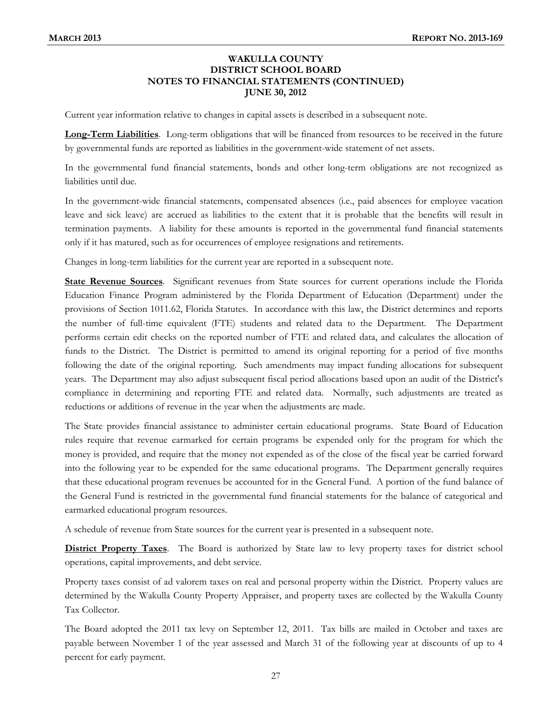Current year information relative to changes in capital assets is described in a subsequent note.

**Long-Term Liabilities**. Long-term obligations that will be financed from resources to be received in the future by governmental funds are reported as liabilities in the government-wide statement of net assets.

In the governmental fund financial statements, bonds and other long-term obligations are not recognized as liabilities until due.

In the government-wide financial statements, compensated absences (i.e., paid absences for employee vacation leave and sick leave) are accrued as liabilities to the extent that it is probable that the benefits will result in termination payments. A liability for these amounts is reported in the governmental fund financial statements only if it has matured, such as for occurrences of employee resignations and retirements.

Changes in long-term liabilities for the current year are reported in a subsequent note.

**State Revenue Sources**. Significant revenues from State sources for current operations include the Florida Education Finance Program administered by the Florida Department of Education (Department) under the provisions of Section 1011.62, Florida Statutes. In accordance with this law, the District determines and reports the number of full-time equivalent (FTE) students and related data to the Department. The Department performs certain edit checks on the reported number of FTE and related data, and calculates the allocation of funds to the District. The District is permitted to amend its original reporting for a period of five months following the date of the original reporting. Such amendments may impact funding allocations for subsequent years. The Department may also adjust subsequent fiscal period allocations based upon an audit of the District's compliance in determining and reporting FTE and related data. Normally, such adjustments are treated as reductions or additions of revenue in the year when the adjustments are made.

The State provides financial assistance to administer certain educational programs. State Board of Education rules require that revenue earmarked for certain programs be expended only for the program for which the money is provided, and require that the money not expended as of the close of the fiscal year be carried forward into the following year to be expended for the same educational programs. The Department generally requires that these educational program revenues be accounted for in the General Fund. A portion of the fund balance of the General Fund is restricted in the governmental fund financial statements for the balance of categorical and earmarked educational program resources.

A schedule of revenue from State sources for the current year is presented in a subsequent note.

**District Property Taxes**. The Board is authorized by State law to levy property taxes for district school operations, capital improvements, and debt service.

Property taxes consist of ad valorem taxes on real and personal property within the District. Property values are determined by the Wakulla County Property Appraiser, and property taxes are collected by the Wakulla County Tax Collector.

The Board adopted the 2011 tax levy on September 12, 2011. Tax bills are mailed in October and taxes are payable between November 1 of the year assessed and March 31 of the following year at discounts of up to 4 percent for early payment.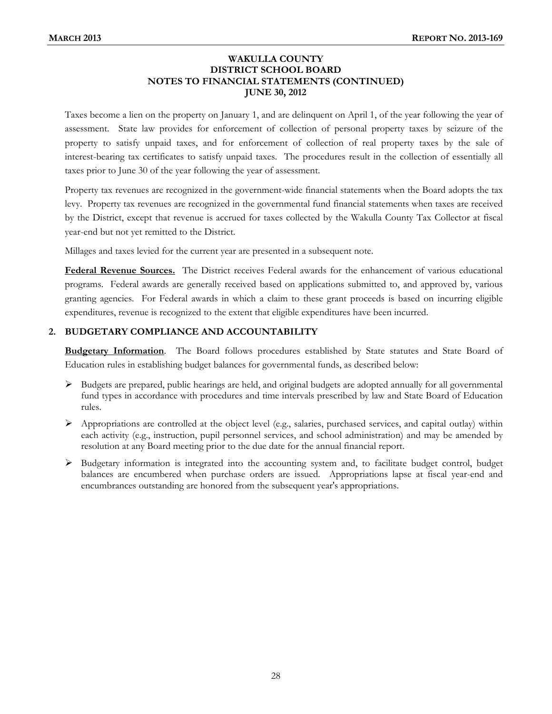Taxes become a lien on the property on January 1, and are delinquent on April 1, of the year following the year of assessment. State law provides for enforcement of collection of personal property taxes by seizure of the property to satisfy unpaid taxes, and for enforcement of collection of real property taxes by the sale of interest-bearing tax certificates to satisfy unpaid taxes. The procedures result in the collection of essentially all taxes prior to June 30 of the year following the year of assessment.

Property tax revenues are recognized in the government-wide financial statements when the Board adopts the tax levy. Property tax revenues are recognized in the governmental fund financial statements when taxes are received by the District, except that revenue is accrued for taxes collected by the Wakulla County Tax Collector at fiscal year-end but not yet remitted to the District.

Millages and taxes levied for the current year are presented in a subsequent note.

**Federal Revenue Sources.** The District receives Federal awards for the enhancement of various educational programs. Federal awards are generally received based on applications submitted to, and approved by, various granting agencies. For Federal awards in which a claim to these grant proceeds is based on incurring eligible expenditures, revenue is recognized to the extent that eligible expenditures have been incurred.

### **2. BUDGETARY COMPLIANCE AND ACCOUNTABILITY**

**Budgetary Information**. The Board follows procedures established by State statutes and State Board of Education rules in establishing budget balances for governmental funds, as described below:

- $\triangleright$  Budgets are prepared, public hearings are held, and original budgets are adopted annually for all governmental fund types in accordance with procedures and time intervals prescribed by law and State Board of Education rules.
- $\triangleright$  Appropriations are controlled at the object level (e.g., salaries, purchased services, and capital outlay) within each activity (e.g., instruction, pupil personnel services, and school administration) and may be amended by resolution at any Board meeting prior to the due date for the annual financial report.
- $\triangleright$  Budgetary information is integrated into the accounting system and, to facilitate budget control, budget balances are encumbered when purchase orders are issued. Appropriations lapse at fiscal year-end and encumbrances outstanding are honored from the subsequent year's appropriations.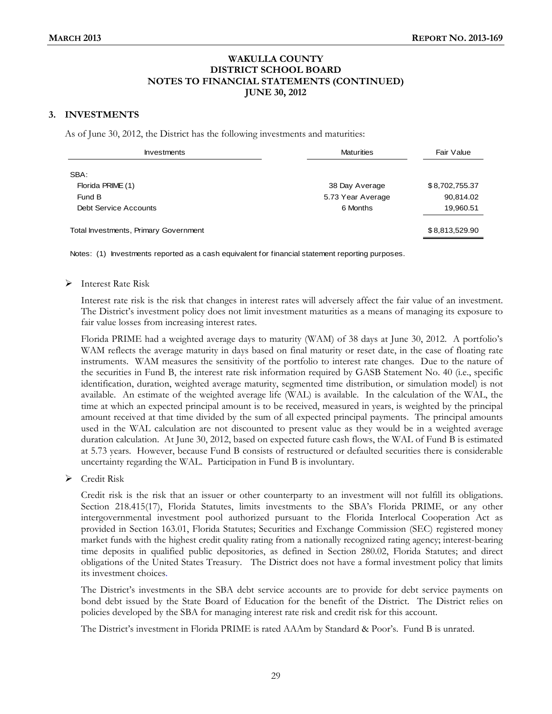#### **3. INVESTMENTS**

As of June 30, 2012, the District has the following investments and maturities:

| <b>Investments</b>                    | <b>Maturities</b> | Fair Value     |
|---------------------------------------|-------------------|----------------|
| SBA:                                  |                   |                |
| Florida PRIME (1)                     | 38 Day Average    | \$8,702,755.37 |
| Fund B                                | 5.73 Year Average | 90,814.02      |
| Debt Service Accounts                 | 6 Months          | 19,960.51      |
| Total Investments, Primary Government |                   | \$8,813,529.90 |

Notes: (1) Investments reported as a cash equivalent for financial statement reporting purposes.

#### > Interest Rate Risk

Interest rate risk is the risk that changes in interest rates will adversely affect the fair value of an investment. The District's investment policy does not limit investment maturities as a means of managing its exposure to fair value losses from increasing interest rates.

Florida PRIME had a weighted average days to maturity (WAM) of 38 days at June 30, 2012. A portfolio's WAM reflects the average maturity in days based on final maturity or reset date, in the case of floating rate instruments. WAM measures the sensitivity of the portfolio to interest rate changes. Due to the nature of the securities in Fund B, the interest rate risk information required by GASB Statement No. 40 (i.e., specific identification, duration, weighted average maturity, segmented time distribution, or simulation model) is not available. An estimate of the weighted average life (WAL) is available. In the calculation of the WAL, the time at which an expected principal amount is to be received, measured in years, is weighted by the principal amount received at that time divided by the sum of all expected principal payments. The principal amounts used in the WAL calculation are not discounted to present value as they would be in a weighted average duration calculation. At June 30, 2012, based on expected future cash flows, the WAL of Fund B is estimated at 5.73 years. However, because Fund B consists of restructured or defaulted securities there is considerable uncertainty regarding the WAL. Participation in Fund B is involuntary.

 $\triangleright$  Credit Risk

Credit risk is the risk that an issuer or other counterparty to an investment will not fulfill its obligations. Section 218.415(17), Florida Statutes, limits investments to the SBA's Florida PRIME, or any other intergovernmental investment pool authorized pursuant to the Florida Interlocal Cooperation Act as provided in Section 163.01, Florida Statutes; Securities and Exchange Commission (SEC) registered money market funds with the highest credit quality rating from a nationally recognized rating agency; interest-bearing time deposits in qualified public depositories, as defined in Section 280.02, Florida Statutes; and direct obligations of the United States Treasury. The District does not have a formal investment policy that limits its investment choices.

The District's investments in the SBA debt service accounts are to provide for debt service payments on bond debt issued by the State Board of Education for the benefit of the District. The District relies on policies developed by the SBA for managing interest rate risk and credit risk for this account.

The District's investment in Florida PRIME is rated AAAm by Standard & Poor's. Fund B is unrated.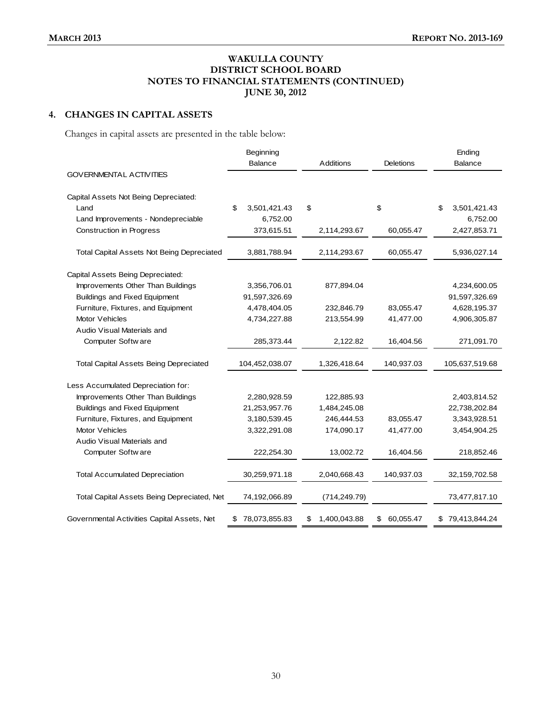## **4. CHANGES IN CAPITAL ASSETS**

Changes in capital assets are presented in the table below:

|                                               | Beginning           |                   |                  | Ending             |
|-----------------------------------------------|---------------------|-------------------|------------------|--------------------|
|                                               | <b>Balance</b>      | <b>Additions</b>  | <b>Deletions</b> | <b>Balance</b>     |
| <b>GOVERNMENTAL ACTIVITIES</b>                |                     |                   |                  |                    |
| Capital Assets Not Being Depreciated:         |                     |                   |                  |                    |
| Land                                          | \$<br>3,501,421.43  | \$                | \$               | \$<br>3,501,421.43 |
| Land Improvements - Nondepreciable            | 6,752.00            |                   |                  | 6,752.00           |
| <b>Construction in Progress</b>               | 373,615.51          | 2,114,293.67      | 60,055.47        | 2,427,853.71       |
| Total Capital Assets Not Being Depreciated    | 3,881,788.94        | 2,114,293.67      | 60,055.47        | 5,936,027.14       |
| Capital Assets Being Depreciated:             |                     |                   |                  |                    |
| Improvements Other Than Buildings             | 3,356,706.01        | 877,894.04        |                  | 4,234,600.05       |
| <b>Buildings and Fixed Equipment</b>          | 91,597,326.69       |                   |                  | 91,597,326.69      |
| Furniture, Fixtures, and Equipment            | 4,478,404.05        | 232,846.79        | 83,055.47        | 4,628,195.37       |
| Motor Vehicles                                | 4,734,227.88        | 213,554.99        | 41,477.00        | 4,906,305.87       |
| Audio Visual Materials and                    |                     |                   |                  |                    |
| Computer Softw are                            | 285,373.44          | 2,122.82          | 16,404.56        | 271,091.70         |
| <b>Total Capital Assets Being Depreciated</b> | 104,452,038.07      | 1,326,418.64      | 140,937.03       | 105,637,519.68     |
| Less Accumulated Depreciation for:            |                     |                   |                  |                    |
| Improvements Other Than Buildings             | 2,280,928.59        | 122,885.93        |                  | 2,403,814.52       |
| <b>Buildings and Fixed Equipment</b>          | 21,253,957.76       | 1,484,245.08      |                  | 22,738,202.84      |
| Furniture, Fixtures, and Equipment            | 3,180,539.45        | 246,444.53        | 83,055.47        | 3,343,928.51       |
| Motor Vehicles                                | 3,322,291.08        | 174,090.17        | 41,477.00        | 3,454,904.25       |
| Audio Visual Materials and                    |                     |                   |                  |                    |
| Computer Softw are                            | 222,254.30          | 13,002.72         | 16,404.56        | 218,852.46         |
| <b>Total Accumulated Depreciation</b>         | 30,259,971.18       | 2,040,668.43      | 140,937.03       | 32,159,702.58      |
| Total Capital Assets Being Depreciated, Net   | 74,192,066.89       | (714, 249.79)     |                  | 73,477,817.10      |
| Governmental Activities Capital Assets, Net   | 78,073,855.83<br>\$ | 1,400,043.88<br>S | 60,055.47<br>\$  | \$79,413,844.24    |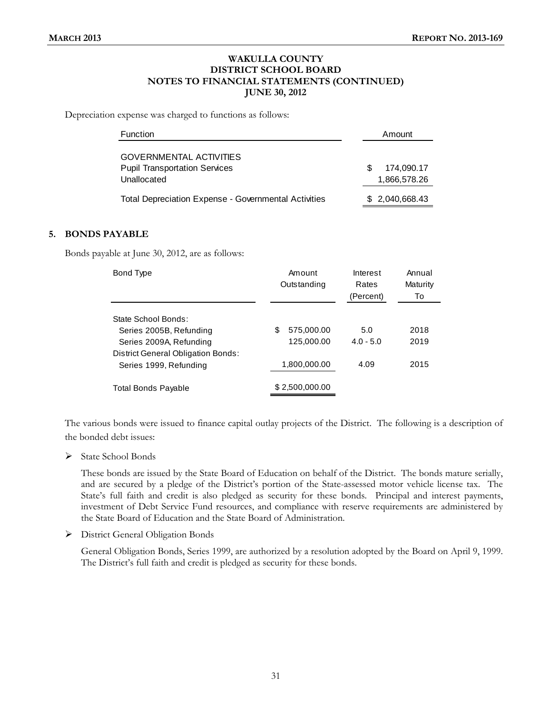Depreciation expense was charged to functions as follows:

| <b>Function</b>                                                                       | Amount                     |  |
|---------------------------------------------------------------------------------------|----------------------------|--|
| <b>GOVERNMENTAL ACTIVITIES</b><br><b>Pupil Transportation Services</b><br>Unallocated | 174,090.17<br>1,866,578.26 |  |
| <b>Total Depreciation Expense - Governmental Activities</b>                           | \$ 2,040,668.43            |  |

## **5. BONDS PAYABLE**

Bonds payable at June 30, 2012, are as follows:

| Bond Type                          | Amount<br>Outstanding | Interest<br>Rates<br>(Percent) | Annual<br>Maturity<br>To |
|------------------------------------|-----------------------|--------------------------------|--------------------------|
| State School Bonds:                |                       |                                |                          |
| Series 2005B, Refunding            | \$<br>575,000,00      | 5.0                            | 2018                     |
| Series 2009A, Refunding            | 125,000.00            | $4.0 - 5.0$                    | 2019                     |
| District General Obligation Bonds: |                       |                                |                          |
| Series 1999, Refunding             | 1,800,000.00          | 4.09                           | 2015                     |
| <b>Total Bonds Payable</b>         | \$2,500,000.00        |                                |                          |

The various bonds were issued to finance capital outlay projects of the District. The following is a description of the bonded debt issues:

State School Bonds

These bonds are issued by the State Board of Education on behalf of the District. The bonds mature serially, and are secured by a pledge of the District's portion of the State-assessed motor vehicle license tax. The State's full faith and credit is also pledged as security for these bonds. Principal and interest payments, investment of Debt Service Fund resources, and compliance with reserve requirements are administered by the State Board of Education and the State Board of Administration.

District General Obligation Bonds

General Obligation Bonds, Series 1999, are authorized by a resolution adopted by the Board on April 9, 1999. The District's full faith and credit is pledged as security for these bonds.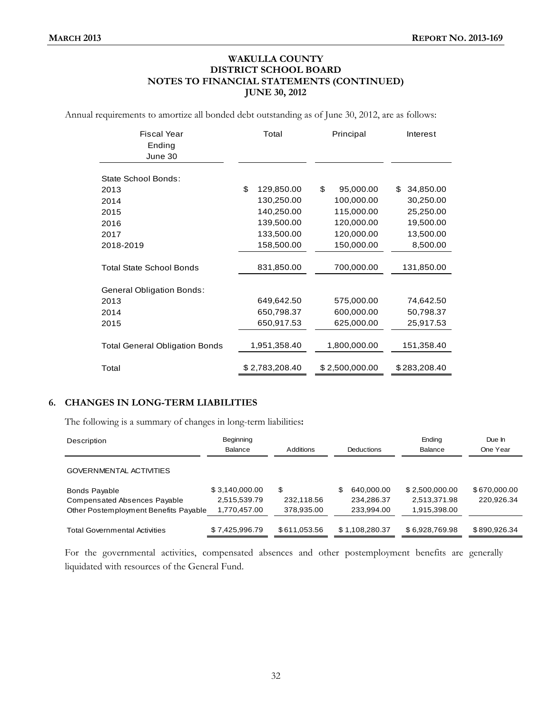Annual requirements to amortize all bonded debt outstanding as of June 30, 2012, are as follows:

| <b>Fiscal Year</b><br>Ending<br>June 30 | Total            | Principal       |  | Interest        |
|-----------------------------------------|------------------|-----------------|--|-----------------|
| State School Bonds:                     |                  |                 |  |                 |
| 2013                                    | \$<br>129,850.00 | \$<br>95,000.00 |  | \$<br>34,850.00 |
| 2014                                    | 130,250.00       | 100,000.00      |  | 30,250.00       |
| 2015                                    | 140,250.00       | 115,000.00      |  | 25,250.00       |
| 2016                                    | 139,500.00       | 120,000.00      |  | 19,500.00       |
| 2017                                    | 133,500.00       | 120,000.00      |  | 13,500.00       |
| 2018-2019                               | 158,500.00       | 150,000.00      |  | 8,500.00        |
| <b>Total State School Bonds</b>         | 831,850.00       | 700,000.00      |  | 131,850.00      |
|                                         |                  |                 |  |                 |
| <b>General Obligation Bonds:</b>        |                  |                 |  |                 |
| 2013                                    | 649,642.50       | 575,000.00      |  | 74,642.50       |
| 2014                                    | 650,798.37       | 600,000.00      |  | 50,798.37       |
| 2015                                    | 650,917.53       | 625,000.00      |  | 25,917.53       |
|                                         |                  |                 |  |                 |
| <b>Total General Obligation Bonds</b>   | 1,951,358.40     | 1,800,000.00    |  | 151,358.40      |
|                                         |                  |                 |  |                 |
| Total                                   | \$2,783,208.40   | \$2,500,000.00  |  | \$283,208.40    |

#### **6. CHANGES IN LONG-TERM LIABILITIES**

The following is a summary of changes in long-term liabilities**:** 

| Description                                                                                          | Beginning<br>Balance                           | Additions                      | <b>Deductions</b>                             | Ending<br>Balance                              |                            |
|------------------------------------------------------------------------------------------------------|------------------------------------------------|--------------------------------|-----------------------------------------------|------------------------------------------------|----------------------------|
| GOVERNMENTAL ACTIVITIES                                                                              |                                                |                                |                                               |                                                |                            |
| <b>Bonds Payable</b><br><b>Compensated Absences Payable</b><br>Other Postemployment Benefits Payable | \$3,140,000.00<br>2,515,539.79<br>1,770,457.00 | \$<br>232,118.56<br>378,935.00 | 640.000.00<br>\$.<br>234.286.37<br>233,994.00 | \$2.500.000.00<br>2,513,371.98<br>1,915,398.00 | \$670,000.00<br>220.926.34 |
| <b>Total Governmental Activities</b>                                                                 | \$7,425,996.79                                 | \$611,053.56                   | \$1,108,280.37                                | \$6,928,769.98                                 | \$890.926.34               |

For the governmental activities, compensated absences and other postemployment benefits are generally liquidated with resources of the General Fund.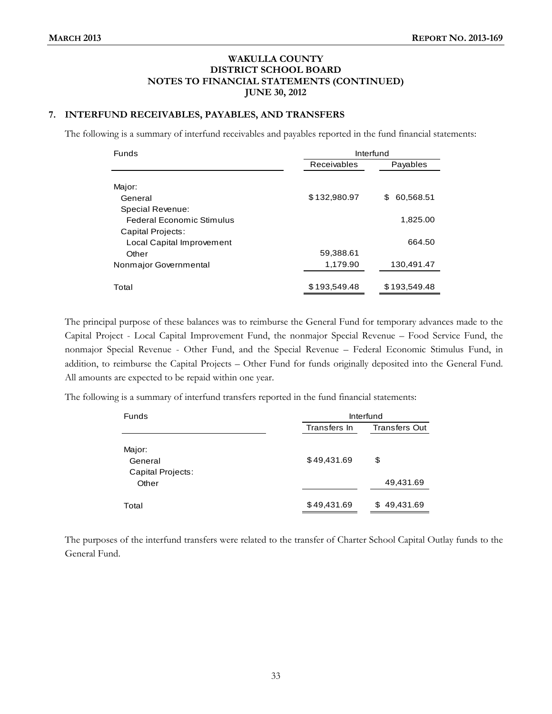### **7. INTERFUND RECEIVABLES, PAYABLES, AND TRANSFERS**

The following is a summary of interfund receivables and payables reported in the fund financial statements:

| <b>Funds</b>                     |              | Interfund        |
|----------------------------------|--------------|------------------|
|                                  | Receivables  | Payables         |
|                                  |              |                  |
| Major:                           |              |                  |
| General                          | \$132,980.97 | 60,568.51<br>\$. |
| Special Revenue:                 |              |                  |
| <b>Federal Economic Stimulus</b> |              | 1,825.00         |
| Capital Projects:                |              |                  |
| Local Capital Improvement        |              | 664.50           |
| Other                            | 59,388.61    |                  |
| Nonmajor Governmental            | 1,179.90     | 130,491.47       |
| Total                            | \$193,549.48 | \$193,549.48     |

The principal purpose of these balances was to reimburse the General Fund for temporary advances made to the Capital Project - Local Capital Improvement Fund, the nonmajor Special Revenue – Food Service Fund, the nonmajor Special Revenue - Other Fund, and the Special Revenue – Federal Economic Stimulus Fund, in addition, to reimburse the Capital Projects – Other Fund for funds originally deposited into the General Fund. All amounts are expected to be repaid within one year.

The following is a summary of interfund transfers reported in the fund financial statements:

| <b>Funds</b>                                    | Interfund    |                      |  |  |
|-------------------------------------------------|--------------|----------------------|--|--|
|                                                 | Transfers In | <b>Transfers Out</b> |  |  |
| Major:<br>General<br>Capital Projects:<br>Other | \$49,431.69  | \$<br>49,431.69      |  |  |
| Total                                           | \$49,431.69  | 49,431.69<br>\$      |  |  |

The purposes of the interfund transfers were related to the transfer of Charter School Capital Outlay funds to the General Fund.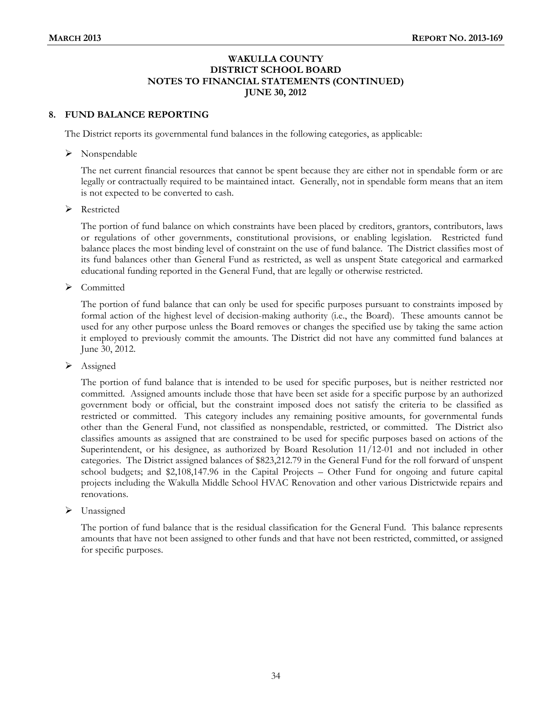#### **8. FUND BALANCE REPORTING**

The District reports its governmental fund balances in the following categories, as applicable:

> Nonspendable

The net current financial resources that cannot be spent because they are either not in spendable form or are legally or contractually required to be maintained intact. Generally, not in spendable form means that an item is not expected to be converted to cash.

> Restricted

The portion of fund balance on which constraints have been placed by creditors, grantors, contributors, laws or regulations of other governments, constitutional provisions, or enabling legislation. Restricted fund balance places the most binding level of constraint on the use of fund balance. The District classifies most of its fund balances other than General Fund as restricted, as well as unspent State categorical and earmarked educational funding reported in the General Fund, that are legally or otherwise restricted.

> Committed

The portion of fund balance that can only be used for specific purposes pursuant to constraints imposed by formal action of the highest level of decision-making authority (i.e., the Board). These amounts cannot be used for any other purpose unless the Board removes or changes the specified use by taking the same action it employed to previously commit the amounts. The District did not have any committed fund balances at June 30, 2012.

> Assigned

The portion of fund balance that is intended to be used for specific purposes, but is neither restricted nor committed. Assigned amounts include those that have been set aside for a specific purpose by an authorized government body or official, but the constraint imposed does not satisfy the criteria to be classified as restricted or committed. This category includes any remaining positive amounts, for governmental funds other than the General Fund, not classified as nonspendable, restricted, or committed. The District also classifies amounts as assigned that are constrained to be used for specific purposes based on actions of the Superintendent, or his designee, as authorized by Board Resolution 11/12-01 and not included in other categories. The District assigned balances of \$823,212.79 in the General Fund for the roll forward of unspent school budgets; and \$2,108,147.96 in the Capital Projects – Other Fund for ongoing and future capital projects including the Wakulla Middle School HVAC Renovation and other various Districtwide repairs and renovations.

> Unassigned

The portion of fund balance that is the residual classification for the General Fund. This balance represents amounts that have not been assigned to other funds and that have not been restricted, committed, or assigned for specific purposes.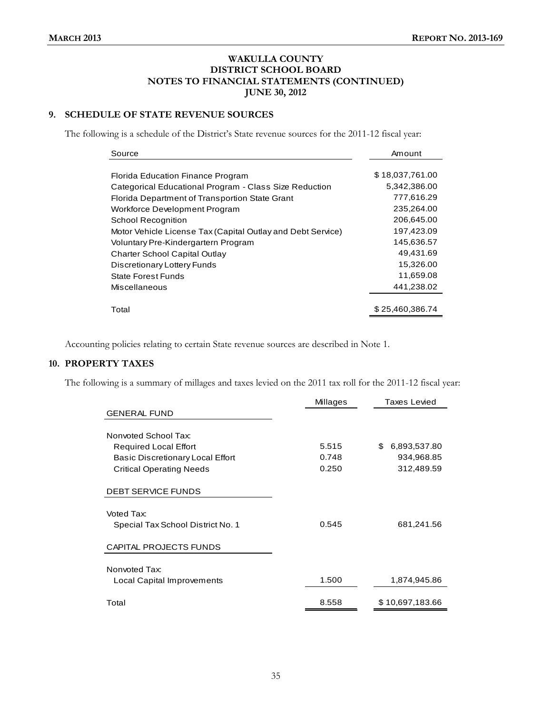## **9. SCHEDULE OF STATE REVENUE SOURCES**

The following is a schedule of the District's State revenue sources for the 2011-12 fiscal year:

| Amount          |
|-----------------|
|                 |
| \$18,037,761.00 |
| 5,342,386.00    |
| 777,616.29      |
| 235,264.00      |
| 206,645.00      |
| 197,423.09      |
| 145.636.57      |
| 49.431.69       |
| 15,326.00       |
| 11,659.08       |
| 441,238.02      |
| \$25,460,386.74 |
|                 |

Accounting policies relating to certain State revenue sources are described in Note 1.

#### **10. PROPERTY TAXES**

The following is a summary of millages and taxes levied on the 2011 tax roll for the 2011-12 fiscal year:

|                                   | Millages | Taxes Levied        |
|-----------------------------------|----------|---------------------|
| <b>GENERAL FUND</b>               |          |                     |
| Nonvoted School Tax:              |          |                     |
| Required Local Effort             | 5.515    | 6,893,537.80<br>\$. |
| Basic Discretionary Local Effort  | 0.748    | 934,968.85          |
| <b>Critical Operating Needs</b>   | 0.250    | 312,489.59          |
| <b>DEBT SERVICE FUNDS</b>         |          |                     |
| Voted Tax:                        |          |                     |
| Special Tax School District No. 1 | 0.545    | 681,241.56          |
| CAPITAL PROJECTS FUNDS            |          |                     |
| Nonvoted Tax:                     |          |                     |
| Local Capital Improvements        | 1.500    | 1,874,945.86        |
| Total                             | 8.558    | \$10,697,183.66     |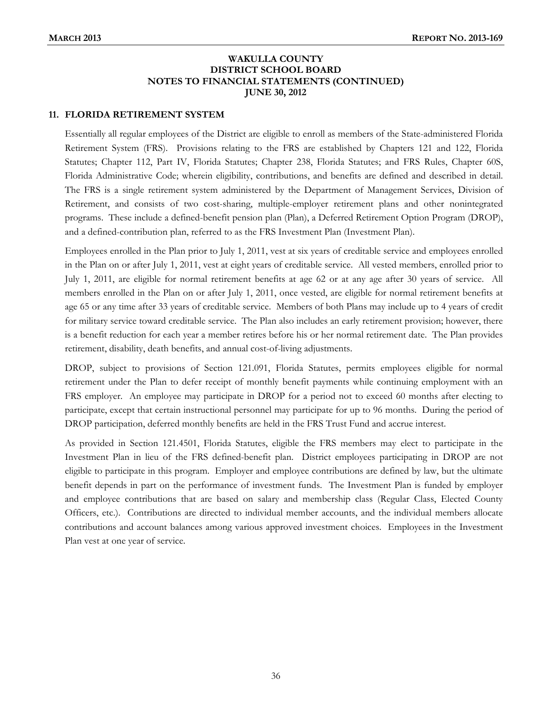#### **11. FLORIDA RETIREMENT SYSTEM**

Essentially all regular employees of the District are eligible to enroll as members of the State-administered Florida Retirement System (FRS). Provisions relating to the FRS are established by Chapters 121 and 122, Florida Statutes; Chapter 112, Part IV, Florida Statutes; Chapter 238, Florida Statutes; and FRS Rules, Chapter 60S, Florida Administrative Code; wherein eligibility, contributions, and benefits are defined and described in detail. The FRS is a single retirement system administered by the Department of Management Services, Division of Retirement, and consists of two cost-sharing, multiple-employer retirement plans and other nonintegrated programs. These include a defined-benefit pension plan (Plan), a Deferred Retirement Option Program (DROP), and a defined-contribution plan, referred to as the FRS Investment Plan (Investment Plan).

Employees enrolled in the Plan prior to July 1, 2011, vest at six years of creditable service and employees enrolled in the Plan on or after July 1, 2011, vest at eight years of creditable service. All vested members, enrolled prior to July 1, 2011, are eligible for normal retirement benefits at age 62 or at any age after 30 years of service. All members enrolled in the Plan on or after July 1, 2011, once vested, are eligible for normal retirement benefits at age 65 or any time after 33 years of creditable service. Members of both Plans may include up to 4 years of credit for military service toward creditable service. The Plan also includes an early retirement provision; however, there is a benefit reduction for each year a member retires before his or her normal retirement date. The Plan provides retirement, disability, death benefits, and annual cost-of-living adjustments.

DROP, subject to provisions of Section 121.091, Florida Statutes, permits employees eligible for normal retirement under the Plan to defer receipt of monthly benefit payments while continuing employment with an FRS employer. An employee may participate in DROP for a period not to exceed 60 months after electing to participate, except that certain instructional personnel may participate for up to 96 months. During the period of DROP participation, deferred monthly benefits are held in the FRS Trust Fund and accrue interest.

As provided in Section 121.4501, Florida Statutes, eligible the FRS members may elect to participate in the Investment Plan in lieu of the FRS defined-benefit plan. District employees participating in DROP are not eligible to participate in this program. Employer and employee contributions are defined by law, but the ultimate benefit depends in part on the performance of investment funds. The Investment Plan is funded by employer and employee contributions that are based on salary and membership class (Regular Class, Elected County Officers, etc.). Contributions are directed to individual member accounts, and the individual members allocate contributions and account balances among various approved investment choices. Employees in the Investment Plan vest at one year of service.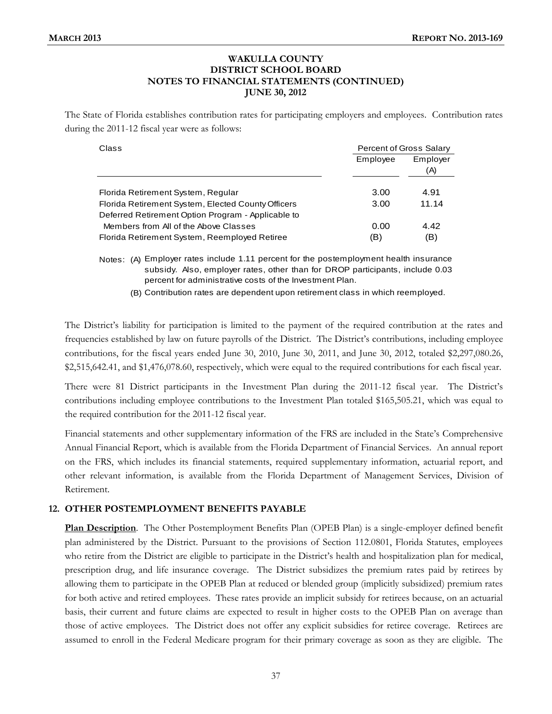The State of Florida establishes contribution rates for participating employers and employees. Contribution rates during the 2011-12 fiscal year were as follows:

| Class                                              |          | Percent of Gross Salary |  |  |  |
|----------------------------------------------------|----------|-------------------------|--|--|--|
|                                                    | Employee | Employer                |  |  |  |
|                                                    |          | (A)                     |  |  |  |
|                                                    |          |                         |  |  |  |
| Florida Retirement System, Regular                 | 3.00     | 4.91                    |  |  |  |
| Florida Retirement System, Elected County Officers | 3.00     | 11.14                   |  |  |  |
| Deferred Retirement Option Program - Applicable to |          |                         |  |  |  |
| Members from All of the Above Classes              | 0.00     | 4.42                    |  |  |  |
| Florida Retirement System, Reemployed Retiree      | (B)      | (B)                     |  |  |  |

Notes: (A) Employer rates include 1.11 percent for the postemployment health insurance subsidy. Also, employer rates, other than for DROP participants, include 0.03 percent for administrative costs of the Investment Plan.

(B) Contribution rates are dependent upon retirement class in which reemployed.

The District's liability for participation is limited to the payment of the required contribution at the rates and frequencies established by law on future payrolls of the District. The District's contributions, including employee contributions, for the fiscal years ended June 30, 2010, June 30, 2011, and June 30, 2012, totaled \$2,297,080.26, \$2,515,642.41, and \$1,476,078.60, respectively, which were equal to the required contributions for each fiscal year.

There were 81 District participants in the Investment Plan during the 2011-12 fiscal year. The District's contributions including employee contributions to the Investment Plan totaled \$165,505.21, which was equal to the required contribution for the 2011-12 fiscal year.

Financial statements and other supplementary information of the FRS are included in the State's Comprehensive Annual Financial Report, which is available from the Florida Department of Financial Services. An annual report on the FRS, which includes its financial statements, required supplementary information, actuarial report, and other relevant information, is available from the Florida Department of Management Services, Division of Retirement.

### **12. OTHER POSTEMPLOYMENT BENEFITS PAYABLE**

**Plan Description**. The Other Postemployment Benefits Plan (OPEB Plan) is a single-employer defined benefit plan administered by the District. Pursuant to the provisions of Section 112.0801, Florida Statutes, employees who retire from the District are eligible to participate in the District's health and hospitalization plan for medical, prescription drug, and life insurance coverage. The District subsidizes the premium rates paid by retirees by allowing them to participate in the OPEB Plan at reduced or blended group (implicitly subsidized) premium rates for both active and retired employees. These rates provide an implicit subsidy for retirees because, on an actuarial basis, their current and future claims are expected to result in higher costs to the OPEB Plan on average than those of active employees. The District does not offer any explicit subsidies for retiree coverage. Retirees are assumed to enroll in the Federal Medicare program for their primary coverage as soon as they are eligible. The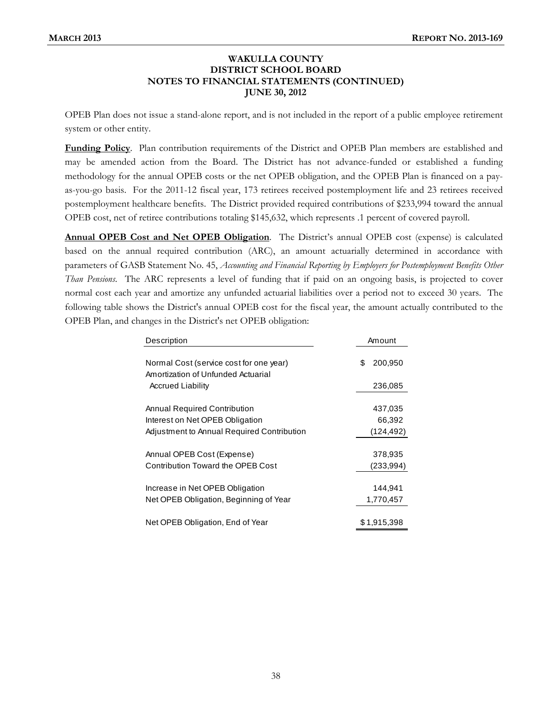OPEB Plan does not issue a stand-alone report, and is not included in the report of a public employee retirement system or other entity.

**Funding Policy**. Plan contribution requirements of the District and OPEB Plan members are established and may be amended action from the Board. The District has not advance-funded or established a funding methodology for the annual OPEB costs or the net OPEB obligation, and the OPEB Plan is financed on a payas-you-go basis. For the 2011-12 fiscal year, 173 retirees received postemployment life and 23 retirees received postemployment healthcare benefits. The District provided required contributions of \$233,994 toward the annual OPEB cost, net of retiree contributions totaling \$145,632, which represents .1 percent of covered payroll.

**Annual OPEB Cost and Net OPEB Obligation**. The District's annual OPEB cost (expense) is calculated based on the annual required contribution (ARC), an amount actuarially determined in accordance with parameters of GASB Statement No. 45, *Accounting and Financial Reporting by Employers for Postemployment Benefits Other Than Pensions*. The ARC represents a level of funding that if paid on an ongoing basis, is projected to cover normal cost each year and amortize any unfunded actuarial liabilities over a period not to exceed 30 years. The following table shows the District's annual OPEB cost for the fiscal year, the amount actually contributed to the OPEB Plan, and changes in the District's net OPEB obligation:

| Description                                                                   | Amount        |
|-------------------------------------------------------------------------------|---------------|
| Normal Cost (service cost for one year)<br>Amortization of Unfunded Actuarial | \$<br>200,950 |
| <b>Accrued Liability</b>                                                      | 236,085       |
|                                                                               |               |
| <b>Annual Required Contribution</b>                                           | 437,035       |
| Interest on Net OPEB Obligation                                               | 66,392        |
| Adjustment to Annual Required Contribution                                    | (124, 492)    |
|                                                                               |               |
| Annual OPEB Cost (Expense)                                                    | 378,935       |
| Contribution Toward the OPEB Cost                                             | (233,994)     |
|                                                                               |               |
| Increase in Net OPEB Obligation                                               | 144,941       |
| Net OPEB Obligation, Beginning of Year                                        | 1,770,457     |
| Net OPEB Obligation, End of Year                                              | \$1,915,398   |
|                                                                               |               |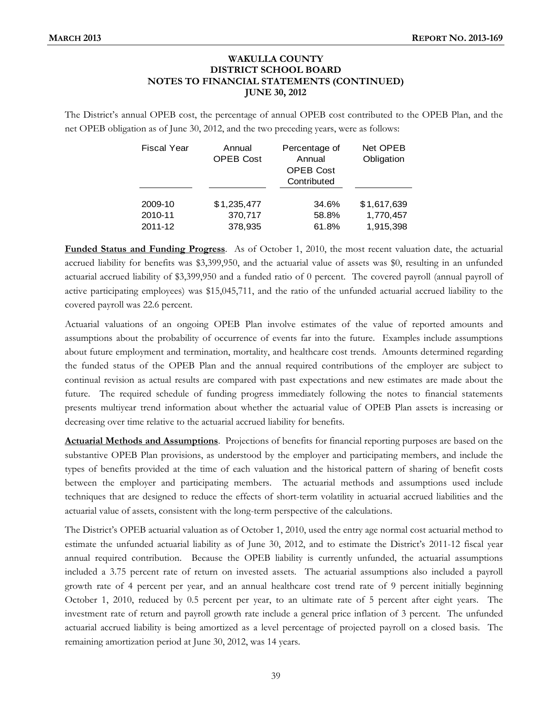The District's annual OPEB cost, the percentage of annual OPEB cost contributed to the OPEB Plan, and the net OPEB obligation as of June 30, 2012, and the two preceding years, were as follows:

| <b>Fiscal Year</b> | Annual<br><b>OPEB Cost</b> | Percentage of<br>Annual<br><b>OPEB Cost</b><br>Contributed | Net OPEB<br>Obligation |  |  |
|--------------------|----------------------------|------------------------------------------------------------|------------------------|--|--|
| 2009-10            | \$1,235,477                | 34.6%                                                      | \$1,617,639            |  |  |
| 2010-11            | 370,717                    | 58.8%                                                      | 1,770,457              |  |  |
| 2011-12            | 378,935                    | 61.8%                                                      | 1,915,398              |  |  |

**Funded Status and Funding Progress**. As of October 1, 2010, the most recent valuation date, the actuarial accrued liability for benefits was \$3,399,950, and the actuarial value of assets was \$0, resulting in an unfunded actuarial accrued liability of \$3,399,950 and a funded ratio of 0 percent. The covered payroll (annual payroll of active participating employees) was \$15,045,711, and the ratio of the unfunded actuarial accrued liability to the covered payroll was 22.6 percent.

Actuarial valuations of an ongoing OPEB Plan involve estimates of the value of reported amounts and assumptions about the probability of occurrence of events far into the future. Examples include assumptions about future employment and termination, mortality, and healthcare cost trends. Amounts determined regarding the funded status of the OPEB Plan and the annual required contributions of the employer are subject to continual revision as actual results are compared with past expectations and new estimates are made about the future. The required schedule of funding progress immediately following the notes to financial statements presents multiyear trend information about whether the actuarial value of OPEB Plan assets is increasing or decreasing over time relative to the actuarial accrued liability for benefits.

**Actuarial Methods and Assumptions**. Projections of benefits for financial reporting purposes are based on the substantive OPEB Plan provisions, as understood by the employer and participating members, and include the types of benefits provided at the time of each valuation and the historical pattern of sharing of benefit costs between the employer and participating members. The actuarial methods and assumptions used include techniques that are designed to reduce the effects of short-term volatility in actuarial accrued liabilities and the actuarial value of assets, consistent with the long-term perspective of the calculations.

The District's OPEB actuarial valuation as of October 1, 2010, used the entry age normal cost actuarial method to estimate the unfunded actuarial liability as of June 30, 2012, and to estimate the District's 2011-12 fiscal year annual required contribution. Because the OPEB liability is currently unfunded, the actuarial assumptions included a 3.75 percent rate of return on invested assets. The actuarial assumptions also included a payroll growth rate of 4 percent per year, and an annual healthcare cost trend rate of 9 percent initially beginning October 1, 2010, reduced by 0.5 percent per year, to an ultimate rate of 5 percent after eight years. The investment rate of return and payroll growth rate include a general price inflation of 3 percent. The unfunded actuarial accrued liability is being amortized as a level percentage of projected payroll on a closed basis. The remaining amortization period at June 30, 2012, was 14 years.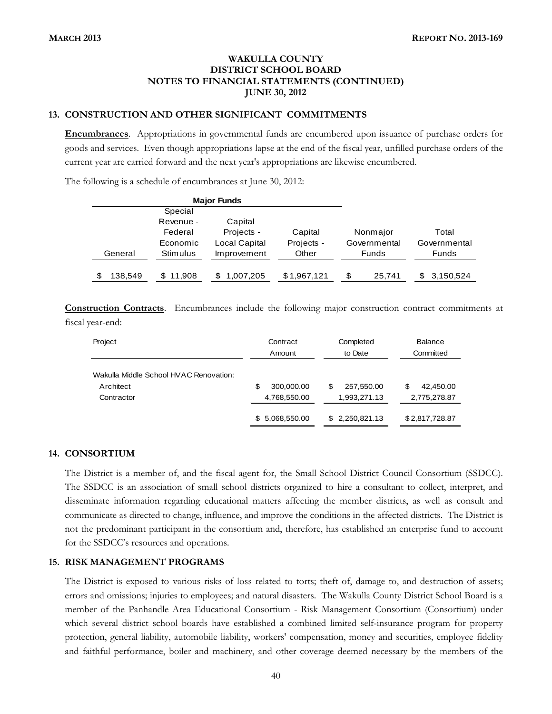#### **13. CONSTRUCTION AND OTHER SIGNIFICANT COMMITMENTS**

**Encumbrances**. Appropriations in governmental funds are encumbered upon issuance of purchase orders for goods and services. Even though appropriations lapse at the end of the fiscal year, unfilled purchase orders of the current year are carried forward and the next year's appropriations are likewise encumbered.

The following is a schedule of encumbrances at June 30, 2012:

|         |              | <b>Major Funds</b> |             |              |              |
|---------|--------------|--------------------|-------------|--------------|--------------|
|         | Special      |                    |             |              |              |
|         | Revenue -    | Capital            |             |              |              |
|         | Federal      | Projects -         | Capital     | Nonmajor     | Total        |
|         | Economic     | Local Capital      | Projects -  | Governmental | Governmental |
| General | Stimulus     | Improvement        | Other       | Funds        | <b>Funds</b> |
|         |              |                    |             |              |              |
| 138,549 | 11,908<br>S. | 1,007,205          | \$1,967,121 | \$<br>25,741 | 3,150,524    |

**Construction Contracts**. Encumbrances include the following major construction contract commitments at fiscal year-end:

| Project                                | Contract       | Completed      | Balance        |
|----------------------------------------|----------------|----------------|----------------|
|                                        | Amount         | to Date        | Committed      |
| Wakulla Middle School HVAC Renovation: | 300,000.00     | 257,550.00     | \$             |
| Architect                              | \$             | \$             | 42,450.00      |
| Contractor                             | 4,768,550.00   | 1,993,271.13   | 2,775,278.87   |
|                                        | \$5,068,550.00 | \$2,250,821.13 | \$2,817,728.87 |

#### **14. CONSORTIUM**

The District is a member of, and the fiscal agent for, the Small School District Council Consortium (SSDCC). The SSDCC is an association of small school districts organized to hire a consultant to collect, interpret, and disseminate information regarding educational matters affecting the member districts, as well as consult and communicate as directed to change, influence, and improve the conditions in the affected districts. The District is not the predominant participant in the consortium and, therefore, has established an enterprise fund to account for the SSDCC's resources and operations.

#### **15. RISK MANAGEMENT PROGRAMS**

The District is exposed to various risks of loss related to torts; theft of, damage to, and destruction of assets; errors and omissions; injuries to employees; and natural disasters. The Wakulla County District School Board is a member of the Panhandle Area Educational Consortium - Risk Management Consortium (Consortium) under which several district school boards have established a combined limited self-insurance program for property protection, general liability, automobile liability, workers' compensation, money and securities, employee fidelity and faithful performance, boiler and machinery, and other coverage deemed necessary by the members of the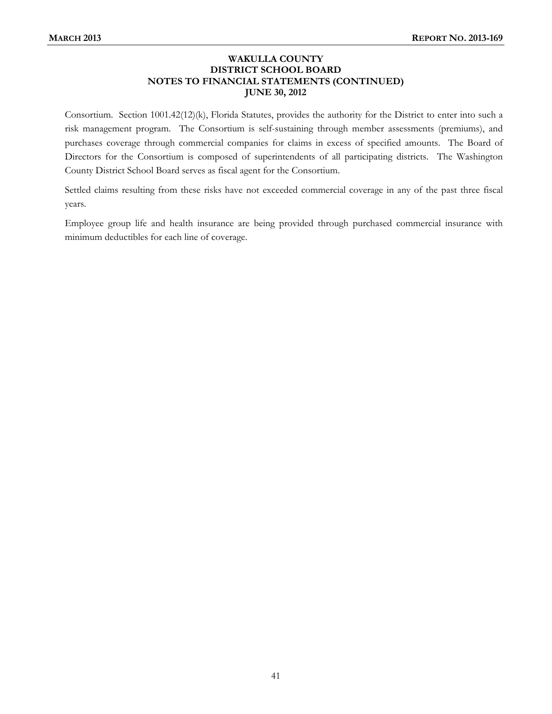Consortium. Section 1001.42(12)(k), Florida Statutes, provides the authority for the District to enter into such a risk management program. The Consortium is self-sustaining through member assessments (premiums), and purchases coverage through commercial companies for claims in excess of specified amounts. The Board of Directors for the Consortium is composed of superintendents of all participating districts. The Washington County District School Board serves as fiscal agent for the Consortium.

Settled claims resulting from these risks have not exceeded commercial coverage in any of the past three fiscal years.

Employee group life and health insurance are being provided through purchased commercial insurance with minimum deductibles for each line of coverage.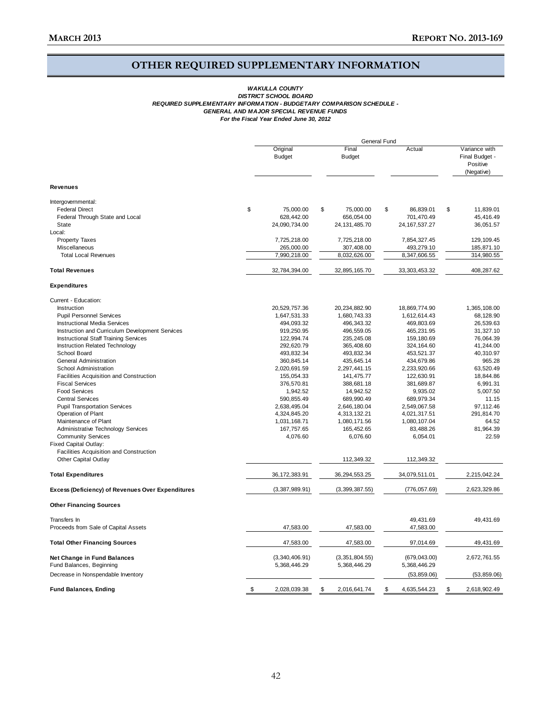## **OTHER REQUIRED SUPPLEMENTARY INFORMATION**

#### *WAKULLA COUNTY DISTRICT SCHOOL BOARD REQUIRED SUPPLEMENTARY INFORMATION - BUDGETARY COMPARISON SCHEDULE - GENERAL AND MAJOR SPECIAL REVENUE FUNDS For the Fiscal Year Ended June 30, 2012*

<span id="page-46-0"></span>

|                                                                 | General Fund               |    |                            |    |                            |    |                                                           |
|-----------------------------------------------------------------|----------------------------|----|----------------------------|----|----------------------------|----|-----------------------------------------------------------|
|                                                                 | Original<br><b>Budget</b>  |    | Final<br><b>Budget</b>     |    | Actual                     |    | Variance with<br>Final Budget -<br>Positive<br>(Negative) |
| <b>Revenues</b>                                                 |                            |    |                            |    |                            |    |                                                           |
| Intergovernmental:                                              |                            |    |                            |    |                            |    |                                                           |
| <b>Federal Direct</b>                                           | \$<br>75,000.00            | \$ | 75,000.00                  | \$ | 86,839.01                  | \$ | 11,839.01                                                 |
| Federal Through State and Local                                 | 628,442.00                 |    | 656,054.00                 |    | 701,470.49                 |    | 45,416.49                                                 |
| <b>State</b>                                                    | 24,090,734.00              |    | 24, 131, 485. 70           |    | 24, 167, 537. 27           |    | 36,051.57                                                 |
| Local:                                                          |                            |    |                            |    |                            |    |                                                           |
| <b>Property Taxes</b><br>Miscellaneous                          | 7,725,218.00<br>265,000.00 |    | 7,725,218.00<br>307,408.00 |    | 7,854,327.45<br>493,279.10 |    | 129,109.45<br>185,871.10                                  |
| <b>Total Local Revenues</b>                                     | 7,990,218.00               |    | 8,032,626.00               |    | 8,347,606.55               |    | 314,980.55                                                |
|                                                                 |                            |    |                            |    |                            |    |                                                           |
| <b>Total Revenues</b>                                           | 32,784,394.00              |    | 32,895,165.70              |    | 33, 303, 453. 32           |    | 408.287.62                                                |
| <b>Expenditures</b>                                             |                            |    |                            |    |                            |    |                                                           |
| Current - Education:                                            |                            |    |                            |    |                            |    |                                                           |
| Instruction                                                     | 20,529,757.36              |    | 20,234,882.90              |    | 18,869,774.90              |    | 1,365,108.00                                              |
| <b>Pupil Personnel Services</b>                                 | 1,647,531.33               |    | 1,680,743.33               |    | 1,612,614.43               |    | 68,128.90                                                 |
| <b>Instructional Media Services</b>                             | 494,093.32                 |    | 496,343.32                 |    | 469,803.69                 |    | 26,539.63                                                 |
| Instruction and Curriculum Development Services                 | 919,250.95                 |    | 496,559.05                 |    | 465,231.95                 |    | 31,327.10                                                 |
| <b>Instructional Staff Training Services</b>                    | 122,994.74                 |    | 235,245.08                 |    | 159,180.69                 |    | 76,064.39                                                 |
| Instruction Related Technology<br>School Board                  | 292,620.79<br>493,832.34   |    | 365,408.60<br>493,832.34   |    | 324, 164.60<br>453,521.37  |    | 41,244.00<br>40,310.97                                    |
| <b>General Administration</b>                                   | 360,845.14                 |    | 435,645.14                 |    | 434,679.86                 |    | 965.28                                                    |
| School Administration                                           | 2,020,691.59               |    | 2,297,441.15               |    | 2,233,920.66               |    | 63,520.49                                                 |
| Facilities Acquisition and Construction                         | 155,054.33                 |    | 141,475.77                 |    | 122,630.91                 |    | 18,844.86                                                 |
| <b>Fiscal Services</b>                                          | 376,570.81                 |    | 388,681.18                 |    | 381,689.87                 |    | 6,991.31                                                  |
| <b>Food Services</b>                                            | 1,942.52                   |    | 14,942.52                  |    | 9,935.02                   |    | 5,007.50                                                  |
| <b>Central Services</b>                                         | 590, 855.49                |    | 689,990.49                 |    | 689,979.34                 |    | 11.15                                                     |
| <b>Pupil Transportation Services</b>                            | 2,638,495.04               |    | 2,646,180.04               |    | 2,549,067.58               |    | 97,112.46                                                 |
| Operation of Plant                                              | 4,324,845.20               |    | 4,313,132.21               |    | 4,021,317.51               |    | 291,814.70                                                |
| Maintenance of Plant                                            | 1,031,168.71               |    | 1,080,171.56               |    | 1,080,107.04               |    | 64.52                                                     |
| <b>Administrative Technology Services</b>                       | 167,757.65                 |    | 165,452.65                 |    | 83,488.26                  |    | 81,964.39                                                 |
| <b>Community Services</b>                                       | 4,076.60                   |    | 6,076.60                   |    | 6,054.01                   |    | 22.59                                                     |
| Fixed Capital Outlay:                                           |                            |    |                            |    |                            |    |                                                           |
| Facilities Acquisition and Construction<br>Other Capital Outlay |                            |    | 112,349.32                 |    | 112,349.32                 |    |                                                           |
|                                                                 |                            |    |                            |    |                            |    |                                                           |
| <b>Total Expenditures</b>                                       | 36, 172, 383. 91           |    | 36,294,553.25              |    | 34,079,511.01              |    | 2,215,042.24                                              |
| Excess (Deficiency) of Revenues Over Expenditures               | (3,387,989.91)             |    | (3,399,387.55)             |    | (776, 057.69)              |    | 2,623,329.86                                              |
| <b>Other Financing Sources</b>                                  |                            |    |                            |    |                            |    |                                                           |
| Transfers In                                                    |                            |    |                            |    | 49,431.69                  |    | 49,431.69                                                 |
| Proceeds from Sale of Capital Assets                            | 47,583.00                  |    | 47,583.00                  |    | 47,583.00                  |    |                                                           |
|                                                                 |                            |    |                            |    |                            |    |                                                           |
| <b>Total Other Financing Sources</b>                            | 47,583.00                  |    | 47,583.00                  |    | 97,014.69                  |    | 49,431.69                                                 |
| Net Change in Fund Balances                                     | (3,340,406.91)             |    | (3, 351, 804.55)           |    | (679, 043.00)              |    | 2,672,761.55                                              |
| Fund Balances, Beginning                                        | 5,368,446.29               |    | 5,368,446.29               |    | 5,368,446.29               |    |                                                           |
| Decrease in Nonspendable Inventory                              |                            |    |                            |    | (53, 859.06)               |    | (53, 859.06)                                              |
|                                                                 |                            |    |                            |    |                            |    |                                                           |
| <b>Fund Balances, Ending</b>                                    | \$<br>2,028,039.38         | \$ | 2,016,641.74               | \$ | 4,635,544.23               | \$ | 2,618,902.49                                              |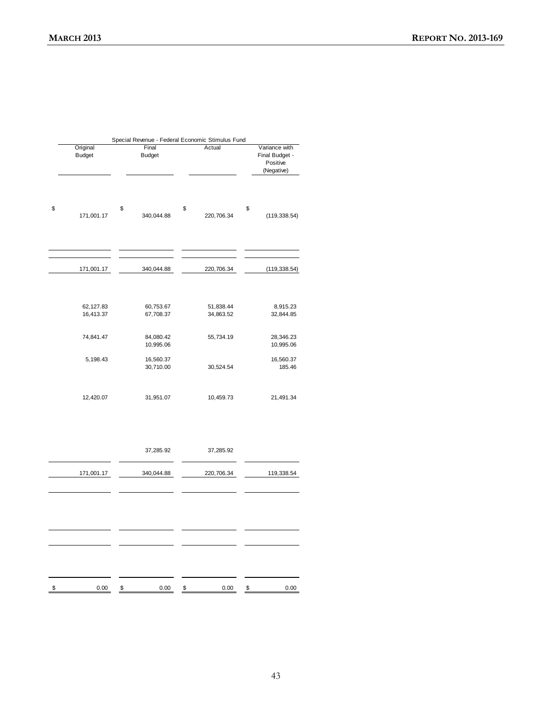|                           |                        | Special Revenue - Federal Economic Stimulus Fund |                                                           |
|---------------------------|------------------------|--------------------------------------------------|-----------------------------------------------------------|
| Original<br><b>Budget</b> | Final<br><b>Budget</b> | Actual                                           | Variance with<br>Final Budget -<br>Positive<br>(Negative) |
| \$<br>171,001.17          | \$<br>340,044.88       | \$<br>220,706.34                                 | \$<br>(119, 338.54)                                       |
| 171,001.17                | 340,044.88             | 220,706.34                                       | (119, 338.54)                                             |
| 62,127.83<br>16,413.37    | 60,753.67<br>67,708.37 | 51,838.44<br>34,863.52                           | 8,915.23<br>32,844.85                                     |
| 74,841.47                 | 84,080.42<br>10,995.06 | 55,734.19                                        | 28,346.23<br>10,995.06                                    |
| 5,198.43                  | 16,560.37<br>30,710.00 | 30,524.54                                        | 16,560.37<br>185.46                                       |
| 12,420.07                 | 31,951.07              | 10,459.73                                        | 21,491.34                                                 |
|                           | 37,285.92              | 37,285.92                                        |                                                           |
| 171,001.17                | 340,044.88             | 220,706.34                                       | 119,338.54                                                |
|                           |                        |                                                  |                                                           |
|                           |                        |                                                  |                                                           |
|                           |                        |                                                  |                                                           |

| 0.00 | 0.00 | 0.001 | 0.00 |
|------|------|-------|------|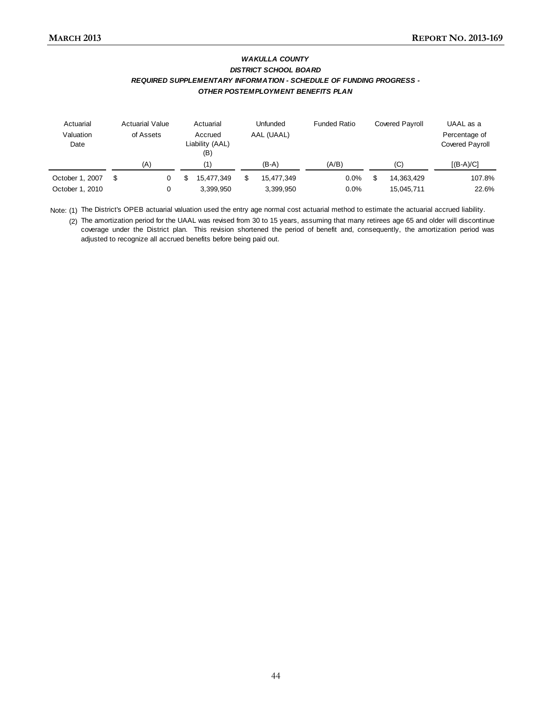#### *WAKULLA COUNTY DISTRICT SCHOOL BOARD REQUIRED SUPPLEMENTARY INFORMATION - SCHEDULE OF FUNDING PROGRESS - OTHER POSTEMPLOYMENT BENEFITS PLAN*

<span id="page-48-0"></span>

| Actuarial<br>Valuation<br>Date |  | <b>Actuarial Value</b><br>Actuarial<br>of Assets<br>Accrued<br>Liability (AAL)<br>(B) |   | Unfunded<br>AAL (UAAL) | <b>Funded Ratio</b> | <b>Covered Payroll</b> | UAAL as a<br>Percentage of<br>Covered Payroll |  |            |             |
|--------------------------------|--|---------------------------------------------------------------------------------------|---|------------------------|---------------------|------------------------|-----------------------------------------------|--|------------|-------------|
|                                |  | (A)                                                                                   |   |                        |                     | $(B-A)$                | (A/B)                                         |  | (C)        | $[(B-A)/C]$ |
| October 1, 2007                |  |                                                                                       | 0 | 15.477.349             |                     | 15.477.349             | 0.0%                                          |  | 14,363,429 | 107.8%      |
| October 1, 2010                |  |                                                                                       |   | 3,399,950              |                     | 3,399,950              | 0.0%                                          |  | 15,045,711 | 22.6%       |

Note: (1) The District's OPEB actuarial valuation used the entry age normal cost actuarial method to estimate the actuarial accrued liability.

(2) The amortization period for the UAAL was revised from 30 to 15 years, assuming that many retirees age 65 and older will discontinue coverage under the District plan. This revision shortened the period of benefit and, consequently, the amortization period was adjusted to recognize all accrued benefits before being paid out.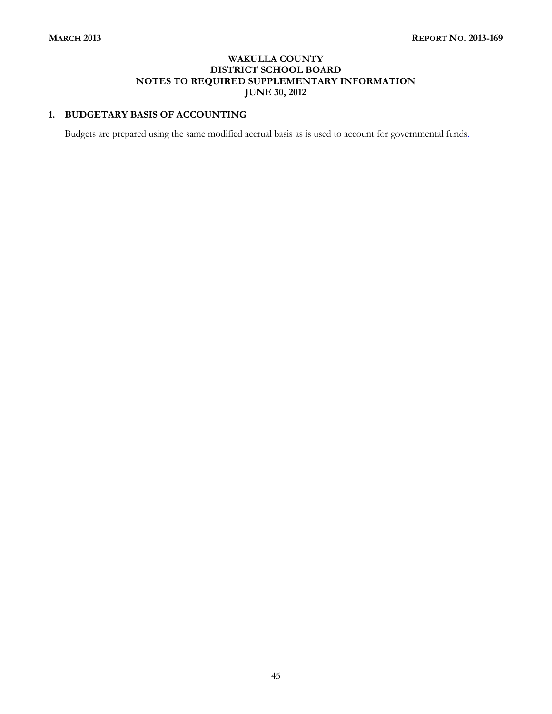### **WAKULLA COUNTY DISTRICT SCHOOL BOARD NOTES TO REQUIRED SUPPLEMENTARY INFORMATION JUNE 30, 2012**

# <span id="page-49-0"></span>**1. BUDGETARY BASIS OF ACCOUNTING**

Budgets are prepared using the same modified accrual basis as is used to account for governmental funds.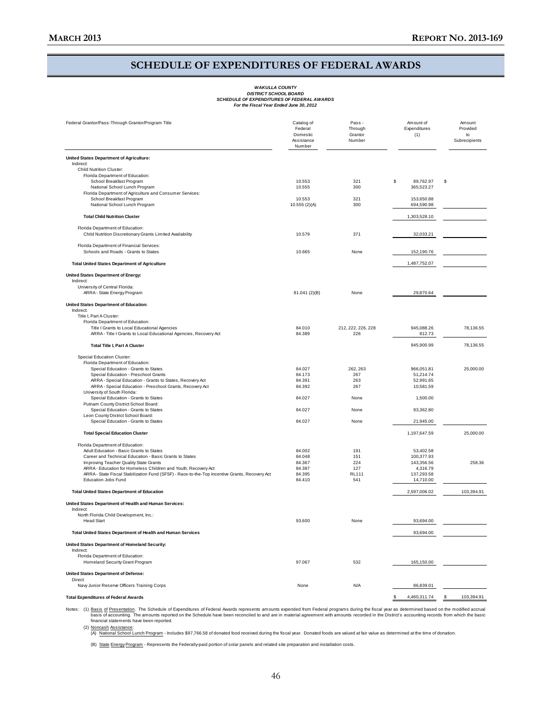## **SCHEDULE OF EXPENDITURES OF FEDERAL AWARDS**

## *WAKULLA COUNTY DISTRICT SCHOOL BOARD SCHEDULE OF EXPENDITURES OF FEDERAL AWARDS For the Fiscal Year Ended June 30, 2012*

<span id="page-50-0"></span>

| Federal Grantor/Pass-Through Grantor/Program Title                                                                    | Catalog of<br>Federal<br>Domestic<br>Assistance<br>Number | Pass -<br>Through<br>Grantor<br>Number | Amount of<br>Expenditures<br>(1) | Amount<br>Provided<br>to<br>Subrecipients |  |
|-----------------------------------------------------------------------------------------------------------------------|-----------------------------------------------------------|----------------------------------------|----------------------------------|-------------------------------------------|--|
| United States Department of Agriculture:                                                                              |                                                           |                                        |                                  |                                           |  |
| Indirect:<br>Child Nutrition Cluster:                                                                                 |                                                           |                                        |                                  |                                           |  |
| Florida Department of Education:                                                                                      |                                                           |                                        |                                  |                                           |  |
| School Breakfast Program<br>National School Lunch Program                                                             | 10.553<br>10.555                                          | 321<br>300                             | \$<br>89,762.97<br>365,523.27    | \$                                        |  |
| Florida Department of Agriculture and Consumer Services:                                                              |                                                           |                                        |                                  |                                           |  |
| School Breakfast Program<br>National School Lunch Program                                                             | 10.553<br>10.555 (2)(A)                                   | 321<br>300                             | 153,650.88<br>694,590.98         |                                           |  |
| <b>Total Child Nutrition Cluster</b>                                                                                  |                                                           |                                        | 1,303,528.10                     |                                           |  |
| Florida Department of Education:                                                                                      |                                                           |                                        |                                  |                                           |  |
| Child Nutrition Discretionary Grants Limited Availability                                                             | 10.579                                                    | 371                                    | 32,033.21                        |                                           |  |
| Florida Department of Financial Services:<br>Schools and Roads - Grants to States                                     | 10.665                                                    | None                                   |                                  |                                           |  |
|                                                                                                                       |                                                           |                                        | 152,190.76                       |                                           |  |
| <b>Total United States Department of Agriculture</b>                                                                  |                                                           |                                        | 1,487,752.07                     |                                           |  |
| United States Department of Energy:<br>Indirect:                                                                      |                                                           |                                        |                                  |                                           |  |
| University of Central Florida:                                                                                        |                                                           |                                        |                                  |                                           |  |
| ARRA - State Energy Program                                                                                           | 81.041 (2)(B)                                             | None                                   | 29,870.64                        |                                           |  |
| <b>United States Department of Education:</b>                                                                         |                                                           |                                        |                                  |                                           |  |
| Indirect:<br>Title I. Part A Cluster:                                                                                 |                                                           |                                        |                                  |                                           |  |
| Florida Department of Education:                                                                                      |                                                           |                                        |                                  |                                           |  |
| Title I Grants to Local Educational Agencies<br>ARRA - Title I Grants to Local Educational Agencies, Recovery Act     | 84.010<br>84.389                                          | 212, 222, 226, 228<br>226              | 945,088.26<br>812.73             | 78,136.55                                 |  |
| <b>Total Title I, Part A Cluster</b>                                                                                  |                                                           |                                        | 945,900.99                       | 78,136.55                                 |  |
|                                                                                                                       |                                                           |                                        |                                  |                                           |  |
| Special Education Cluster:<br>Florida Department of Education:                                                        |                                                           |                                        |                                  |                                           |  |
| Special Education - Grants to States                                                                                  | 84.027                                                    | 262, 263                               | 966,051.81                       | 25,000.00                                 |  |
| Special Education - Preschool Grants                                                                                  | 84.173                                                    | 267                                    | 51,214.74                        |                                           |  |
| ARRA - Special Education - Grants to States, Recovery Act                                                             | 84.391                                                    | 263                                    | 52,991.65                        |                                           |  |
| ARRA - Special Education - Preschool Grants, Recovery Act<br>University of South Florida:                             | 84.392                                                    | 267                                    | 10,581.59                        |                                           |  |
| Special Education - Grants to States                                                                                  | 84.027                                                    | None                                   | 1,500.00                         |                                           |  |
| Putnam County District School Board:                                                                                  |                                                           |                                        |                                  |                                           |  |
| Special Education - Grants to States<br>Leon County District School Board:                                            | 84.027                                                    | None                                   | 93,362.80                        |                                           |  |
| Special Education - Grants to States                                                                                  | 84.027                                                    | None                                   | 21,945.00                        |                                           |  |
| <b>Total Special Education Cluster</b>                                                                                |                                                           |                                        | 1,197,647.59                     | 25,000.00                                 |  |
|                                                                                                                       |                                                           |                                        |                                  |                                           |  |
| Florida Department of Education:<br>Adult Education - Basic Grants to States                                          | 84.002                                                    | 191                                    | 53,402.58                        |                                           |  |
| Career and Technical Education - Basic Grants to States                                                               | 84.048                                                    | 151                                    | 100,377.93                       |                                           |  |
| Improving Teacher Quality State Grants                                                                                | 84.367                                                    | 224                                    | 143,356.56                       | 258.36                                    |  |
| ARRA - Education for Homeless Children and Youth, Recovery Act                                                        | 84.387                                                    | 127                                    | 4,316.79                         |                                           |  |
| ARRA - State Fiscal Stabilization Fund (SFSF) - Race-to-the-Top Incentive Grants, Recovery Act<br>Education Jobs Fund | 84.395<br>84.410                                          | <b>RL111</b><br>541                    | 137,293.58                       |                                           |  |
|                                                                                                                       |                                                           |                                        | 14,710.00                        |                                           |  |
| <b>Total United States Department of Education</b>                                                                    |                                                           |                                        | 2,597,006.02                     | 103,394.91                                |  |
| United States Department of Health and Human Services:<br>Indirect:                                                   |                                                           |                                        |                                  |                                           |  |
| North Florida Child Development, Inc.:                                                                                |                                                           |                                        |                                  |                                           |  |
| <b>Head Start</b>                                                                                                     | 93.600                                                    | None                                   | 93,694.00                        |                                           |  |
| Total United States Department of Health and Human Services                                                           |                                                           |                                        | 93,694.00                        |                                           |  |
| United States Department of Homeland Security:<br>Indirect:                                                           |                                                           |                                        |                                  |                                           |  |
| Florida Department of Education:                                                                                      |                                                           |                                        |                                  |                                           |  |
| Homeland Security Grant Program                                                                                       | 97.067                                                    | 532                                    | 165,150.00                       |                                           |  |
| <b>United States Department of Defense:</b><br>Direct:                                                                |                                                           |                                        |                                  |                                           |  |
| Navy Junior Reserve Officers Training Corps                                                                           | None                                                      | N/A                                    | 86,839.01                        |                                           |  |
| <b>Total Expenditures of Federal Awards</b>                                                                           |                                                           |                                        | 4,460,311.74<br>\$               | \$<br>103,394.91                          |  |

Notes: (1) <u>Basis of Presentation</u>. The Schedule of Expenditures of Federal Awards represents amounts expended from Federal programs during the fiscal year as determined based on the modified accrual<br>basis of accounting, T

(2) Noncash Assistance:<br>(A) National School Lunch Program - Includes \$97,766.58 of donated food received during the fiscal year. Donated foods are valued at fair value as determined at the time of donation.

(B) State Energy Program - Represents the Federally-paid portion of solar panels and related site preparation and installation costs.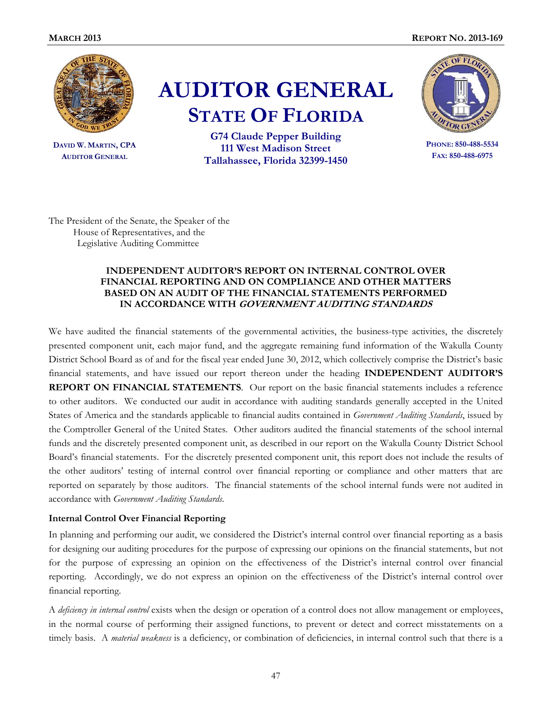<span id="page-51-0"></span>

**DAVID W. MARTIN, CPA AUDITOR GENERAL**

# **AUDITOR GENERAL STATE OF FLORIDA**

**G74 Claude Pepper Building 111 West Madison Street Tallahassee, Florida 32399-1450** 



**PHONE: 850-488-5534 FAX: 850-488-6975**

The President of the Senate, the Speaker of the House of Representatives, and the Legislative Auditing Committee

#### **INDEPENDENT AUDITOR'S REPORT ON INTERNAL CONTROL OVER FINANCIAL REPORTING AND ON COMPLIANCE AND OTHER MATTERS BASED ON AN AUDIT OF THE FINANCIAL STATEMENTS PERFORMED IN ACCORDANCE WITH GOVERNMENT AUDITING STANDARDS**

We have audited the financial statements of the governmental activities, the business-type activities, the discretely presented component unit, each major fund, and the aggregate remaining fund information of the Wakulla County District School Board as of and for the fiscal year ended June 30, 2012, which collectively comprise the District's basic financial statements, and have issued our report thereon under the heading **INDEPENDENT AUDITOR'S REPORT ON FINANCIAL STATEMENTS**. Our report on the basic financial statements includes a reference to other auditors. We conducted our audit in accordance with auditing standards generally accepted in the United States of America and the standards applicable to financial audits contained in *Government Auditing Standards*, issued by the Comptroller General of the United States. Other auditors audited the financial statements of the school internal funds and the discretely presented component unit, as described in our report on the Wakulla County District School Board's financial statements. For the discretely presented component unit, this report does not include the results of the other auditors' testing of internal control over financial reporting or compliance and other matters that are reported on separately by those auditors. The financial statements of the school internal funds were not audited in accordance with *Government Auditing Standards*.

### **Internal Control Over Financial Reporting**

In planning and performing our audit, we considered the District's internal control over financial reporting as a basis for designing our auditing procedures for the purpose of expressing our opinions on the financial statements, but not for the purpose of expressing an opinion on the effectiveness of the District's internal control over financial reporting. Accordingly, we do not express an opinion on the effectiveness of the District's internal control over financial reporting.

A *deficiency in internal control* exists when the design or operation of a control does not allow management or employees, in the normal course of performing their assigned functions, to prevent or detect and correct misstatements on a timely basis. A *material weakness* is a deficiency, or combination of deficiencies, in internal control such that there is a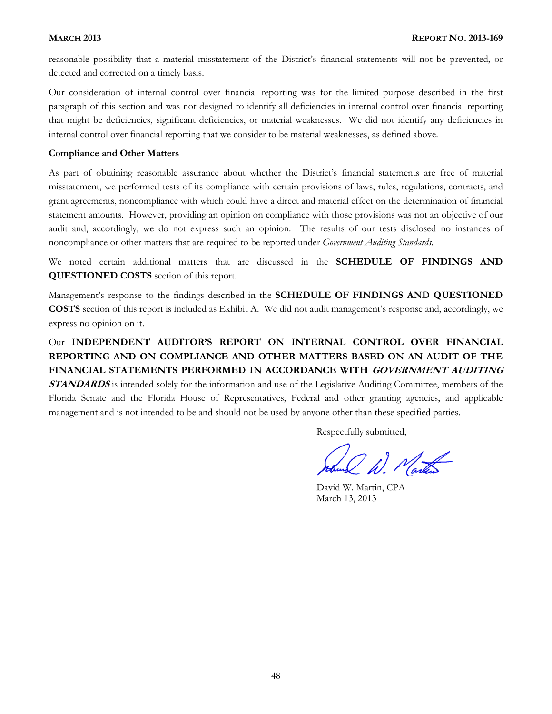reasonable possibility that a material misstatement of the District's financial statements will not be prevented, or detected and corrected on a timely basis.

Our consideration of internal control over financial reporting was for the limited purpose described in the first paragraph of this section and was not designed to identify all deficiencies in internal control over financial reporting that might be deficiencies, significant deficiencies, or material weaknesses. We did not identify any deficiencies in internal control over financial reporting that we consider to be material weaknesses, as defined above.

#### **Compliance and Other Matters**

As part of obtaining reasonable assurance about whether the District's financial statements are free of material misstatement, we performed tests of its compliance with certain provisions of laws, rules, regulations, contracts, and grant agreements, noncompliance with which could have a direct and material effect on the determination of financial statement amounts. However, providing an opinion on compliance with those provisions was not an objective of our audit and, accordingly, we do not express such an opinion. The results of our tests disclosed no instances of noncompliance or other matters that are required to be reported under *Government Auditing Standards*.

We noted certain additional matters that are discussed in the **SCHEDULE OF FINDINGS AND QUESTIONED COSTS** section of this report.

Management's response to the findings described in the **SCHEDULE OF FINDINGS AND QUESTIONED COSTS** section of this report is included as Exhibit A. We did not audit management's response and, accordingly, we express no opinion on it.

# Our **INDEPENDENT AUDITOR'S REPORT ON INTERNAL CONTROL OVER FINANCIAL REPORTING AND ON COMPLIANCE AND OTHER MATTERS BASED ON AN AUDIT OF THE FINANCIAL STATEMENTS PERFORMED IN ACCORDANCE WITH GOVERNMENT AUDITING**

**STANDARDS** is intended solely for the information and use of the Legislative Auditing Committee, members of the Florida Senate and the Florida House of Representatives, Federal and other granting agencies, and applicable management and is not intended to be and should not be used by anyone other than these specified parties.

Respectfully submitted,

( W. Marte

David W. Martin, CPA March 13, 2013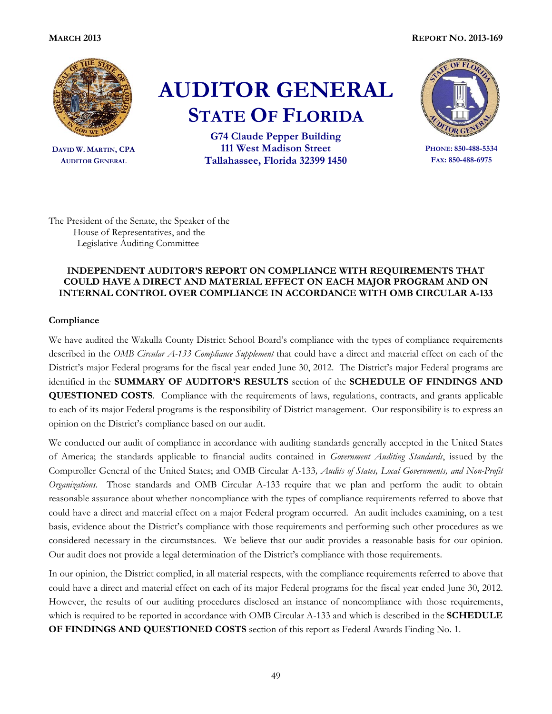<span id="page-53-0"></span>

**DAVID W. MARTIN, CPA AUDITOR GENERAL**

**AUDITOR GENERAL STATE OF FLORIDA**

> **G74 Claude Pepper Building 111 West Madison Street Tallahassee, Florida 32399 1450**



**PHONE: 850-488-5534 FAX: 850-488-6975**

The President of the Senate, the Speaker of the House of Representatives, and the Legislative Auditing Committee

#### **INDEPENDENT AUDITOR'S REPORT ON COMPLIANCE WITH REQUIREMENTS THAT COULD HAVE A DIRECT AND MATERIAL EFFECT ON EACH MAJOR PROGRAM AND ON INTERNAL CONTROL OVER COMPLIANCE IN ACCORDANCE WITH OMB CIRCULAR A-133**

#### **Compliance**

We have audited the Wakulla County District School Board's compliance with the types of compliance requirements described in the *OMB Circular A-133 Compliance Supplement* that could have a direct and material effect on each of the District's major Federal programs for the fiscal year ended June 30, 2012. The District's major Federal programs are identified in the **SUMMARY OF AUDITOR'S RESULTS** section of the **SCHEDULE OF FINDINGS AND QUESTIONED COSTS**. Compliance with the requirements of laws, regulations, contracts, and grants applicable to each of its major Federal programs is the responsibility of District management. Our responsibility is to express an opinion on the District's compliance based on our audit.

We conducted our audit of compliance in accordance with auditing standards generally accepted in the United States of America; the standards applicable to financial audits contained in *Government Auditing Standards*, issued by the Comptroller General of the United States; and OMB Circular A-133*, Audits of States, Local Governments, and Non-Profit Organizations*. Those standards and OMB Circular A-133 require that we plan and perform the audit to obtain reasonable assurance about whether noncompliance with the types of compliance requirements referred to above that could have a direct and material effect on a major Federal program occurred. An audit includes examining, on a test basis, evidence about the District's compliance with those requirements and performing such other procedures as we considered necessary in the circumstances. We believe that our audit provides a reasonable basis for our opinion. Our audit does not provide a legal determination of the District's compliance with those requirements.

In our opinion, the District complied, in all material respects, with the compliance requirements referred to above that could have a direct and material effect on each of its major Federal programs for the fiscal year ended June 30, 2012. However, the results of our auditing procedures disclosed an instance of noncompliance with those requirements, which is required to be reported in accordance with OMB Circular A-133 and which is described in the **SCHEDULE OF FINDINGS AND QUESTIONED COSTS** section of this report as Federal Awards Finding No. 1.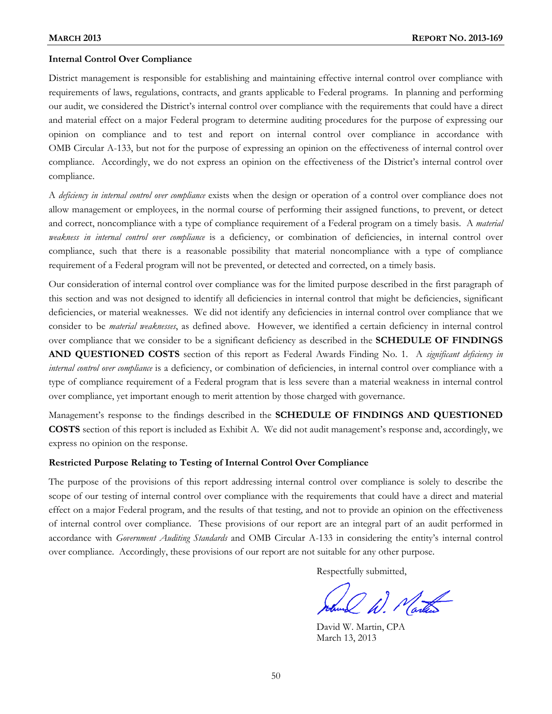#### **Internal Control Over Compliance**

District management is responsible for establishing and maintaining effective internal control over compliance with requirements of laws, regulations, contracts, and grants applicable to Federal programs. In planning and performing our audit, we considered the District's internal control over compliance with the requirements that could have a direct and material effect on a major Federal program to determine auditing procedures for the purpose of expressing our opinion on compliance and to test and report on internal control over compliance in accordance with OMB Circular A-133, but not for the purpose of expressing an opinion on the effectiveness of internal control over compliance. Accordingly, we do not express an opinion on the effectiveness of the District's internal control over compliance.

A *deficiency in internal control over compliance* exists when the design or operation of a control over compliance does not allow management or employees, in the normal course of performing their assigned functions, to prevent, or detect and correct, noncompliance with a type of compliance requirement of a Federal program on a timely basis. A *material weakness in internal control over compliance* is a deficiency, or combination of deficiencies, in internal control over compliance, such that there is a reasonable possibility that material noncompliance with a type of compliance requirement of a Federal program will not be prevented, or detected and corrected, on a timely basis.

Our consideration of internal control over compliance was for the limited purpose described in the first paragraph of this section and was not designed to identify all deficiencies in internal control that might be deficiencies, significant deficiencies, or material weaknesses. We did not identify any deficiencies in internal control over compliance that we consider to be *material weaknesses*, as defined above. However, we identified a certain deficiency in internal control over compliance that we consider to be a significant deficiency as described in the **SCHEDULE OF FINDINGS AND QUESTIONED COSTS** section of this report as Federal Awards Finding No. 1. A *significant deficiency in internal control over compliance* is a deficiency, or combination of deficiencies, in internal control over compliance with a type of compliance requirement of a Federal program that is less severe than a material weakness in internal control over compliance, yet important enough to merit attention by those charged with governance.

Management's response to the findings described in the **SCHEDULE OF FINDINGS AND QUESTIONED COSTS** section of this report is included as Exhibit A. We did not audit management's response and, accordingly, we express no opinion on the response.

#### **Restricted Purpose Relating to Testing of Internal Control Over Compliance**

The purpose of the provisions of this report addressing internal control over compliance is solely to describe the scope of our testing of internal control over compliance with the requirements that could have a direct and material effect on a major Federal program, and the results of that testing, and not to provide an opinion on the effectiveness of internal control over compliance. These provisions of our report are an integral part of an audit performed in accordance with *Government Auditing Standards* and OMB Circular A-133 in considering the entity's internal control over compliance. Accordingly, these provisions of our report are not suitable for any other purpose.

Respectfully submitted,

6. Martin

David W. Martin, CPA March 13, 2013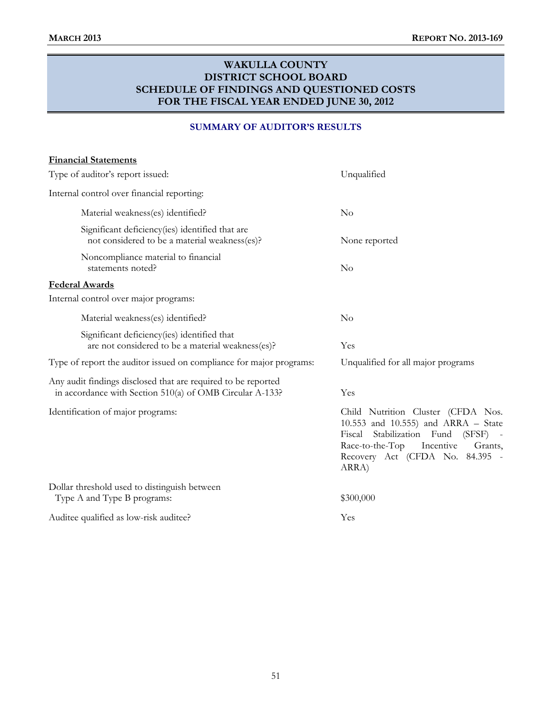## <span id="page-55-0"></span>**WAKULLA COUNTY DISTRICT SCHOOL BOARD SCHEDULE OF FINDINGS AND QUESTIONED COSTS FOR THE FISCAL YEAR ENDED JUNE 30, 2012**

## **SUMMARY OF AUDITOR'S RESULTS**

## **Financial Statements**

| Type of auditor's report issued:                                                                                          | Unqualified                                                                                                                                                                                            |
|---------------------------------------------------------------------------------------------------------------------------|--------------------------------------------------------------------------------------------------------------------------------------------------------------------------------------------------------|
| Internal control over financial reporting:                                                                                |                                                                                                                                                                                                        |
| Material weakness(es) identified?                                                                                         | N <sub>o</sub>                                                                                                                                                                                         |
| Significant deficiency(ies) identified that are<br>not considered to be a material weakness(es)?                          | None reported                                                                                                                                                                                          |
| Noncompliance material to financial<br>statements noted?                                                                  | $\rm No$                                                                                                                                                                                               |
| <b>Federal Awards</b>                                                                                                     |                                                                                                                                                                                                        |
| Internal control over major programs:                                                                                     |                                                                                                                                                                                                        |
| Material weakness(es) identified?                                                                                         | $\rm No$                                                                                                                                                                                               |
| Significant deficiency(ies) identified that<br>are not considered to be a material weakness(es)?                          | Yes                                                                                                                                                                                                    |
| Type of report the auditor issued on compliance for major programs:                                                       | Unqualified for all major programs                                                                                                                                                                     |
| Any audit findings disclosed that are required to be reported<br>in accordance with Section 510(a) of OMB Circular A-133? | Yes                                                                                                                                                                                                    |
| Identification of major programs:                                                                                         | Child Nutrition Cluster (CFDA Nos.<br>10.553 and 10.555) and ARRA - State<br>Stabilization Fund (SFSF) -<br>Fiscal<br>Race-to-the-Top Incentive<br>Grants,<br>Recovery Act (CFDA No. 84.395 -<br>ARRA) |
| Dollar threshold used to distinguish between<br>Type A and Type B programs:                                               | \$300,000                                                                                                                                                                                              |
| Auditee qualified as low-risk auditee?                                                                                    | Yes                                                                                                                                                                                                    |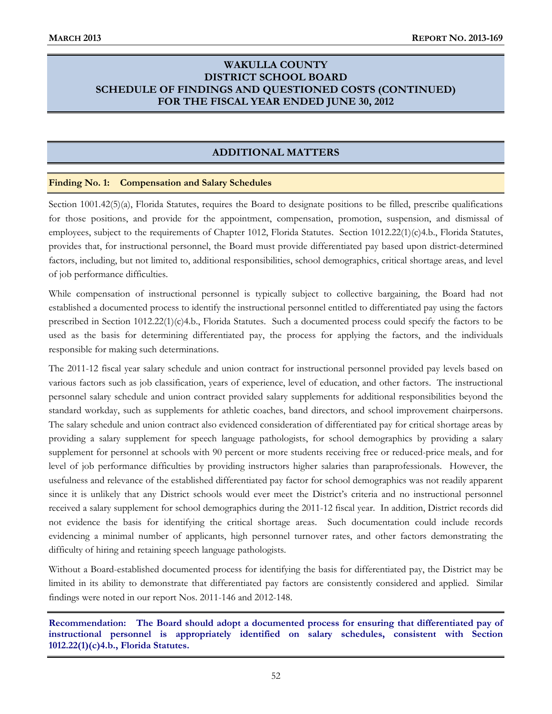## **WAKULLA COUNTY DISTRICT SCHOOL BOARD SCHEDULE OF FINDINGS AND QUESTIONED COSTS (CONTINUED) FOR THE FISCAL YEAR ENDED JUNE 30, 2012**

# **ADDITIONAL MATTERS**

#### **Finding No. 1: Compensation and Salary Schedules**

Section 1001.42(5)(a), Florida Statutes, requires the Board to designate positions to be filled, prescribe qualifications for those positions, and provide for the appointment, compensation, promotion, suspension, and dismissal of employees, subject to the requirements of Chapter 1012, Florida Statutes. Section 1012.22(1)(c)4.b., Florida Statutes, provides that, for instructional personnel, the Board must provide differentiated pay based upon district-determined factors, including, but not limited to, additional responsibilities, school demographics, critical shortage areas, and level of job performance difficulties.

While compensation of instructional personnel is typically subject to collective bargaining, the Board had not established a documented process to identify the instructional personnel entitled to differentiated pay using the factors prescribed in Section 1012.22(1)(c)4.b., Florida Statutes. Such a documented process could specify the factors to be used as the basis for determining differentiated pay, the process for applying the factors, and the individuals responsible for making such determinations.

The 2011-12 fiscal year salary schedule and union contract for instructional personnel provided pay levels based on various factors such as job classification, years of experience, level of education, and other factors. The instructional personnel salary schedule and union contract provided salary supplements for additional responsibilities beyond the standard workday, such as supplements for athletic coaches, band directors, and school improvement chairpersons. The salary schedule and union contract also evidenced consideration of differentiated pay for critical shortage areas by providing a salary supplement for speech language pathologists, for school demographics by providing a salary supplement for personnel at schools with 90 percent or more students receiving free or reduced-price meals, and for level of job performance difficulties by providing instructors higher salaries than paraprofessionals. However, the usefulness and relevance of the established differentiated pay factor for school demographics was not readily apparent since it is unlikely that any District schools would ever meet the District's criteria and no instructional personnel received a salary supplement for school demographics during the 2011-12 fiscal year. In addition, District records did not evidence the basis for identifying the critical shortage areas. Such documentation could include records evidencing a minimal number of applicants, high personnel turnover rates, and other factors demonstrating the difficulty of hiring and retaining speech language pathologists.

Without a Board-established documented process for identifying the basis for differentiated pay, the District may be limited in its ability to demonstrate that differentiated pay factors are consistently considered and applied. Similar findings were noted in our report Nos. 2011-146 and 2012-148.

**Recommendation: The Board should adopt a documented process for ensuring that differentiated pay of instructional personnel is appropriately identified on salary schedules, consistent with Section 1012.22(1)(c)4.b., Florida Statutes.**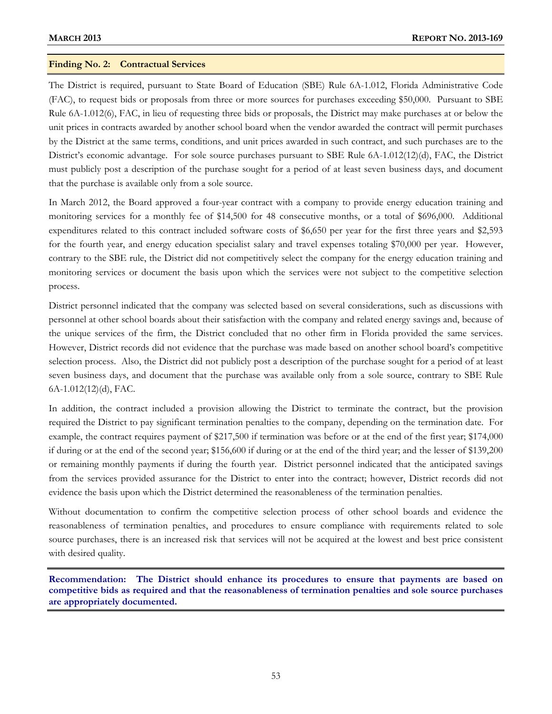#### **Finding No. 2: Contractual Services**

The District is required, pursuant to State Board of Education (SBE) Rule 6A-1.012, Florida Administrative Code (FAC), to request bids or proposals from three or more sources for purchases exceeding \$50,000. Pursuant to SBE Rule 6A-1.012(6), FAC, in lieu of requesting three bids or proposals, the District may make purchases at or below the unit prices in contracts awarded by another school board when the vendor awarded the contract will permit purchases by the District at the same terms, conditions, and unit prices awarded in such contract, and such purchases are to the District's economic advantage. For sole source purchases pursuant to SBE Rule 6A-1.012(12)(d), FAC, the District must publicly post a description of the purchase sought for a period of at least seven business days, and document that the purchase is available only from a sole source.

In March 2012, the Board approved a four-year contract with a company to provide energy education training and monitoring services for a monthly fee of \$14,500 for 48 consecutive months, or a total of \$696,000. Additional expenditures related to this contract included software costs of \$6,650 per year for the first three years and \$2,593 for the fourth year, and energy education specialist salary and travel expenses totaling \$70,000 per year. However, contrary to the SBE rule, the District did not competitively select the company for the energy education training and monitoring services or document the basis upon which the services were not subject to the competitive selection process.

District personnel indicated that the company was selected based on several considerations, such as discussions with personnel at other school boards about their satisfaction with the company and related energy savings and, because of the unique services of the firm, the District concluded that no other firm in Florida provided the same services. However, District records did not evidence that the purchase was made based on another school board's competitive selection process. Also, the District did not publicly post a description of the purchase sought for a period of at least seven business days, and document that the purchase was available only from a sole source, contrary to SBE Rule 6A-1.012(12)(d), FAC.

In addition, the contract included a provision allowing the District to terminate the contract, but the provision required the District to pay significant termination penalties to the company, depending on the termination date. For example, the contract requires payment of \$217,500 if termination was before or at the end of the first year; \$174,000 if during or at the end of the second year; \$156,600 if during or at the end of the third year; and the lesser of \$139,200 or remaining monthly payments if during the fourth year. District personnel indicated that the anticipated savings from the services provided assurance for the District to enter into the contract; however, District records did not evidence the basis upon which the District determined the reasonableness of the termination penalties.

Without documentation to confirm the competitive selection process of other school boards and evidence the reasonableness of termination penalties, and procedures to ensure compliance with requirements related to sole source purchases, there is an increased risk that services will not be acquired at the lowest and best price consistent with desired quality.

**Recommendation: The District should enhance its procedures to ensure that payments are based on competitive bids as required and that the reasonableness of termination penalties and sole source purchases are appropriately documented.**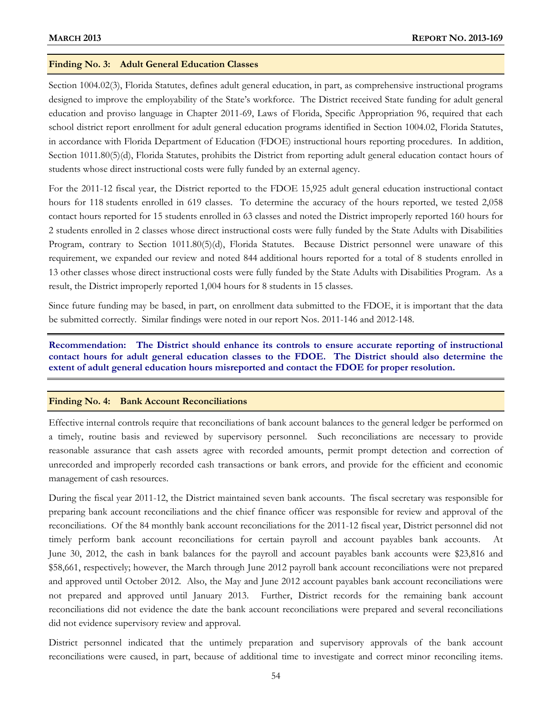#### **Finding No. 3: Adult General Education Classes**

Section 1004.02(3), Florida Statutes, defines adult general education, in part, as comprehensive instructional programs designed to improve the employability of the State's workforce. The District received State funding for adult general education and proviso language in Chapter 2011-69, Laws of Florida, Specific Appropriation 96, required that each school district report enrollment for adult general education programs identified in Section 1004.02, Florida Statutes, in accordance with Florida Department of Education (FDOE) instructional hours reporting procedures. In addition, Section 1011.80(5)(d), Florida Statutes, prohibits the District from reporting adult general education contact hours of students whose direct instructional costs were fully funded by an external agency.

For the 2011-12 fiscal year, the District reported to the FDOE 15,925 adult general education instructional contact hours for 118 students enrolled in 619 classes. To determine the accuracy of the hours reported, we tested 2,058 contact hours reported for 15 students enrolled in 63 classes and noted the District improperly reported 160 hours for 2 students enrolled in 2 classes whose direct instructional costs were fully funded by the State Adults with Disabilities Program, contrary to Section 1011.80(5)(d), Florida Statutes. Because District personnel were unaware of this requirement, we expanded our review and noted 844 additional hours reported for a total of 8 students enrolled in 13 other classes whose direct instructional costs were fully funded by the State Adults with Disabilities Program. As a result, the District improperly reported 1,004 hours for 8 students in 15 classes.

Since future funding may be based, in part, on enrollment data submitted to the FDOE, it is important that the data be submitted correctly. Similar findings were noted in our report Nos. 2011-146 and 2012-148.

**Recommendation: The District should enhance its controls to ensure accurate reporting of instructional contact hours for adult general education classes to the FDOE. The District should also determine the extent of adult general education hours misreported and contact the FDOE for proper resolution.** 

#### **Finding No. 4: Bank Account Reconciliations**

Effective internal controls require that reconciliations of bank account balances to the general ledger be performed on a timely, routine basis and reviewed by supervisory personnel. Such reconciliations are necessary to provide reasonable assurance that cash assets agree with recorded amounts, permit prompt detection and correction of unrecorded and improperly recorded cash transactions or bank errors, and provide for the efficient and economic management of cash resources.

During the fiscal year 2011-12, the District maintained seven bank accounts. The fiscal secretary was responsible for preparing bank account reconciliations and the chief finance officer was responsible for review and approval of the reconciliations. Of the 84 monthly bank account reconciliations for the 2011-12 fiscal year, District personnel did not timely perform bank account reconciliations for certain payroll and account payables bank accounts. At June 30, 2012, the cash in bank balances for the payroll and account payables bank accounts were \$23,816 and \$58,661, respectively; however, the March through June 2012 payroll bank account reconciliations were not prepared and approved until October 2012. Also, the May and June 2012 account payables bank account reconciliations were not prepared and approved until January 2013. Further, District records for the remaining bank account reconciliations did not evidence the date the bank account reconciliations were prepared and several reconciliations did not evidence supervisory review and approval.

District personnel indicated that the untimely preparation and supervisory approvals of the bank account reconciliations were caused, in part, because of additional time to investigate and correct minor reconciling items.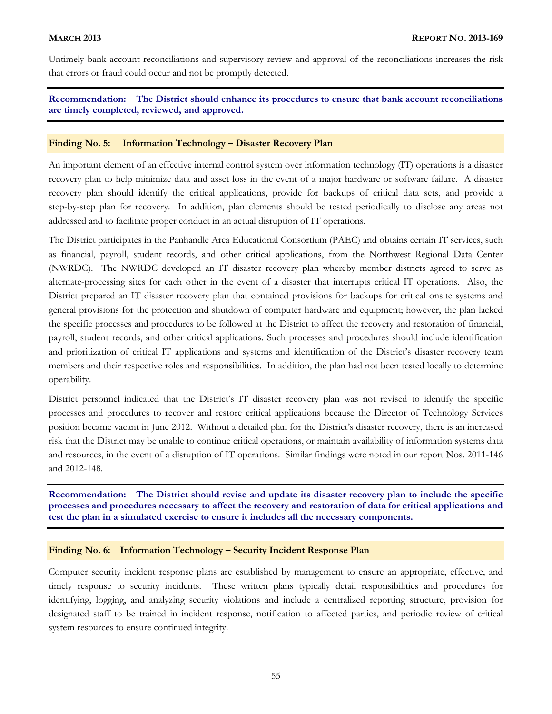Untimely bank account reconciliations and supervisory review and approval of the reconciliations increases the risk that errors or fraud could occur and not be promptly detected.

#### **Recommendation: The District should enhance its procedures to ensure that bank account reconciliations are timely completed, reviewed, and approved.**

#### **Finding No. 5: Information Technology – Disaster Recovery Plan**

An important element of an effective internal control system over information technology (IT) operations is a disaster recovery plan to help minimize data and asset loss in the event of a major hardware or software failure. A disaster recovery plan should identify the critical applications, provide for backups of critical data sets, and provide a step-by-step plan for recovery. In addition, plan elements should be tested periodically to disclose any areas not addressed and to facilitate proper conduct in an actual disruption of IT operations.

The District participates in the Panhandle Area Educational Consortium (PAEC) and obtains certain IT services, such as financial, payroll, student records, and other critical applications, from the Northwest Regional Data Center (NWRDC). The NWRDC developed an IT disaster recovery plan whereby member districts agreed to serve as alternate-processing sites for each other in the event of a disaster that interrupts critical IT operations. Also, the District prepared an IT disaster recovery plan that contained provisions for backups for critical onsite systems and general provisions for the protection and shutdown of computer hardware and equipment; however, the plan lacked the specific processes and procedures to be followed at the District to affect the recovery and restoration of financial, payroll, student records, and other critical applications. Such processes and procedures should include identification and prioritization of critical IT applications and systems and identification of the District's disaster recovery team members and their respective roles and responsibilities. In addition, the plan had not been tested locally to determine operability.

District personnel indicated that the District's IT disaster recovery plan was not revised to identify the specific processes and procedures to recover and restore critical applications because the Director of Technology Services position became vacant in June 2012. Without a detailed plan for the District's disaster recovery, there is an increased risk that the District may be unable to continue critical operations, or maintain availability of information systems data and resources, in the event of a disruption of IT operations. Similar findings were noted in our report Nos. 2011-146 and 2012-148.

**Recommendation: The District should revise and update its disaster recovery plan to include the specific processes and procedures necessary to affect the recovery and restoration of data for critical applications and test the plan in a simulated exercise to ensure it includes all the necessary components.** 

#### **Finding No. 6: Information Technology – Security Incident Response Plan**

Computer security incident response plans are established by management to ensure an appropriate, effective, and timely response to security incidents. These written plans typically detail responsibilities and procedures for identifying, logging, and analyzing security violations and include a centralized reporting structure, provision for designated staff to be trained in incident response, notification to affected parties, and periodic review of critical system resources to ensure continued integrity.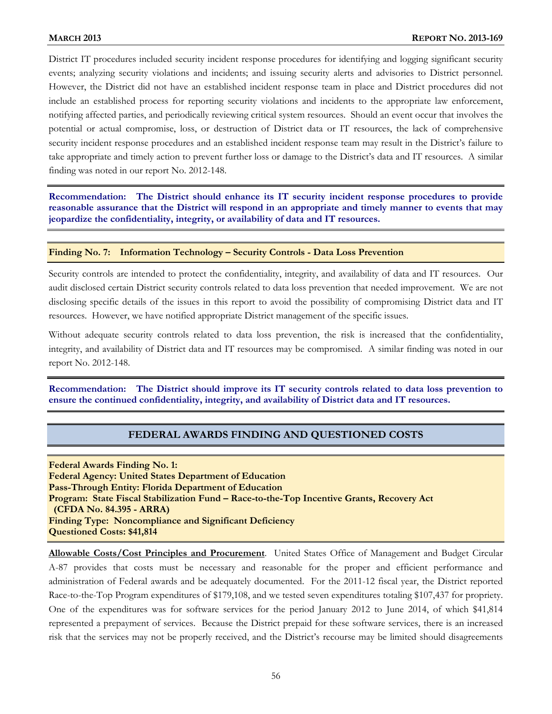District IT procedures included security incident response procedures for identifying and logging significant security events; analyzing security violations and incidents; and issuing security alerts and advisories to District personnel. However, the District did not have an established incident response team in place and District procedures did not include an established process for reporting security violations and incidents to the appropriate law enforcement, notifying affected parties, and periodically reviewing critical system resources. Should an event occur that involves the potential or actual compromise, loss, or destruction of District data or IT resources, the lack of comprehensive security incident response procedures and an established incident response team may result in the District's failure to take appropriate and timely action to prevent further loss or damage to the District's data and IT resources. A similar finding was noted in our report No. 2012-148.

**Recommendation: The District should enhance its IT security incident response procedures to provide reasonable assurance that the District will respond in an appropriate and timely manner to events that may jeopardize the confidentiality, integrity, or availability of data and IT resources.** 

#### **Finding No. 7: Information Technology – Security Controls - Data Loss Prevention**

Security controls are intended to protect the confidentiality, integrity, and availability of data and IT resources. Our audit disclosed certain District security controls related to data loss prevention that needed improvement. We are not disclosing specific details of the issues in this report to avoid the possibility of compromising District data and IT resources. However, we have notified appropriate District management of the specific issues.

Without adequate security controls related to data loss prevention, the risk is increased that the confidentiality, integrity, and availability of District data and IT resources may be compromised. A similar finding was noted in our report No. 2012-148.

**Recommendation: The District should improve its IT security controls related to data loss prevention to ensure the continued confidentiality, integrity, and availability of District data and IT resources.** 

### **FEDERAL AWARDS FINDING AND QUESTIONED COSTS**

**Federal Awards Finding No. 1: Federal Agency: United States Department of Education Pass-Through Entity: Florida Department of Education Program: State Fiscal Stabilization Fund – Race-to-the-Top Incentive Grants, Recovery Act (CFDA No. 84.395 - ARRA) Finding Type: Noncompliance and Significant Deficiency Questioned Costs: \$41,814** 

**Allowable Costs/Cost Principles and Procurement**. United States Office of Management and Budget Circular A-87 provides that costs must be necessary and reasonable for the proper and efficient performance and administration of Federal awards and be adequately documented. For the 2011-12 fiscal year, the District reported Race-to-the-Top Program expenditures of \$179,108, and we tested seven expenditures totaling \$107,437 for propriety. One of the expenditures was for software services for the period January 2012 to June 2014, of which \$41,814 represented a prepayment of services. Because the District prepaid for these software services, there is an increased risk that the services may not be properly received, and the District's recourse may be limited should disagreements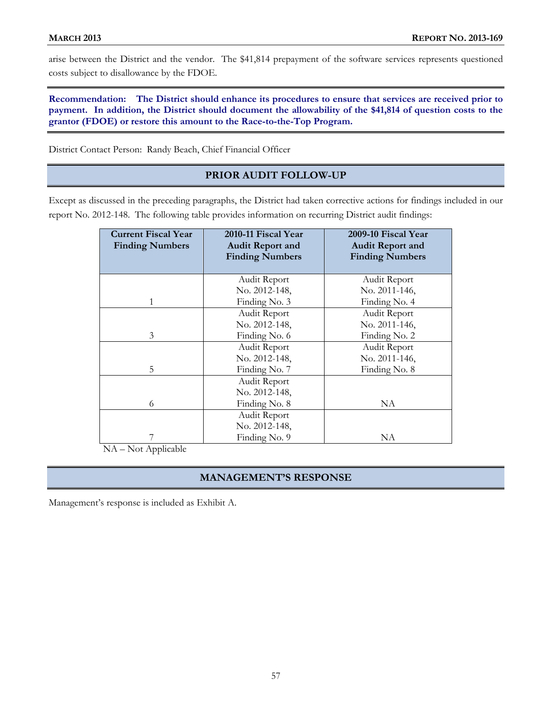arise between the District and the vendor. The \$41,814 prepayment of the software services represents questioned costs subject to disallowance by the FDOE.

**Recommendation: The District should enhance its procedures to ensure that services are received prior to payment. In addition, the District should document the allowability of the \$41,814 of question costs to the grantor (FDOE) or restore this amount to the Race-to-the-Top Program.** 

District Contact Person: Randy Beach, Chief Financial Officer

## **PRIOR AUDIT FOLLOW-UP**

Except as discussed in the preceding paragraphs, the District had taken corrective actions for findings included in our report No. 2012-148. The following table provides information on recurring District audit findings:

| <b>Current Fiscal Year</b><br><b>Finding Numbers</b> | 2010-11 Fiscal Year<br><b>Audit Report and</b><br><b>Finding Numbers</b> | 2009-10 Fiscal Year<br><b>Audit Report and</b><br><b>Finding Numbers</b> |  |  |
|------------------------------------------------------|--------------------------------------------------------------------------|--------------------------------------------------------------------------|--|--|
|                                                      | Audit Report                                                             | Audit Report                                                             |  |  |
|                                                      | No. 2012-148,                                                            | No. 2011-146,                                                            |  |  |
| 1                                                    | Finding No. 3                                                            | Finding No. 4                                                            |  |  |
|                                                      | Audit Report                                                             | Audit Report                                                             |  |  |
|                                                      | No. 2012-148,                                                            | No. 2011-146,                                                            |  |  |
| 3                                                    | Finding No. 6                                                            | Finding No. 2                                                            |  |  |
|                                                      | Audit Report                                                             | Audit Report                                                             |  |  |
|                                                      | No. 2012-148,                                                            | No. 2011-146,                                                            |  |  |
| 5                                                    | Finding No. 7                                                            | Finding No. 8                                                            |  |  |
|                                                      | Audit Report                                                             |                                                                          |  |  |
|                                                      | No. 2012-148,                                                            |                                                                          |  |  |
| 6                                                    | Finding No. 8                                                            | NA                                                                       |  |  |
|                                                      | Audit Report                                                             |                                                                          |  |  |
|                                                      | No. 2012-148,                                                            |                                                                          |  |  |
|                                                      | Finding No. 9                                                            | NΑ                                                                       |  |  |

NA – Not Applicable

## **MANAGEMENT'S RESPONSE**

Management's response is included as Exhibit A.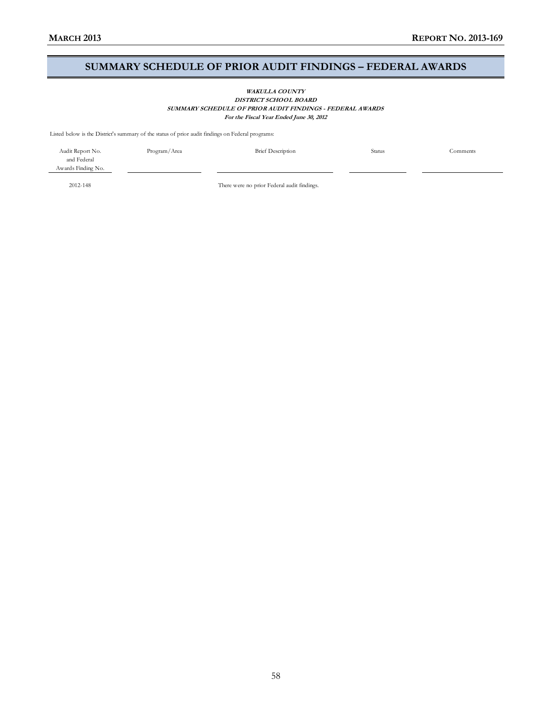# <span id="page-62-0"></span>**SUMMARY SCHEDULE OF PRIOR AUDIT FINDINGS – FEDERAL AWARDS**

#### **WAKULLA COUNTY DISTRICT SCHOOL BOARD SUMMARY SCHEDULE OF PRIOR AUDIT FINDINGS - FEDERAL AWARDS For the Fiscal Year Ended June 30, 2012**

Listed below is the District's summary of the status of prior audit findings on Federal programs:

| Audit Report No.<br>and Federal | Program/Area | <b>Brief Description</b>                    | <b>Status</b> | Comments |
|---------------------------------|--------------|---------------------------------------------|---------------|----------|
| Awards Finding No.              |              |                                             |               |          |
| 2012-148                        |              | There were no prior Federal audit findings. |               |          |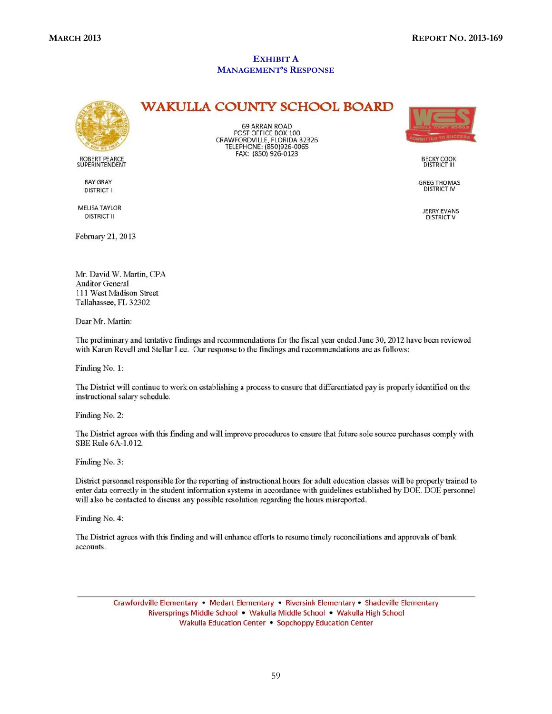#### **EXHIBIT A MANAGEMENT'S RESPONSE**

# WAKULLA COUNTY SCHOOL BOARD

<span id="page-63-0"></span>

ROBERT PEARCE<br>SUPERINTENDENT

**RAY GRAY DISTRICT I** 

**MELISA TAYLOR DISTRICT II** 

February 21, 2013

69 ARRAN ROAD<br>POST OFFICE BOX 100 CRAWFORDVILLE, FLORIDA 32326<br>TELEPHONE: (850)926-0065 FAX: (850) 926-0123



**BECKY COOK**<br>DISTRICT III

**GREG THOMAS**<br>DISTRICT IV

**JERRY EVANS DISTRICT V** 

Mr. David W. Martin, CPA **Auditor General** 111 West Madison Street Tallahassee, FL 32302

Dear Mr. Martin:

The preliminary and tentative findings and recommendations for the fiscal year ended June 30, 2012 have been reviewed with Karen Revell and Stellar Lee. Our response to the findings and recommendations are as follows:

Finding No. 1:

The District will continue to work on establishing a process to ensure that differentiated pay is properly identified on the instructional salary schedule.

Finding No. 2:

The District agrees with this finding and will improve procedures to ensure that future sole source purchases comply with SBE Rule 6A-1.012.

Finding No. 3:

District personnel responsible for the reporting of instructional hours for adult education classes will be properly trained to enter data correctly in the student information systems in accordance with guidelines established by DOE. DOE personnel will also be contacted to discuss any possible resolution regarding the hours misreported.

Finding No. 4:

The District agrees with this finding and will enhance efforts to resume timely reconciliations and approvals of bank accounts.

Crawfordville Elementary • Medart Elementary • Riversink Elementary • Shadeville Elementary Riversprings Middle School . Wakulla Middle School . Wakulla High School Wakulla Education Center . Sopchoppy Education Center